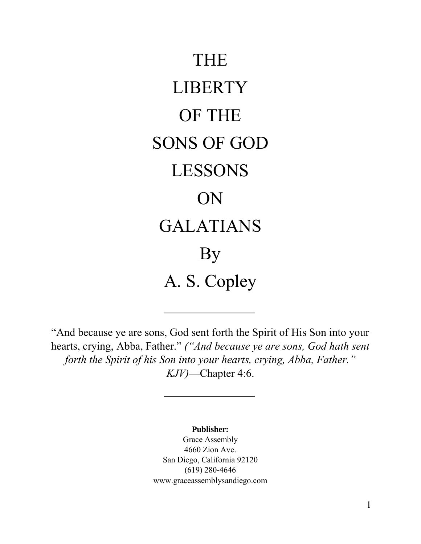

"And because ye are sons, God sent forth the Spirit of His Son into your hearts, crying, Abba, Father." *("And because ye are sons, God hath sent forth the Spirit of his Son into your hearts, crying, Abba, Father." KJV)*—Chapter 4:6.

**Publisher:**

Grace Assembly 4660 Zion Ave. San Diego, California 92120 (619) 280-4646 www.graceassemblysandiego.com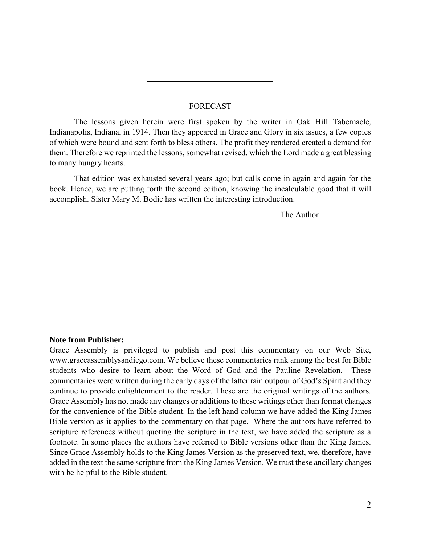#### FORECAST

The lessons given herein were first spoken by the writer in Oak Hill Tabernacle, Indianapolis, Indiana, in 1914. Then they appeared in Grace and Glory in six issues, a few copies of which were bound and sent forth to bless others. The profit they rendered created a demand for them. Therefore we reprinted the lessons, somewhat revised, which the Lord made a great blessing to many hungry hearts.

That edition was exhausted several years ago; but calls come in again and again for the book. Hence, we are putting forth the second edition, knowing the incalculable good that it will accomplish. Sister Mary M. Bodie has written the interesting introduction.

—The Author

#### **Note from Publisher:**

Grace Assembly is privileged to publish and post this commentary on our Web Site, www.graceassemblysandiego.com. We believe these commentaries rank among the best for Bible students who desire to learn about the Word of God and the Pauline Revelation. These commentaries were written during the early days of the latter rain outpour of God's Spirit and they continue to provide enlightenment to the reader. These are the original writings of the authors. Grace Assembly has not made any changes or additions to these writings other than format changes for the convenience of the Bible student. In the left hand column we have added the King James Bible version as it applies to the commentary on that page. Where the authors have referred to scripture references without quoting the scripture in the text, we have added the scripture as a footnote. In some places the authors have referred to Bible versions other than the King James. Since Grace Assembly holds to the King James Version as the preserved text, we, therefore, have added in the text the same scripture from the King James Version. We trust these ancillary changes with be helpful to the Bible student.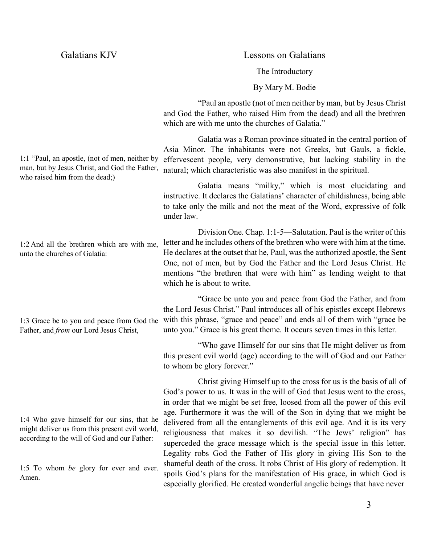| Galatians KJV                                                                                                                                | <b>Lessons on Galatians</b>                                                                                                                                                                                                                                                                                                                                                                                                                                                                                                                                                                                 |
|----------------------------------------------------------------------------------------------------------------------------------------------|-------------------------------------------------------------------------------------------------------------------------------------------------------------------------------------------------------------------------------------------------------------------------------------------------------------------------------------------------------------------------------------------------------------------------------------------------------------------------------------------------------------------------------------------------------------------------------------------------------------|
|                                                                                                                                              | The Introductory                                                                                                                                                                                                                                                                                                                                                                                                                                                                                                                                                                                            |
|                                                                                                                                              | By Mary M. Bodie                                                                                                                                                                                                                                                                                                                                                                                                                                                                                                                                                                                            |
|                                                                                                                                              | "Paul an apostle (not of men neither by man, but by Jesus Christ)"<br>and God the Father, who raised Him from the dead) and all the brethren<br>which are with me unto the churches of Galatia."                                                                                                                                                                                                                                                                                                                                                                                                            |
| 1:1 "Paul, an apostle, (not of men, neither by<br>man, but by Jesus Christ, and God the Father,<br>who raised him from the dead;)            | Galatia was a Roman province situated in the central portion of<br>Asia Minor. The inhabitants were not Greeks, but Gauls, a fickle,<br>effervescent people, very demonstrative, but lacking stability in the<br>natural; which characteristic was also manifest in the spiritual.                                                                                                                                                                                                                                                                                                                          |
|                                                                                                                                              | Galatia means "milky," which is most elucidating and<br>instructive. It declares the Galatians' character of childishness, being able<br>to take only the milk and not the meat of the Word, expressive of folk<br>under law.                                                                                                                                                                                                                                                                                                                                                                               |
| 1:2 And all the brethren which are with me,<br>unto the churches of Galatia:                                                                 | Division One. Chap. 1:1-5—Salutation. Paul is the writer of this<br>letter and he includes others of the brethren who were with him at the time.<br>He declares at the outset that he, Paul, was the authorized apostle, the Sent<br>One, not of men, but by God the Father and the Lord Jesus Christ. He<br>mentions "the brethren that were with him" as lending weight to that<br>which he is about to write.                                                                                                                                                                                            |
| 1:3 Grace be to you and peace from God the<br>Father, and from our Lord Jesus Christ,                                                        | "Grace be unto you and peace from God the Father, and from<br>the Lord Jesus Christ." Paul introduces all of his epistles except Hebrews<br>with this phrase, "grace and peace" and ends all of them with "grace be<br>unto you." Grace is his great theme. It occurs seven times in this letter.                                                                                                                                                                                                                                                                                                           |
|                                                                                                                                              | "Who gave Himself for our sins that He might deliver us from<br>this present evil world (age) according to the will of God and our Father<br>to whom be glory forever."                                                                                                                                                                                                                                                                                                                                                                                                                                     |
| 1:4 Who gave himself for our sins, that he<br>might deliver us from this present evil world,<br>according to the will of God and our Father: | Christ giving Himself up to the cross for us is the basis of all of<br>God's power to us. It was in the will of God that Jesus went to the cross,<br>in order that we might be set free, loosed from all the power of this evil<br>age. Furthermore it was the will of the Son in dying that we might be<br>delivered from all the entanglements of this evil age. And it is its very<br>religiousness that makes it so devilish. "The Jews' religion" has<br>superceded the grace message which is the special issue in this letter.<br>Legality robs God the Father of His glory in giving His Son to the |
| 1:5 To whom be glory for ever and ever.<br>Amen.                                                                                             | shameful death of the cross. It robs Christ of His glory of redemption. It<br>spoils God's plans for the manifestation of His grace, in which God is<br>especially glorified. He created wonderful angelic beings that have never                                                                                                                                                                                                                                                                                                                                                                           |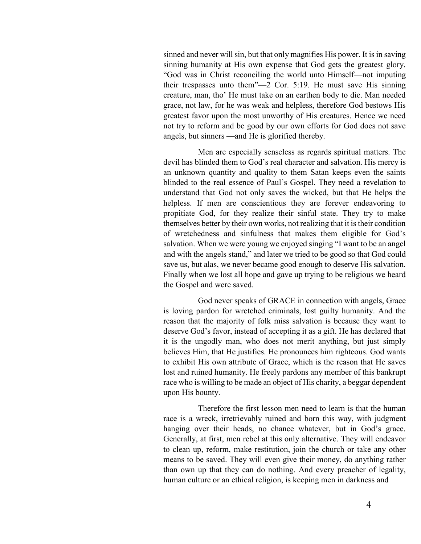sinned and never will sin, but that only magnifies His power. It is in saving sinning humanity at His own expense that God gets the greatest glory. "God was in Christ reconciling the world unto Himself—not imputing their trespasses unto them"—2 Cor. 5:19. He must save His sinning creature, man, tho' He must take on an earthen body to die. Man needed grace, not law, for he was weak and helpless, therefore God bestows His greatest favor upon the most unworthy of His creatures. Hence we need not try to reform and be good by our own efforts for God does not save angels, but sinners —and He is glorified thereby.

Men are especially senseless as regards spiritual matters. The devil has blinded them to God's real character and salvation. His mercy is an unknown quantity and quality to them Satan keeps even the saints blinded to the real essence of Paul's Gospel. They need a revelation to understand that God not only saves the wicked, but that He helps the helpless. If men are conscientious they are forever endeavoring to propitiate God, for they realize their sinful state. They try to make themselves better by their own works, not realizing that it is their condition of wretchedness and sinfulness that makes them eligible for God's salvation. When we were young we enjoyed singing "I want to be an angel and with the angels stand," and later we tried to be good so that God could save us, but alas, we never became good enough to deserve His salvation. Finally when we lost all hope and gave up trying to be religious we heard the Gospel and were saved.

God never speaks of GRACE in connection with angels, Grace is loving pardon for wretched criminals, lost guilty humanity. And the reason that the majority of folk miss salvation is because they want to deserve God's favor, instead of accepting it as a gift. He has declared that it is the ungodly man, who does not merit anything, but just simply believes Him, that He justifies. He pronounces him righteous. God wants to exhibit His own attribute of Grace, which is the reason that He saves lost and ruined humanity. He freely pardons any member of this bankrupt race who is willing to be made an object of His charity, a beggar dependent upon His bounty.

Therefore the first lesson men need to learn is that the human race is a wreck, irretrievably ruined and born this way, with judgment hanging over their heads, no chance whatever, but in God's grace. Generally, at first, men rebel at this only alternative. They will endeavor to clean up, reform, make restitution, join the church or take any other means to be saved. They will even give their money, do anything rather than own up that they can do nothing. And every preacher of legality, human culture or an ethical religion, is keeping men in darkness and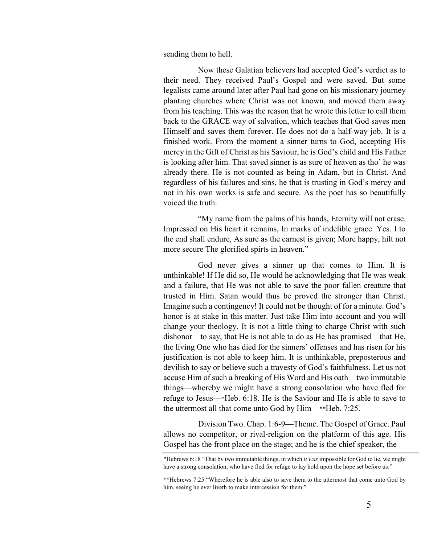sending them to hell.

Now these Galatian believers had accepted God's verdict as to their need. They received Paul's Gospel and were saved. But some legalists came around later after Paul had gone on his missionary journey planting churches where Christ was not known, and moved them away from his teaching. This was the reason that he wrote this letter to call them back to the GRACE way of salvation, which teaches that God saves men Himself and saves them forever. He does not do a half-way job. It is a finished work. From the moment a sinner turns to God, accepting His mercy in the Gift of Christ as his Saviour, he is God's child and His Father is looking after him. That saved sinner is as sure of heaven as tho' he was already there. He is not counted as being in Adam, but in Christ. And regardless of his failures and sins, he that is trusting in God's mercy and not in his own works is safe and secure. As the poet has so beautifully voiced the truth.

"My name from the palms of his hands, Eternity will not erase. Impressed on His heart it remains, In marks of indelible grace. Yes. I to the end shall endure, As sure as the earnest is given; More happy, hilt not more secure The glorified spirts in heaven."

God never gives a sinner up that comes to Him. It is unthinkable! If He did so, He would he acknowledging that He was weak and a failure, that He was not able to save the poor fallen creature that trusted in Him. Satan would thus be proved the stronger than Christ. Imagine such a contingency! It could not be thought of for a minute. God's honor is at stake in this matter. Just take Him into account and you will change your theology. It is not a little thing to charge Christ with such dishonor—to say, that He is not able to do as He has promised—that He, the living One who has died for the sinners' offenses and has risen for his justification is not able to keep him. It is unthinkable, preposterous and devilish to say or believe such a travesty of God's faithfulness. Let us not accuse Him of such a breaking of His Word and His oath—two immutable things—whereby we might have a strong consolation who have fled for refuge to Jesus—\*Heb. 6:18. He is the Saviour and He is able to save to the uttermost all that come unto God by Him—\*\*Heb. 7:25.

Division Two. Chap. 1:6-9—Theme. The Gospel of Grace. Paul allows no competitor, or rival-religion on the platform of this age. His Gospel has the front place on the stage; and he is the chief speaker, the

<sup>\*</sup>Hebrews 6:18 "That by two immutable things, in which *it was* impossible for God to lie, we might have a strong consolation, who have fled for refuge to lay hold upon the hope set before us:"

<sup>\*\*</sup>Hebrews 7:25 "Wherefore he is able also to save them to the uttermost that come unto God by him, seeing he ever liveth to make intercession for them."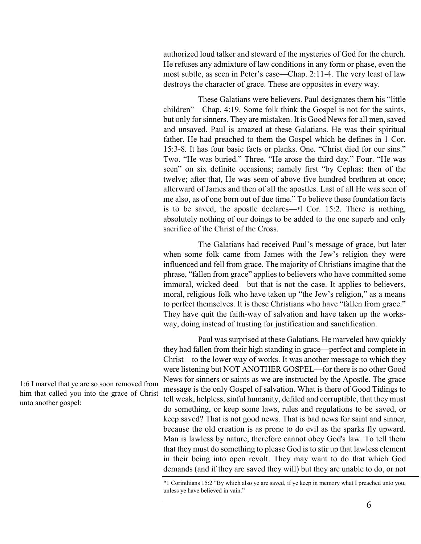authorized loud talker and steward of the mysteries of God for the church. He refuses any admixture of law conditions in any form or phase, even the most subtle, as seen in Peter's case—Chap. 2:11-4. The very least of law destroys the character of grace. These are opposites in every way.

These Galatians were believers. Paul designates them his "little children"—Chap. 4:19. Some folk think the Gospel is not for the saints, but only for sinners. They are mistaken. It is Good News for all men, saved and unsaved. Paul is amazed at these Galatians. He was their spiritual father. He had preached to them the Gospel which he defines in 1 Cor. 15:3-8*.* It has four basic facts or planks. One. "Christ died for our sins." Two. "He was buried." Three. "He arose the third day." Four. "He was seen" on six definite occasions; namely first "by Cephas: then of the twelve; after that, He was seen of above five hundred brethren at once; afterward of James and then of all the apostles. Last of all He was seen of me also, as of one born out of due time." To believe these foundation facts is to be saved, the apostle declares—\*l Cor. 15:2. There is nothing, absolutely nothing of our doings to be added to the one superb and only sacrifice of the Christ of the Cross.

The Galatians had received Paul's message of grace, but later when some folk came from James with the Jew's religion they were influenced and fell from grace. The majority of Christians imagine that the phrase, "fallen from grace" applies to believers who have committed some immoral, wicked deed—but that is not the case. It applies to believers, moral, religious folk who have taken up "the Jew's religion," as a means to perfect themselves. It is these Christians who have "fallen from grace." They have quit the faith-way of salvation and have taken up the worksway, doing instead of trusting for justification and sanctification.

Paul was surprised at these Galatians. He marveled how quickly they had fallen from their high standing in grace—perfect and complete in Christ—to the lower way of works. It was another message to which they were listening but NOT ANOTHER GOSPEL—for there is no other Good News for sinners or saints as we are instructed by the Apostle. The grace message is the only Gospel of salvation. What is there of Good Tidings to tell weak, helpless, sinful humanity, defiled and corruptible, that they must do something, or keep some laws, rules and regulations to be saved, or keep saved? That is not good news. That is bad news for saint and sinner, because the old creation is as prone to do evil as the sparks fly upward. Man is lawless by nature, therefore cannot obey God's law. To tell them that they must do something to please God is to stir up that lawless element in their being into open revolt. They may want to do that which God demands (and if they are saved they will) but they are unable to do, or not

\*1 Corinthians 15:2 "By which also ye are saved, if ye keep in memory what I preached unto you, unless ye have believed in vain."

1:6 I marvel that ye are so soon removed from him that called you into the grace of Christ unto another gospel: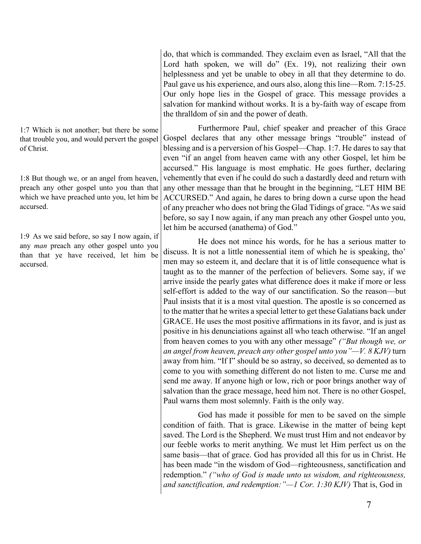do, that which is commanded. They exclaim even as Israel, "All that the Lord hath spoken, we will do" (Ex. 19), not realizing their own helplessness and yet be unable to obey in all that they determine to do. Paul gave us his experience, and ours also, along this line—Rom. 7:15-25. Our only hope lies in the Gospel of grace. This message provides a salvation for mankind without works. It is a by-faith way of escape from the thralldom of sin and the power of death.

Furthermore Paul, chief speaker and preacher of this Grace Gospel declares that any other message brings "trouble" instead of blessing and is a perversion of his Gospel—Chap. 1:7. He dares to say that even "if an angel from heaven came with any other Gospel, let him be accursed." His language is most emphatic. He goes further, declaring vehemently that even if he could do such a dastardly deed and return with any other message than that he brought in the beginning, "LET HIM BE ACCURSED." And again, he dares to bring down a curse upon the head of any preacher who does not bring the Glad Tidings of grace. "As we said before, so say I now again, if any man preach any other Gospel unto you, let him be accursed (anathema) of God."

He does not mince his words, for he has a serious matter to discuss. It is not a little nonessential item of which he is speaking, tho' men may so esteem it, and declare that it is of little consequence what is taught as to the manner of the perfection of believers. Some say, if we arrive inside the pearly gates what difference does it make if more or less self-effort is added to the way of our sanctification. So the reason—but Paul insists that it is a most vital question. The apostle is so concerned as to the matter that he writes a special letter to get these Galatians back under GRACE. He uses the most positive affirmations in its favor, and is just as positive in his denunciations against all who teach otherwise. "If an angel from heaven comes to you with any other message" *("But though we, or an angel from heaven, preach any other gospel unto you"—V. 8 KJV)* turn away from him. "If I" should be so astray, so deceived, so demented as to come to you with something different do not listen to me. Curse me and send me away. If anyone high or low, rich or poor brings another way of salvation than the grace message, heed him not. There is no other Gospel, Paul warns them most solemnly. Faith is the only way.

God has made it possible for men to be saved on the simple condition of faith. That is grace. Likewise in the matter of being kept saved. The Lord is the Shepherd. We must trust Him and not endeavor by our feeble works to merit anything. We must let Him perfect us on the same basis—that of grace. God has provided all this for us in Christ. He has been made "in the wisdom of God—righteousness, sanctification and redemption." *("who of God is made unto us wisdom, and righteousness, and sanctification, and redemption:"—1 Cor. 1:30 KJV)* That is, God in

1:7 Which is not another; but there be some that trouble you, and would pervert the gospel of Christ.

1:8 But though we, or an angel from heaven, preach any other gospel unto you than that which we have preached unto you, let him be accursed.

1:9 As we said before, so say I now again, if any *man* preach any other gospel unto you than that ye have received, let him be accursed.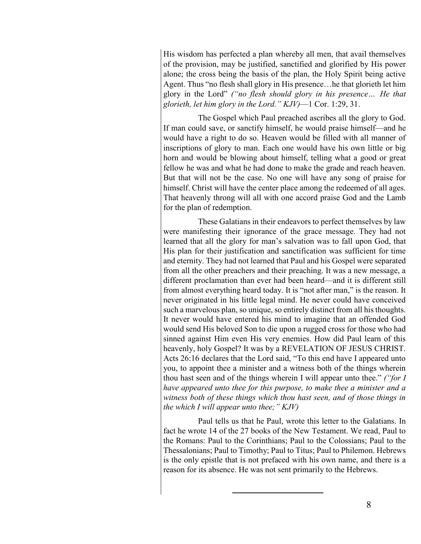His wisdom has perfected a plan whereby all men, that avail themselves of the provision, may be justified, sanctified and glorified by His power alone; the cross being the basis of the plan, the Holy Spirit being active Agent. Thus "no flesh shall glory in His presence…he that glorieth let him glory in the Lord" *("no flesh should glory in his presence… He that glorieth, let him glory in the Lord." KJV)*—1 Cor. 1:29, 31.

The Gospel which Paul preached ascribes all the glory to God. If man could save, or sanctify himself, he would praise himself—and he would have a right to do so. Heaven would be filled with all manner of inscriptions of glory to man. Each one would have his own little or big horn and would be blowing about himself, telling what a good or great fellow he was and what he had done to make the grade and reach heaven. But that will not be the case. No one will have any song of praise for himself. Christ will have the center place among the redeemed of all ages. That heavenly throng will all with one accord praise God and the Lamb for the plan of redemption.

These Galatians in their endeavors to perfect themselves by law were manifesting their ignorance of the grace message. They had not learned that all the glory for man's salvation was to fall upon God, that His plan for their justification and sanctification was sufficient for time and eternity. They had not learned that Paul and his Gospel were separated from all the other preachers and their preaching. It was a new message, a different proclamation than ever had been heard—and it is different still from almost everything heard today. It is "not after man," is the reason. It never originated in his little legal mind. He never could have conceived such a marvelous plan, so unique, so entirely distinct from all his thoughts. It never would have entered his mind to imagine that an offended God would send His beloved Son to die upon a rugged cross for those who had sinned against Him even His very enemies. How did Paul learn of this heavenly, holy Gospel? It was by a REVELATION OF JESUS CHRIST. Acts 26:16 declares that the Lord said, "To this end have I appeared unto you, to appoint thee a minister and a witness both of the things wherein thou hast seen and of the things wherein I will appear unto thee." *("for I have appeared unto thee for this purpose, to make thee a minister and a witness both of these things which thou hast seen, and of those things in the which I will appear unto thee;" KJV)*

Paul tells us that he Paul, wrote this letter to the Galatians. In fact he wrote 14 of the 27 books of the New Testament. We read, Paul to the Romans: Paul to the Corinthians; Paul to the Colossians; Paul to the Thessalonians; Paul to Timothy; Paul to Titus; Paul to Philemon. Hebrews is the only epistle that is not prefaced with his own name, and there is a reason for its absence. He was not sent primarily to the Hebrews.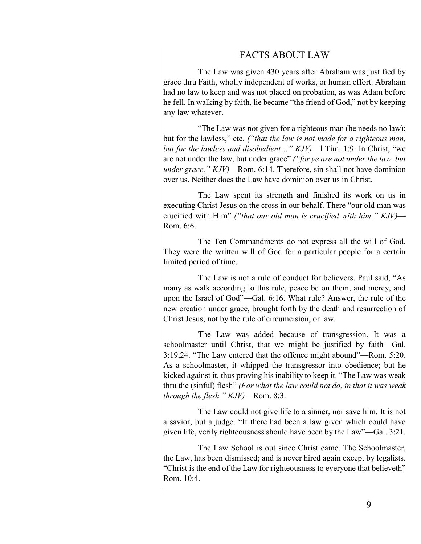# FACTS ABOUT LAW

The Law was given 430 years after Abraham was justified by grace thru Faith, wholly independent of works, or human effort. Abraham had no law to keep and was not placed on probation, as was Adam before he fell. In walking by faith, lie became "the friend of God," not by keeping any law whatever.

"The Law was not given for a righteous man (he needs no law); but for the lawless," etc. *("that the law is not made for a righteous man, but for the lawless and disobedient…" KJV)*—l Tim. 1:9. In Christ, "we are not under the law, but under grace" *("for ye are not under the law, but under grace," KJV)*—Rom. 6:14. Therefore, sin shall not have dominion over us. Neither does the Law have dominion over us in Christ.

The Law spent its strength and finished its work on us in executing Christ Jesus on the cross in our behalf. There "our old man was crucified with Him" *("that our old man is crucified with him," KJV)*— Rom. 6:6.

The Ten Commandments do not express all the will of God. They were the written will of God for a particular people for a certain limited period of time.

The Law is not a rule of conduct for believers. Paul said, "As many as walk according to this rule, peace be on them, and mercy, and upon the Israel of God"—Gal. 6:16. What rule? Answer, the rule of the new creation under grace, brought forth by the death and resurrection of Christ Jesus; not by the rule of circumcision, or law.

The Law was added because of transgression. It was a schoolmaster until Christ, that we might be justified by faith—Gal. 3:19,24. "The Law entered that the offence might abound"—Rom. 5:20. As a schoolmaster, it whipped the transgressor into obedience; but he kicked against it, thus proving his inability to keep it. "The Law was weak thru the (sinful) flesh" *(For what the law could not do, in that it was weak through the flesh," KJV)*—Rom. 8:3.

The Law could not give life to a sinner, nor save him. It is not a savior, but a judge. "If there had been a law given which could have given life, verily righteousness should have been by the Law"—Gal. 3:21.

The Law School is out since Christ came. The Schoolmaster, the Law, has been dismissed; and is never hired again except by legalists. "Christ is the end of the Law for righteousness to everyone that believeth" Rom. 10:4.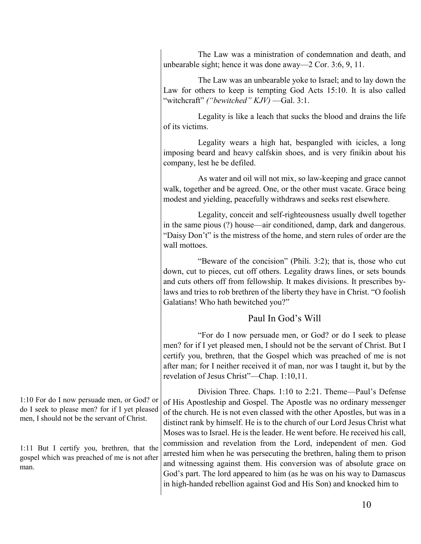The Law was a ministration of condemnation and death, and unbearable sight; hence it was done away—2 Cor. 3:6, 9, 11.

The Law was an unbearable yoke to Israel; and to lay down the Law for others to keep is tempting God Acts 15:10. It is also called "witchcraft" *("bewitched" KJV)* —Gal. 3:1.

Legality is like a leach that sucks the blood and drains the life of its victims.

Legality wears a high hat, bespangled with icicles, a long imposing beard and heavy calfskin shoes, and is very finikin about his company, lest he be defiled.

As water and oil will not mix, so law-keeping and grace cannot walk, together and be agreed. One, or the other must vacate. Grace being modest and yielding, peacefully withdraws and seeks rest elsewhere.

Legality, conceit and self-righteousness usually dwell together in the same pious (?) house—air conditioned, damp, dark and dangerous. "Daisy Don't" is the mistress of the home, and stern rules of order are the wall mottoes.

"Beware of the concision" (Phili. 3:2); that is, those who cut down, cut to pieces, cut off others. Legality draws lines, or sets bounds and cuts others off from fellowship. It makes divisions. It prescribes bylaws and tries to rob brethren of the liberty they have in Christ. "O foolish Galatians! Who hath bewitched you?"

# Paul In God's Will

"For do I now persuade men, or God? or do I seek to please men? for if I yet pleased men, I should not be the servant of Christ. But I certify you, brethren, that the Gospel which was preached of me is not after man; for I neither received it of man, nor was I taught it, but by the revelation of Jesus Christ"—Chap. 1:10,11.

Division Three. Chaps. 1:10 to 2:21. Theme—Paul's Defense of His Apostleship and Gospel. The Apostle was no ordinary messenger of the church. He is not even classed with the other Apostles, but was in a distinct rank by himself. He is to the church of our Lord Jesus Christ what Moses was to Israel. He is the leader. He went before. He received his call, commission and revelation from the Lord, independent of men. God arrested him when he was persecuting the brethren, haling them to prison and witnessing against them. His conversion was of absolute grace on God's part. The lord appeared to him (as he was on his way to Damascus in high-handed rebellion against God and His Son) and knocked him to

1:10 For do I now persuade men, or God? or do I seek to please men? for if I yet pleased men, I should not be the servant of Christ.

1:11 But I certify you, brethren, that the gospel which was preached of me is not after man.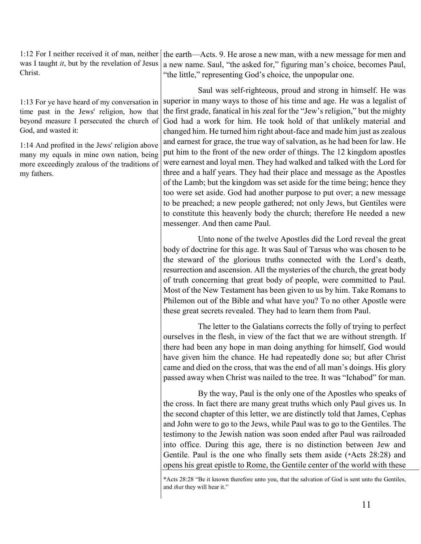1:12 For I neither received it of man, neither was I taught *it*, but by the revelation of Jesus Christ.

1:13 For ye have heard of my conversation in time past in the Jews' religion, how that beyond measure I persecuted the church of God, and wasted it:

1:14 And profited in the Jews' religion above many my equals in mine own nation, being more exceedingly zealous of the traditions of my fathers.

the earth—Acts. 9. He arose a new man, with a new message for men and a new name. Saul, "the asked for," figuring man's choice, becomes Paul, "the little," representing God's choice, the unpopular one.

Saul was self-righteous, proud and strong in himself. He was superior in many ways to those of his time and age. He was a legalist of the first grade, fanatical in his zeal for the "Jew's religion," but the mighty God had a work for him. He took hold of that unlikely material and changed him. He turned him right about-face and made him just as zealous and earnest for grace, the true way of salvation, as he had been for law. He put him to the front of the new order of things. The 12 kingdom apostles were earnest and loyal men. They had walked and talked with the Lord for three and a half years. They had their place and message as the Apostles of the Lamb; but the kingdom was set aside for the time being; hence they too were set aside. God had another purpose to put over; a new message to be preached; a new people gathered; not only Jews, but Gentiles were to constitute this heavenly body the church; therefore He needed a new messenger. And then came Paul.

Unto none of the twelve Apostles did the Lord reveal the great body of doctrine for this age. It was Saul of Tarsus who was chosen to be the steward of the glorious truths connected with the Lord's death, resurrection and ascension. All the mysteries of the church, the great body of truth concerning that great body of people, were committed to Paul. Most of the New Testament has been given to us by him. Take Romans to Philemon out of the Bible and what have you? To no other Apostle were these great secrets revealed. They had to learn them from Paul.

The letter to the Galatians corrects the folly of trying to perfect ourselves in the flesh, in view of the fact that we are without strength. If there had been any hope in man doing anything for himself, God would have given him the chance. He had repeatedly done so; but after Christ came and died on the cross, that was the end of all man's doings. His glory passed away when Christ was nailed to the tree. It was "Ichabod" for man.

By the way, Paul is the only one of the Apostles who speaks of the cross. In fact there are many great truths which only Paul gives us. In the second chapter of this letter, we are distinctly told that James, Cephas and John were to go to the Jews, while Paul was to go to the Gentiles. The testimony to the Jewish nation was soon ended after Paul was railroaded into office. During this age, there is no distinction between Jew and Gentile. Paul is the one who finally sets them aside (\*Acts 28:28) and opens his great epistle to Rome, the Gentile center of the world with these

<sup>\*</sup>Acts 28:28 "Be it known therefore unto you, that the salvation of God is sent unto the Gentiles, and *that* they will hear it."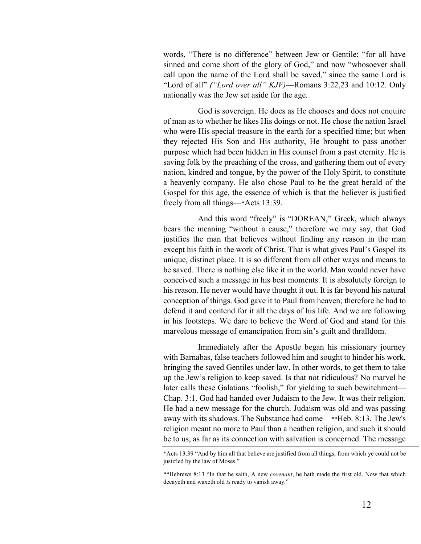words, "There is no difference" between Jew or Gentile; "for all have sinned and come short of the glory of God," and now "whosoever shall call upon the name of the Lord shall be saved," since the same Lord is "Lord of all" *("Lord over all" KJV)*—Romans 3:22,23 and 10:12. Only nationally was the Jew set aside for the age.

God is sovereign. He does as He chooses and does not enquire of man as to whether he likes His doings or not. He chose the nation Israel who were His special treasure in the earth for a specified time; but when they rejected His Son and His authority, He brought to pass another purpose which had been hidden in His counsel from a past eternity. He is saving folk by the preaching of the cross, and gathering them out of every nation, kindred and tongue, by the power of the Holy Spirit, to constitute a heavenly company. He also chose Paul to be the great herald of the Gospel for this age, the essence of which is that the believer is justified freely from all things—\*Acts 13:39.

And this word "freely" is "DOREAN," Greek, which always bears the meaning "without a cause," therefore we may say, that God justifies the man that believes without finding any reason in the man except his faith in the work of Christ. That is what gives Paul's Gospel its unique, distinct place. It is so different from all other ways and means to be saved. There is nothing else like it in the world. Man would never have conceived such a message in his best moments. It is absolutely foreign to his reason. He never would have thought it out. It is far beyond his natural conception of things. God gave it to Paul from heaven; therefore he had to defend it and contend for it all the days of his life. And we are following in his footsteps. We dare to believe the Word of God and stand for this marvelous message of emancipation from sin's guilt and thralldom.

Immediately after the Apostle began his missionary journey with Barnabas, false teachers followed him and sought to hinder his work, bringing the saved Gentiles under law. In other words, to get them to take up the Jew's religion to keep saved. Is that not ridiculous? No marvel he later calls these Galatians "foolish," for yielding to such bewitchment— Chap. 3:1. God had handed over Judaism to the Jew. It was their religion. He had a new message for the church. Judaism was old and was passing away with its shadows. The Substance had come—\*\*Heb. 8:13. The Jew's religion meant no more to Paul than a heathen religion, and such it should be to us, as far as its connection with salvation is concerned. The message

\*Acts 13:39 "And by him all that believe are justified from all things, from which ye could not be justified by the law of Moses."

\*\*Hebrews 8:13 "In that he saith, A new *covenant*, he hath made the first old. Now that which decayeth and waxeth old *is* ready to vanish away."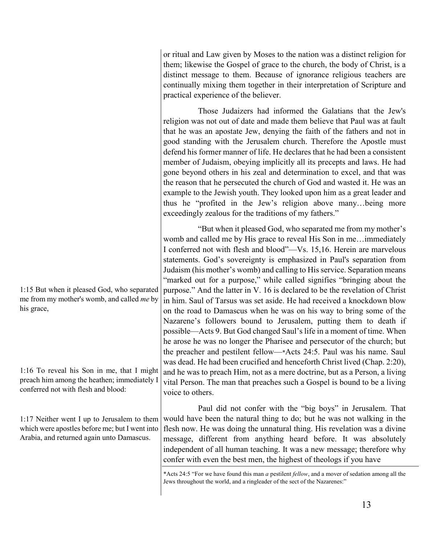1:15 But when it pleased God, who separated me from my mother's womb, and called *me* by his grace, 1:16 To reveal his Son in me, that I might preach him among the heathen; immediately I conferred not with flesh and blood: 1:17 Neither went I up to Jerusalem to them which were apostles before me; but I went into them; likewise the Gospel of grace to the church, the body of Christ, is a distinct message to them. Because of ignorance religious teachers are continually mixing them together in their interpretation of Scripture and practical experience of the believer. Those Judaizers had informed the Galatians that the Jew's religion was not out of date and made them believe that Paul was at fault that he was an apostate Jew, denying the faith of the fathers and not in good standing with the Jerusalem church. Therefore the Apostle must defend his former manner of life. He declares that he had been a consistent member of Judaism, obeying implicitly all its precepts and laws. He had gone beyond others in his zeal and determination to excel, and that was the reason that he persecuted the church of God and wasted it. He was an example to the Jewish youth. They looked upon him as a great leader and thus he "profited in the Jew's religion above many…being more exceedingly zealous for the traditions of my fathers." "But when it pleased God, who separated me from my mother's womb and called me by His grace to reveal His Son in me…immediately I conferred not with flesh and blood"—Vs. 15,16. Herein are marvelous statements. God's sovereignty is emphasized in Paul's separation from Judaism (his mother's womb) and calling to His service. Separation means "marked out for a purpose," while called signifies "bringing about the purpose." And the latter in V. 16 is declared to be the revelation of Christ in him. Saul of Tarsus was set aside. He had received a knockdown blow on the road to Damascus when he was on his way to bring some of the Nazarene's followers bound to Jerusalem, putting them to death if possible—Acts 9. But God changed Saul's life in a moment of time. When he arose he was no longer the Pharisee and persecutor of the church; but the preacher and pestilent fellow—\*Acts 24:5. Paul was his name. Saul was dead. He had been crucified and henceforth Christ lived (Chap. 2:20), and he was to preach Him, not as a mere doctrine, but as a Person, a living vital Person. The man that preaches such a Gospel is bound to be a living voice to others. Paul did not confer with the "big boys" in Jerusalem. That would have been the natural thing to do; but he was not walking in the

Arabia, and returned again unto Damascus.

flesh now. He was doing the unnatural thing. His revelation was a divine message, different from anything heard before. It was absolutely independent of all human teaching. It was a new message; therefore why confer with even the best men, the highest of theologs if you have

or ritual and Law given by Moses to the nation was a distinct religion for

\*Acts 24:5 "For we have found this man *a* pestilent *fellow*, and a mover of sedation among all the Jews throughout the world, and a ringleader of the sect of the Nazarenes:"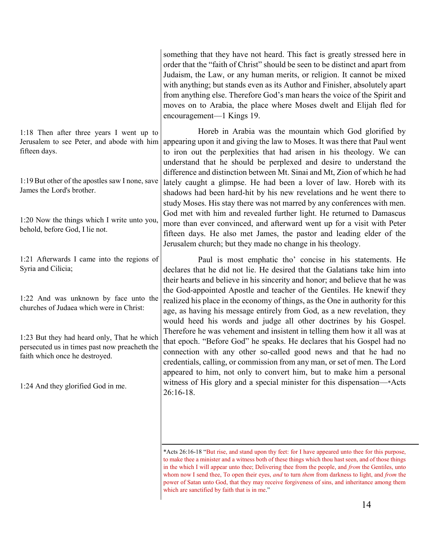something that they have not heard. This fact is greatly stressed here in order that the "faith of Christ" should be seen to be distinct and apart from Judaism, the Law, or any human merits, or religion. It cannot be mixed with anything; but stands even as its Author and Finisher, absolutely apart from anything else. Therefore God's man hears the voice of the Spirit and moves on to Arabia, the place where Moses dwelt and Elijah fled for encouragement—1 Kings 19.

Horeb in Arabia was the mountain which God glorified by appearing upon it and giving the law to Moses. It was there that Paul went to iron out the perplexities that had arisen in his theology. We can understand that he should be perplexed and desire to understand the difference and distinction between Mt. Sinai and Mt, Zion of which he had lately caught a glimpse. He had been a lover of law. Horeb with its shadows had been hard-hit by his new revelations and he went there to study Moses. His stay there was not marred by any conferences with men. God met with him and revealed further light. He returned to Damascus more than ever convinced, and afterward went up for a visit with Peter fifteen days. He also met James, the pastor and leading elder of the Jerusalem church; but they made no change in his theology.

Paul is most emphatic tho' concise in his statements. He declares that he did not lie. He desired that the Galatians take him into their hearts and believe in his sincerity and honor; and believe that he was the God-appointed Apostle and teacher of the Gentiles. He knewif they realized his place in the economy of things, as the One in authority for this age, as having his message entirely from God, as a new revelation, they would heed his words and judge all other doctrines by his Gospel. Therefore he was vehement and insistent in telling them how it all was at that epoch. "Before God" he speaks. He declares that his Gospel had no connection with any other so-called good news and that he had no credentials, calling, or commission from any man, or set of men. The Lord appeared to him, not only to convert him, but to make him a personal witness of His glory and a special minister for this dispensation—\*Acts 26:16-18.

1:18 Then after three years I went up to Jerusalem to see Peter, and abode with him fifteen days.

1:19But other of the apostles saw I none, save James the Lord's brother.

1:20 Now the things which I write unto you, behold, before God, I lie not.

1:21 Afterwards I came into the regions of Syria and Cilicia;

1:22 And was unknown by face unto the churches of Judaea which were in Christ:

1:23 But they had heard only, That he which persecuted us in times past now preacheth the faith which once he destroyed.

1:24 And they glorified God in me.

<sup>\*</sup>Acts 26:16-18 "But rise, and stand upon thy feet: for I have appeared unto thee for this purpose, to make thee a minister and a witness both of these things which thou hast seen, and of those things in the which I will appear unto thee; Delivering thee from the people, and *from* the Gentiles, unto whom now I send thee, To open their eyes, *and* to turn *them* from darkness to light, and *from* the power of Satan unto God, that they may receive forgiveness of sins, and inheritance among them which are sanctified by faith that is in me."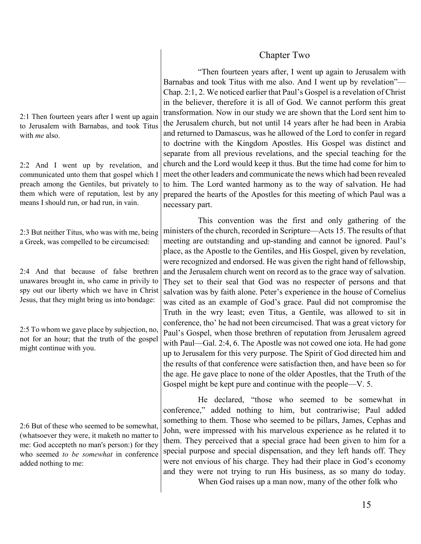# Chapter Two

"Then fourteen years after, I went up again to Jerusalem with Barnabas and took Titus with me also. And I went up by revelation"— Chap. 2:1, 2. We noticed earlier that Paul's Gospel is a revelation of Christ in the believer, therefore it is all of God. We cannot perform this great transformation. Now in our study we are shown that the Lord sent him to the Jerusalem church, but not until 14 years after he had been in Arabia and returned to Damascus, was he allowed of the Lord to confer in regard to doctrine with the Kingdom Apostles. His Gospel was distinct and separate from all previous revelations, and the special teaching for the church and the Lord would keep it thus. But the time had come for him to meet the other leaders and communicate the news which had been revealed to him. The Lord wanted harmony as to the way of salvation. He had prepared the hearts of the Apostles for this meeting of which Paul was a necessary part.

This convention was the first and only gathering of the ministers of the church, recorded in Scripture—Acts 15. The results of that meeting are outstanding and up-standing and cannot be ignored. Paul's place, as the Apostle to the Gentiles, and His Gospel, given by revelation, were recognized and endorsed. He was given the right hand of fellowship, and the Jerusalem church went on record as to the grace way of salvation. They set to their seal that God was no respecter of persons and that salvation was by faith alone. Peter's experience in the house of Cornelius was cited as an example of God's grace. Paul did not compromise the Truth in the wry least; even Titus, a Gentile, was allowed to sit in conference, tho' he had not been circumcised. That was a great victory for Paul's Gospel, when those brethren of reputation from Jerusalem agreed with Paul—Gal. 2:4, 6. The Apostle was not cowed one iota. He had gone up to Jerusalem for this very purpose. The Spirit of God directed him and the results of that conference were satisfaction then, and have been so for the age. He gave place to none of the older Apostles, that the Truth of the Gospel might be kept pure and continue with the people—V. 5.

He declared, "those who seemed to be somewhat in conference," added nothing to him, but contrariwise; Paul added something to them. Those who seemed to be pillars, James, Cephas and John, were impressed with his marvelous experience as he related it to them. They perceived that a special grace had been given to him for a special purpose and special dispensation, and they left hands off. They were not envious of his charge. They had their place in God's economy and they were not trying to run His business, as so many do today. When God raises up a man now, many of the other folk who

2:1 Then fourteen years after I went up again to Jerusalem with Barnabas, and took Titus with *me* also.

2:2 And I went up by revelation, and communicated unto them that gospel which I preach among the Gentiles, but privately to them which were of reputation, lest by any means I should run, or had run, in vain.

2:3 But neither Titus, who was with me, being a Greek, was compelled to be circumcised:

2:4 And that because of false brethren unawares brought in, who came in privily to spy out our liberty which we have in Christ Jesus, that they might bring us into bondage:

2:5 To whom we gave place by subjection, no, not for an hour; that the truth of the gospel might continue with you.

2:6 But of these who seemed to be somewhat, (whatsoever they were, it maketh no matter to me: God accepteth no man's person:) for they who seemed *to be somewhat* in conference added nothing to me: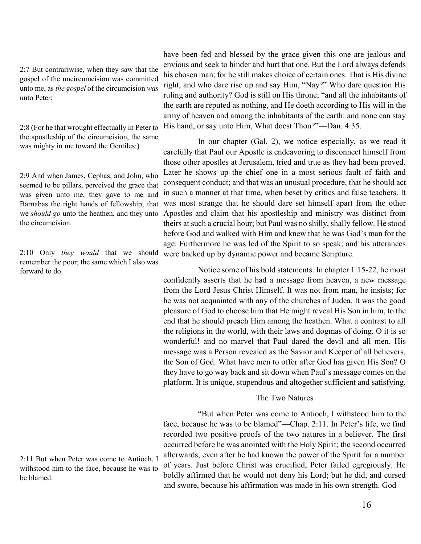2:7 But contrariwise, when they saw that the gospel of the uncircumcision was committed unto me, as *the gospel* of the circumcision *was* unto Peter;

2:8 (For he that wrought effectually in Peter to the apostleship of the circumcision, the same was mighty in me toward the Gentiles:)

2:9 And when James, Cephas, and John, who seemed to be pillars, perceived the grace that was given unto me, they gave to me and Barnabas the right hands of fellowship; that we *should go* unto the heathen, and they unto the circumcision.

2:10 Only *they would* that we should remember the poor; the same which I also was forward to do.

2:11 But when Peter was come to Antioch, I withstood him to the face, because he was to be blamed.

have been fed and blessed by the grace given this one are jealous and envious and seek to hinder and hurt that one. But the Lord always defends his chosen man; for he still makes choice of certain ones. That is His divine right, and who dare rise up and say Him, "Nay?" Who dare question His ruling and authority? God is still on His throne; "and all the inhabitants of the earth are reputed as nothing, and He doeth according to His will in the army of heaven and among the inhabitants of the earth: and none can stay His hand, or say unto Him, What doest Thou?"—Dan. 4:35.

In our chapter (Gal. 2), we notice especially, as we read it carefully that Paul our Apostle is endeavoring to disconnect himself from those other apostles at Jerusalem, tried and true as they had been proved. Later he shows up the chief one in a most serious fault of faith and consequent conduct; and that was an unusual procedure, that he should act in such a manner at that time, when beset by critics and false teachers. It was most strange that he should dare set himself apart from the other Apostles and claim that his apostleship and ministry was distinct from theirs at such a crucial hour; but Paul was no shilly, shally fellow. He stood before God and walked with Him and knew that he was God's man for the age. Furthermore he was led of the Spirit to so speak; and his utterances were backed up by dynamic power and became Scripture.

Notice some of his bold statements. In chapter 1:15-22, he most confidently asserts that he had a message from heaven, a new message from the Lord Jesus Christ Himself. It was not from man, he insists; for he was not acquainted with any of the churches of Judea. It was the good pleasure of God to choose him that He might reveal His Son in him, to the end that he should preach Him among the heathen. What a contrast to all the religions in the world, with their laws and dogmas of doing. O it is so wonderful! and no marvel that Paul dared the devil and all men. His message was a Person revealed as the Savior and Keeper of all believers, the Son of God. What have men to offer after God has given His Son? O they have to go way back and sit down when Paul's message comes on the platform. It is unique, stupendous and altogether sufficient and satisfying.

# The Two Natures

"But when Peter was come to Antioch, I withstood him to the face, because he was to be blamed"—Chap. 2:11. In Peter's life, we find recorded two positive proofs of the two natures in a believer. The first occurred before he was anointed with the Holy Spirit; the second occurred afterwards, even after he had known the power of the Spirit for a number of years. Just before Christ was crucified, Peter failed egregiously. He boldly affirmed that he would not deny his Lord; but he did, and cursed and swore, because his affirmation was made in his own strength. God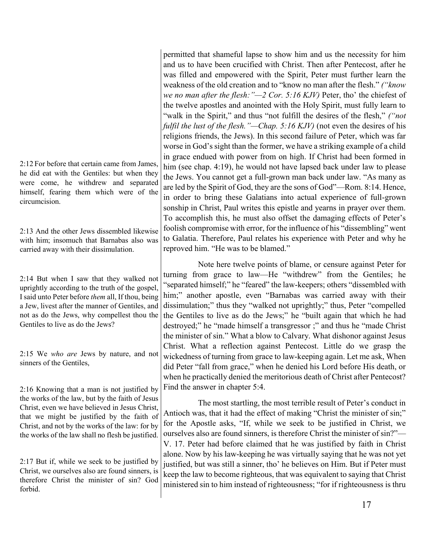2:12 For before that certain came from James, he did eat with the Gentiles: but when they were come, he withdrew and separated himself, fearing them which were of the circumcision.

2:13 And the other Jews dissembled likewise with him; insomuch that Barnabas also was carried away with their dissimulation.

2:14 But when I saw that they walked not uprightly according to the truth of the gospel, I said unto Peter before *them* all, If thou, being a Jew, livest after the manner of Gentiles, and not as do the Jews, why compellest thou the Gentiles to live as do the Jews?

2:15 We *who are* Jews by nature, and not sinners of the Gentiles,

2:16 Knowing that a man is not justified by the works of the law, but by the faith of Jesus Christ, even we have believed in Jesus Christ, that we might be justified by the faith of Christ, and not by the works of the law: for by the works of the law shall no flesh be justified.

2:17 But if, while we seek to be justified by Christ, we ourselves also are found sinners, is therefore Christ the minister of sin? God forbid.

permitted that shameful lapse to show him and us the necessity for him and us to have been crucified with Christ. Then after Pentecost, after he was filled and empowered with the Spirit, Peter must further learn the weakness of the old creation and to "know no man after the flesh." *("know we no man after the flesh:"—2 Cor. 5:16 KJV)* Peter, tho' the chiefest of the twelve apostles and anointed with the Holy Spirit, must fully learn to "walk in the Spirit," and thus "not fulfill the desires of the flesh," *("not fulfil the lust of the flesh."—Chap. 5:16 KJV)* (not even the desires of his religions friends, the Jews). In this second failure of Peter, which was far worse in God's sight than the former, we have a striking example of a child in grace endued with power from on high. If Christ had been formed in him (see chap. 4:19), he would not have lapsed back under law to please the Jews. You cannot get a full-grown man back under law. "As many as are led by the Spirit of God, they are the sons of God"—Rom. 8:14. Hence, in order to bring these Galatians into actual experience of full-grown sonship in Christ, Paul writes this epistle and yearns in prayer over them. To accomplish this, he must also offset the damaging effects of Peter's foolish compromise with error, for the influence of his "dissembling" went to Galatia. Therefore, Paul relates his experience with Peter and why he reproved him. "He was to be blamed."

Note here twelve points of blame, or censure against Peter for turning from grace to law—He "withdrew" from the Gentiles; he "separated himself;" he "feared" the law-keepers; others "dissembled with him;" another apostle, even "Barnabas was carried away with their dissimulation;" thus they "walked not uprightly;" thus, Peter "compelled the Gentiles to live as do the Jews;" he "built again that which he had destroyed;" he "made himself a transgressor ;" and thus he "made Christ the minister of sin." What a blow to Calvary. What dishonor against Jesus Christ. What a reflection against Pentecost. Little do we grasp the wickedness of turning from grace to law-keeping again. Let me ask, When did Peter "fall from grace," when he denied his Lord before His death, or when he practically denied the meritorious death of Christ after Pentecost? Find the answer in chapter 5:4.

The most startling, the most terrible result of Peter's conduct in Antioch was, that it had the effect of making "Christ the minister of sin;" for the Apostle asks, "If, while we seek to be justified in Christ, we ourselves also are found sinners, is therefore Christ the minister of sin?"— V. 17. Peter had before claimed that he was justified by faith in Christ alone. Now by his law-keeping he was virtually saying that he was not yet justified, but was still a sinner, tho' he believes on Him. But if Peter must keep the law to become righteous, that was equivalent to saying that Christ ministered sin to him instead of righteousness; "for if righteousness is thru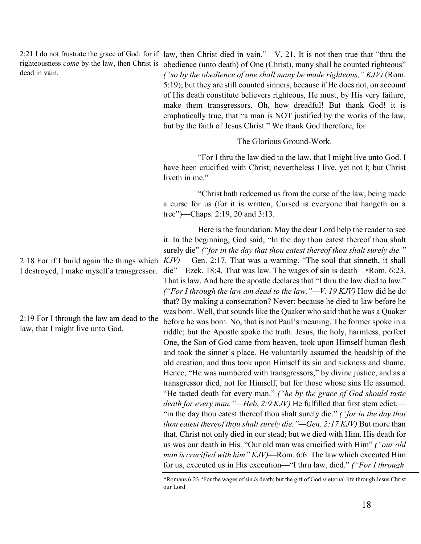2:21 I do not frustrate the grace of God: for if righteousness *come* by the law, then Christ is dead in vain. law, then Christ died in vain."—V. 21. It is not then true that "thru the obedience (unto death) of One (Christ), many shall be counted righteous" *("so by the obedience of one shall many be made righteous," KJV)* (Rom.

2:18 For if I build again the things which I destroyed, I make myself a transgressor.

2:19 For I through the law am dead to the law, that I might live unto God.

5:19); but they are still counted sinners, because if He does not, on account of His death constitute believers righteous, He must, by His very failure, make them transgressors. Oh, how dreadful! But thank God! it is emphatically true, that "a man is NOT justified by the works of the law, but by the faith of Jesus Christ." We thank God therefore, for

The Glorious Ground-Work.

"For I thru the law died to the law, that I might live unto God. I have been crucified with Christ; nevertheless I live, yet not I; but Christ liveth in me."

"Christ hath redeemed us from the curse of the law, being made a curse for us (for it is written, Cursed is everyone that hangeth on a tree")—Chaps. 2:19, 20 and 3:13.

Here is the foundation. May the dear Lord help the reader to see it. In the beginning, God said, "In the day thou eatest thereof thou shalt surely die" *("for in the day that thou eatest thereof thou shalt surely die." KJV)*— Gen. 2:17. That was a warning. "The soul that sinneth, it shall die"—Ezek. 18:4. That was law. The wages of sin is death—\*Rom. 6:23. That is law. And here the apostle declares that "I thru the law died to law." *("For I through the law am dead to the law,"—V. 19 KJV)* How did he do that? By making a consecration? Never; because he died to law before he was born. Well, that sounds like the Quaker who said that he was a Quaker before he was born. No, that is not Paul's meaning. The former spoke in a riddle; but the Apostle spoke the truth. Jesus, the holy, harmless, perfect One, the Son of God came from heaven, took upon Himself human flesh and took the sinner's place. He voluntarily assumed the headship of the old creation, and thus took upon Himself its sin and sickness and shame. Hence, "He was numbered with transgressors," by divine justice, and as a transgressor died, not for Himself, but for those whose sins He assumed. "He tasted death for every man." *("he by the grace of God should taste death for every man."—Heb. 2:9 KJV)* He fulfilled that first stem edict,— "in the day thou eatest thereof thou shalt surely die." *("for in the day that thou eatest thereof thou shalt surely die."—Gen. 2:17 KJV)* But more than that. Christ not only died in our stead; but we died with Him. His death for us was our death in His. "Our old man was crucified with Him" *("our old man is crucified with him" KJV)*—Rom. 6:6. The law which executed Him for us, executed us in His execution—"I thru law, died." *("For I through* 

\*Romans 6:23 "For the wages of sin *is* death; but the gift of God *is* eternal life through Jesus Christ our Lord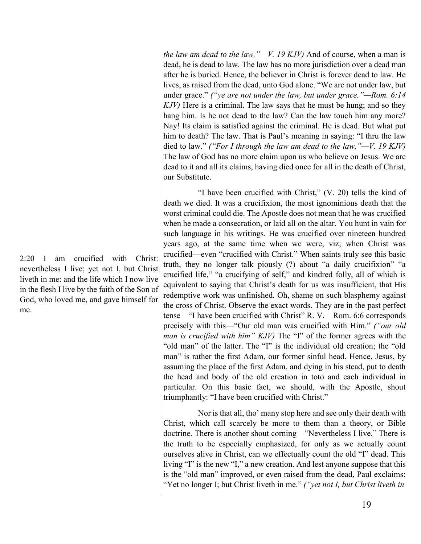*the law am dead to the law,"—V. 19 KJV)* And of course, when a man is dead, he is dead to law. The law has no more jurisdiction over a dead man after he is buried. Hence, the believer in Christ is forever dead to law. He lives, as raised from the dead, unto God alone. "We are not under law, but under grace." *("ye are not under the law, but under grace."—Rom. 6:14 KJV)* Here is a criminal. The law says that he must be hung; and so they hang him. Is he not dead to the law? Can the law touch him any more? Nay! Its claim is satisfied against the criminal. He is dead. But what put him to death? The law. That is Paul's meaning in saying: "I thru the law died to law." *("For I through the law am dead to the law,"—V. 19 KJV)* The law of God has no more claim upon us who believe on Jesus. We are dead to it and all its claims, having died once for all in the death of Christ, our Substitute.

"I have been crucified with Christ," (V. 20) tells the kind of death we died. It was a crucifixion, the most ignominious death that the worst criminal could die. The Apostle does not mean that he was crucified when he made a consecration, or laid all on the altar. You hunt in vain for such language in his writings. He was crucified over nineteen hundred years ago, at the same time when we were, viz; when Christ was crucified—even "crucified with Christ." When saints truly see this basic truth, they no longer talk piously (?) about "a daily crucifixion" "a crucified life," "a crucifying of self," and kindred folly, all of which is equivalent to saying that Christ's death for us was insufficient, that His redemptive work was unfinished. Oh, shame on such blasphemy against the cross of Christ. Observe the exact words. They are in the past perfect tense—"I have been crucified with Christ" R. V.—Rom. 6:6 corresponds precisely with this—"Our old man was crucified with Him." *("our old man is crucified with him" KJV)* The "I" of the former agrees with the "old man" of the latter. The "I" is the individual old creation; the "old man" is rather the first Adam, our former sinful head. Hence, Jesus, by assuming the place of the first Adam, and dying in his stead, put to death the head and body of the old creation in toto and each individual in particular. On this basic fact, we should, with the Apostle, shout triumphantly: "I have been crucified with Christ."

Nor is that all, tho' many stop here and see only their death with Christ, which call scarcely be more to them than a theory, or Bible doctrine. There is another shout corning—"Nevertheless I live." There is the truth to be especially emphasized, for only as we actually count ourselves alive in Christ, can we effectually count the old "I" dead. This living "I" is the new "I," a new creation. And lest anyone suppose that this is the "old man" improved, or even raised from the dead, Paul exclaims: "Yet no longer I; but Christ liveth in me." *("yet not I, but Christ liveth in* 

2:20 I am crucified with Christ: nevertheless I live; yet not I, but Christ liveth in me: and the life which I now live in the flesh I live by the faith of the Son of God, who loved me, and gave himself for me.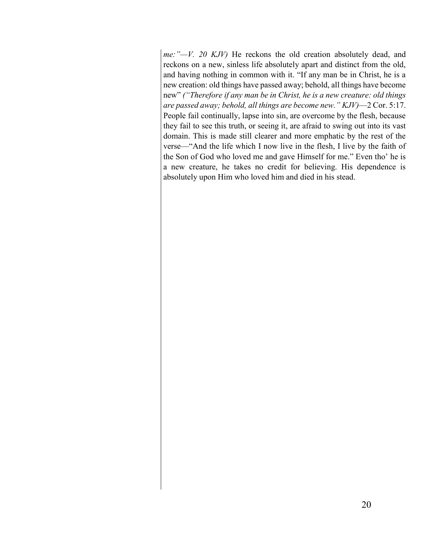*me:"—V. 20 KJV)* He reckons the old creation absolutely dead, and reckons on a new, sinless life absolutely apart and distinct from the old, and having nothing in common with it. "If any man be in Christ, he is a new creation: old things have passed away; behold, all things have become new" *("Therefore if any man be in Christ, he is a new creature: old things are passed away; behold, all things are become new." KJV)*—2 Cor. 5:17. People fail continually, lapse into sin, are overcome by the flesh, because they fail to see this truth, or seeing it, are afraid to swing out into its vast domain. This is made still clearer and more emphatic by the rest of the verse—"And the life which I now live in the flesh, I live by the faith of the Son of God who loved me and gave Himself for me." Even tho' he is a new creature, he takes no credit for believing. His dependence is absolutely upon Him who loved him and died in his stead.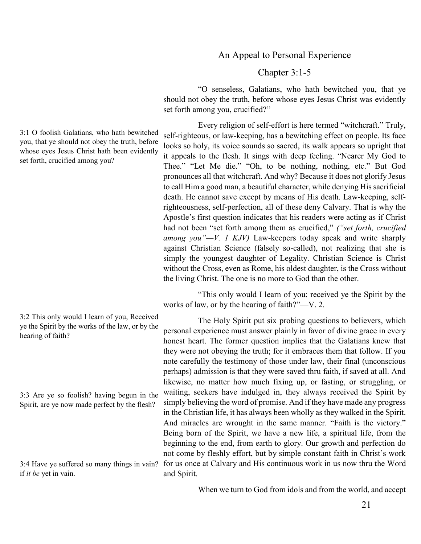# An Appeal to Personal Experience

# Chapter 3:1-5

"O senseless, Galatians, who hath bewitched you, that ye should not obey the truth, before whose eyes Jesus Christ was evidently set forth among you, crucified?"

Every religion of self-effort is here termed "witchcraft." Truly, self-righteous, or law-keeping, has a bewitching effect on people. Its face looks so holy, its voice sounds so sacred, its walk appears so upright that it appeals to the flesh. It sings with deep feeling. "Nearer My God to Thee." "Let Me die." "Oh, to be nothing, nothing, etc." But God pronounces all that witchcraft. And why? Because it does not glorify Jesus to call Him a good man, a beautiful character, while denying His sacrificial death. He cannot save except by means of His death. Law-keeping, selfrighteousness, self-perfection, all of these deny Calvary. That is why the Apostle's first question indicates that his readers were acting as if Christ had not been "set forth among them as crucified," *("set forth, crucified among you"—V. 1 KJV)* Law-keepers today speak and write sharply against Christian Science (falsely so-called), not realizing that she is simply the youngest daughter of Legality. Christian Science is Christ without the Cross, even as Rome, his oldest daughter, is the Cross without the living Christ. The one is no more to God than the other.

"This only would I learn of you: received ye the Spirit by the works of law, or by the hearing of faith?"—V. 2.

The Holy Spirit put six probing questions to believers, which personal experience must answer plainly in favor of divine grace in every honest heart. The former question implies that the Galatians knew that they were not obeying the truth; for it embraces them that follow. If you note carefully the testimony of those under law, their final (unconscious perhaps) admission is that they were saved thru faith, if saved at all. And likewise, no matter how much fixing up, or fasting, or struggling, or waiting, seekers have indulged in, they always received the Spirit by simply believing the word of promise. And if they have made any progress in the Christian life, it has always been wholly as they walked in the Spirit. And miracles are wrought in the same manner. "Faith is the victory." Being born of the Spirit, we have a new life, a spiritual life, from the beginning to the end, from earth to glory. Our growth and perfection do not come by fleshly effort, but by simple constant faith in Christ's work for us once at Calvary and His continuous work in us now thru the Word and Spirit.

When we turn to God from idols and from the world, and accept

3:1 O foolish Galatians, who hath bewitched you, that ye should not obey the truth, before whose eyes Jesus Christ hath been evidently set forth, crucified among you?

3:2 This only would I learn of you, Received ye the Spirit by the works of the law, or by the hearing of faith?

3:3 Are ye so foolish? having begun in the Spirit, are ye now made perfect by the flesh?

3:4 Have ye suffered so many things in vain? if *it be* yet in vain.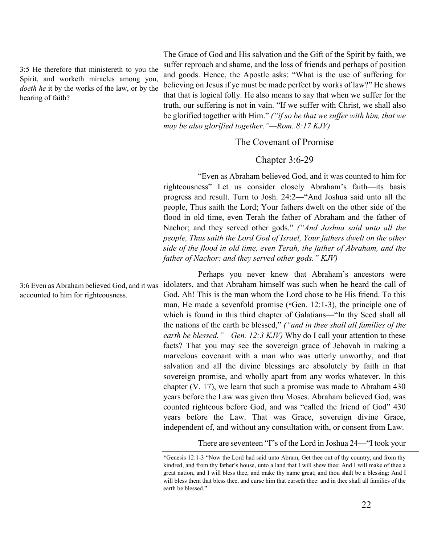3:5 He therefore that ministereth to you the Spirit, and worketh miracles among you, *doeth he* it by the works of the law, or by the hearing of faith?

The Grace of God and His salvation and the Gift of the Spirit by faith, we suffer reproach and shame, and the loss of friends and perhaps of position and goods. Hence, the Apostle asks: "What is the use of suffering for believing on Jesus if ye must be made perfect by works of law?" He shows that that is logical folly. He also means to say that when we suffer for the truth, our suffering is not in vain. "If we suffer with Christ, we shall also be glorified together with Him." *("if so be that we suffer with him, that we may be also glorified together."—Rom. 8:17 KJV)*

# The Covenant of Promise

# Chapter 3:6-29

"Even as Abraham believed God, and it was counted to him for righteousness" Let us consider closely Abraham's faith—its basis progress and result. Turn to Josh. 24:2—"And Joshua said unto all the people, Thus saith the Lord; Your fathers dwelt on the other side of the flood in old time, even Terah the father of Abraham and the father of Nachor; and they served other gods." *("And Joshua said unto all the people, Thus saith the Lord God of Israel, Your fathers dwelt on the other side of the flood in old time, even Terah, the father of Abraham, and the father of Nachor: and they served other gods." KJV)*

Perhaps you never knew that Abraham's ancestors were idolaters, and that Abraham himself was such when he heard the call of God. Ah! This is the man whom the Lord chose to be His friend. To this man, He made a sevenfold promise (\*Gen. 12:1-3), the principle one of which is found in this third chapter of Galatians—"In thy Seed shall all the nations of the earth be blessed," *("and in thee shall all families of the earth be blessed."—Gen. 12:3 KJV)* Why do I call your attention to these facts? That you may see the sovereign grace of Jehovah in making a marvelous covenant with a man who was utterly unworthy, and that salvation and all the divine blessings are absolutely by faith in that sovereign promise, and wholly apart from any works whatever. In this chapter (V. 17), we learn that such a promise was made to Abraham 430 years before the Law was given thru Moses. Abraham believed God, was counted righteous before God, and was "called the friend of God" 430 years before the Law. That was Grace, sovereign divine Grace, independent of, and without any consultation with, or consent from Law.

There are seventeen "I"s of the Lord in Joshua 24—"I took your

3:6 Even as Abraham believed God, and it was accounted to him for righteousness.

<sup>\*</sup>Genesis 12:1-3 "Now the Lord had said unto Abram, Get thee out of thy country, and from thy kindred, and from thy father's house, unto a land that I will shew thee: And I will make of thee a great nation, and I will bless thee, and make thy name great; and thou shalt be a blessing: And I will bless them that bless thee, and curse him that curseth thee: and in thee shall all families of the earth be blessed."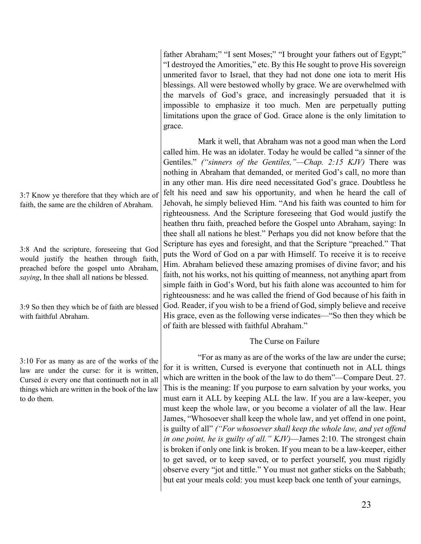father Abraham;" "I sent Moses;" "I brought your fathers out of Egypt;" "I destroyed the Amorities," etc. By this He sought to prove His sovereign unmerited favor to Israel, that they had not done one iota to merit His blessings. All were bestowed wholly by grace. We are overwhelmed with the marvels of God's grace, and increasingly persuaded that it is impossible to emphasize it too much. Men are perpetually putting limitations upon the grace of God. Grace alone is the only limitation to grace.

Mark it well, that Abraham was not a good man when the Lord called him. He was an idolater. Today he would be called "a sinner of the Gentiles." *("sinners of the Gentiles,"—Chap. 2:15 KJV)* There was nothing in Abraham that demanded, or merited God's call, no more than in any other man. His dire need necessitated God's grace. Doubtless he felt his need and saw his opportunity, and when he heard the call of Jehovah, he simply believed Him. "And his faith was counted to him for righteousness. And the Scripture foreseeing that God would justify the heathen thru faith, preached before the Gospel unto Abraham, saying: In thee shall all nations he blest." Perhaps you did not know before that the Scripture has eyes and foresight, and that the Scripture "preached." That puts the Word of God on a par with Himself. To receive it is to receive Him. Abraham believed these amazing promises of divine favor; and his faith, not his works, not his quitting of meanness, not anything apart from simple faith in God's Word, but his faith alone was accounted to him for righteousness: and he was called the friend of God because of his faith in God. Reader, if you wish to be a friend of God, simply believe and receive His grace, even as the following verse indicates—"So then they which be of faith are blessed with faithful Abraham."

# The Curse on Failure

"For as many as are of the works of the law are under the curse; for it is written, Cursed is everyone that continueth not in ALL things which are written in the book of the law to do them"—Compare Deut. 27. This is the meaning: If you purpose to earn salvation by your works, you must earn it ALL by keeping ALL the law. If you are a law-keeper, you must keep the whole law, or you become a violater of all the law. Hear James, "Whosoever shall keep the whole law, and yet offend in one point, is guilty of all" *("For whosoever shall keep the whole law, and yet offend in one point, he is guilty of all." KJV)*—James 2:10. The strongest chain is broken if only one link is broken. If you mean to be a law-keeper, either to get saved, or to keep saved, or to perfect yourself, you must rigidly observe every "jot and tittle." You must not gather sticks on the Sabbath; but eat your meals cold: you must keep back one tenth of your earnings,

3:7 Know ye therefore that they which are of faith, the same are the children of Abraham.

3:8 And the scripture, foreseeing that God would justify the heathen through faith, preached before the gospel unto Abraham, *saying*, In thee shall all nations be blessed.

3:9 So then they which be of faith are blessed with faithful Abraham.

3:10 For as many as are of the works of the law are under the curse: for it is written, Cursed *is* every one that continueth not in all things which are written in the book of the law to do them.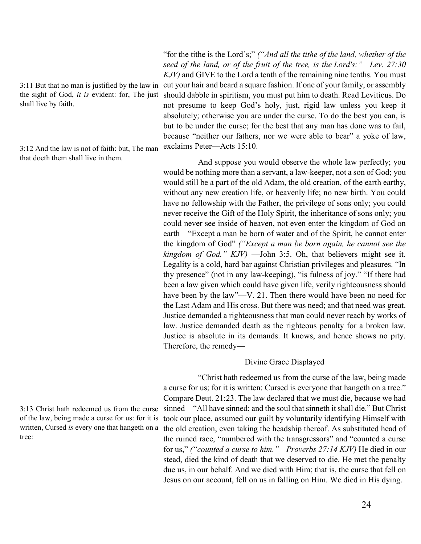3:11 But that no man is justified by the law in the sight of God, *it is* evident: for, The just shall live by faith.

3:12 And the law is not of faith: but, The man that doeth them shall live in them.

3:13 Christ hath redeemed us from the curse of the law, being made a curse for us: for it is written, Cursed *is* every one that hangeth on a tree:

"for the tithe is the Lord's;" *("And all the tithe of the land, whether of the seed of the land, or of the fruit of the tree, is the Lord's:"—Lev. 27:30 KJV)* and GIVE to the Lord a tenth of the remaining nine tenths. You must cut your hair and beard a square fashion. If one of your family, or assembly should dabble in spiritism, you must put him to death. Read Leviticus. Do not presume to keep God's holy, just, rigid law unless you keep it absolutely; otherwise you are under the curse. To do the best you can, is but to be under the curse; for the best that any man has done was to fail, because "neither our fathers, nor we were able to bear" a yoke of law, exclaims Peter—Acts 15:10.

And suppose you would observe the whole law perfectly; you would be nothing more than a servant, a law-keeper, not a son of God; you would still be a part of the old Adam, the old creation, of the earth earthy, without any new creation life, or heavenly life; no new birth. You could have no fellowship with the Father, the privilege of sons only; you could never receive the Gift of the Holy Spirit, the inheritance of sons only; you could never see inside of heaven, not even enter the kingdom of God on earth—"Except a man be born of water and of the Spirit, he cannot enter the kingdom of God" *("Except a man be born again, he cannot see the kingdom of God." KJV)* —John 3:5. Oh, that believers might see it. Legality is a cold, hard bar against Christian privileges and pleasures. "In thy presence" (not in any law-keeping), "is fulness of joy." "If there had been a law given which could have given life, verily righteousness should have been by the law"—V. 21. Then there would have been no need for the Last Adam and His cross. But there was need; and that need was great. Justice demanded a righteousness that man could never reach by works of law. Justice demanded death as the righteous penalty for a broken law. Justice is absolute in its demands. It knows, and hence shows no pity. Therefore, the remedy—

# Divine Grace Displayed

"Christ hath redeemed us from the curse of the law, being made a curse for us; for it is written: Cursed is everyone that hangeth on a tree." Compare Deut. 21:23. The law declared that we must die, because we had sinned—"All have sinned; and the soul that sinneth it shall die." But Christ took our place, assumed our guilt by voluntarily identifying Himself with the old creation, even taking the headship thereof. As substituted head of the ruined race, "numbered with the transgressors" and "counted a curse for us," *("counted a curse to him."—Proverbs 27:14 KJV)* He died in our stead, died the kind of death that we deserved to die. He met the penalty due us, in our behalf. And we died with Him; that is, the curse that fell on Jesus on our account, fell on us in falling on Him. We died in His dying.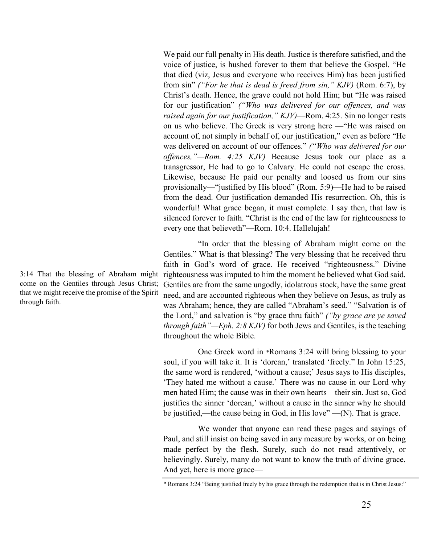We paid our full penalty in His death. Justice is therefore satisfied, and the voice of justice, is hushed forever to them that believe the Gospel. "He that died (viz, Jesus and everyone who receives Him) has been justified from sin" *("For he that is dead is freed from sin," KJV)* (Rom. 6:7), by Christ's death. Hence, the grave could not hold Him; but "He was raised for our justification" *("Who was delivered for our offences, and was raised again for our justification," KJV)*—Rom. 4:25. Sin no longer rests on us who believe. The Greek is very strong here —"He was raised on account of, not simply in behalf of, our justification," even as before "He was delivered on account of our offences." *("Who was delivered for our offences,"—Rom. 4:25 KJV)* Because Jesus took our place as a transgressor, He had to go to Calvary. He could not escape the cross. Likewise, because He paid our penalty and loosed us from our sins provisionally—"justified by His blood" (Rom. 5:9)—He had to be raised from the dead. Our justification demanded His resurrection. Oh, this is wonderful! What grace began, it must complete. I say then, that law is silenced forever to faith. "Christ is the end of the law for righteousness to every one that believeth"—Rom. 10:4. Hallelujah!

"In order that the blessing of Abraham might come on the Gentiles." What is that blessing? The very blessing that he received thru faith in God's word of grace. He received "righteousness." Divine righteousness was imputed to him the moment he believed what God said. Gentiles are from the same ungodly, idolatrous stock, have the same great need, and are accounted righteous when they believe on Jesus, as truly as was Abraham; hence, they are called "Abraham's seed." "Salvation is of the Lord," and salvation is "by grace thru faith" *("by grace are ye saved through faith"—Eph. 2:8 KJV)* for both Jews and Gentiles, is the teaching throughout the whole Bible.

One Greek word in \*Romans 3:24 will bring blessing to your soul, if you will take it. It is 'dorean,' translated 'freely." In John 15:25, the same word is rendered, 'without a cause;' Jesus says to His disciples, 'They hated me without a cause.' There was no cause in our Lord why men hated Him; the cause was in their own hearts—their sin. Just so, God justifies the sinner 'dorean,' without a cause in the sinner why he should be justified,—the cause being in God, in His love" —(N). That is grace.

We wonder that anyone can read these pages and sayings of Paul, and still insist on being saved in any measure by works, or on being made perfect by the flesh. Surely, such do not read attentively, or believingly. Surely, many do not want to know the truth of divine grace. And yet, here is more grace—

3:14 That the blessing of Abraham might come on the Gentiles through Jesus Christ; that we might receive the promise of the Spirit through faith.

<sup>\*</sup> Romans 3:24 "Being justified freely by his grace through the redemption that is in Christ Jesus:"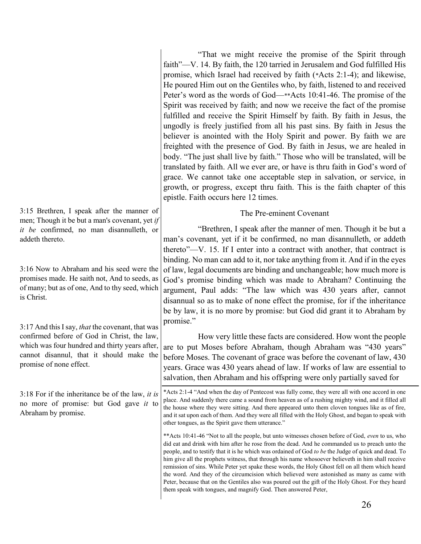"That we might receive the promise of the Spirit through faith"—V. 14. By faith, the 120 tarried in Jerusalem and God fulfilled His promise, which Israel had received by faith (\*Acts 2:1-4); and likewise, He poured Him out on the Gentiles who, by faith, listened to and received Peter's word as the words of God—\*\*Acts 10:41-46. The promise of the Spirit was received by faith; and now we receive the fact of the promise fulfilled and receive the Spirit Himself by faith. By faith in Jesus, the ungodly is freely justified from all his past sins. By faith in Jesus the believer is anointed with the Holy Spirit and power. By faith we are freighted with the presence of God. By faith in Jesus, we are healed in body. "The just shall live by faith." Those who will be translated, will be translated by faith. All we ever are, or have is thru faith in God's word of grace. We cannot take one acceptable step in salvation, or service, in growth, or progress, except thru faith. This is the faith chapter of this epistle. Faith occurs here 12 times.

# The Pre-eminent Covenant

"Brethren, I speak after the manner of men. Though it be but a man's covenant, yet if it be confirmed, no man disannulleth, or addeth thereto"—V. 15. If I enter into a contract with another, that contract is binding. No man can add to it, nor take anything from it. And if in the eyes of law, legal documents are binding and unchangeable; how much more is God's promise binding which was made to Abraham? Continuing the argument, Paul adds: "The law which was 430 years after, cannot disannual so as to make of none effect the promise, for if the inheritance be by law, it is no more by promise: but God did grant it to Abraham by promise."

How very little these facts are considered. How wont the people are to put Moses before Abraham, though Abraham was "430 years" before Moses. The covenant of grace was before the covenant of law, 430 years. Grace was 430 years ahead of law. If works of law are essential to salvation, then Abraham and his offspring were only partially saved for

\*Acts 2:1-4 "And when the day of Pentecost was fully come, they were all with one accord in one place. And suddenly there came a sound from heaven as of a rushing mighty wind, and it filled all the house where they were sitting. And there appeared unto them cloven tongues like as of fire, and it sat upon each of them. And they were all filled with the Holy Ghost, and began to speak with other tongues, as the Spirit gave them utterance."

\*\*Acts 10:41-46 "Not to all the people, but unto witnesses chosen before of God, *even* to us, who did eat and drink with him after he rose from the dead. And he commanded us to preach unto the people, and to testify that it is he which was ordained of God *to be* the Judge of quick and dead. To him give all the prophets witness, that through his name whosoever believeth in him shall receive remission of sins. While Peter yet spake these words, the Holy Ghost fell on all them which heard the word. And they of the circumcision which believed were astonished as many as came with Peter, because that on the Gentiles also was poured out the gift of the Holy Ghost. For they heard them speak with tongues, and magnify God. Then answered Peter,

3:15 Brethren, I speak after the manner of men; Though it be but a man's covenant, yet *if it be* confirmed, no man disannulleth, or addeth thereto.

3:16 Now to Abraham and his seed were the promises made. He saith not, And to seeds, as of many; but as of one, And to thy seed, which is Christ.

3:17 And this Isay, *that* the covenant, that was confirmed before of God in Christ, the law, which was four hundred and thirty years after, cannot disannul, that it should make the promise of none effect.

3:18 For if the inheritance be of the law, *it is* no more of promise: but God gave *it* to Abraham by promise.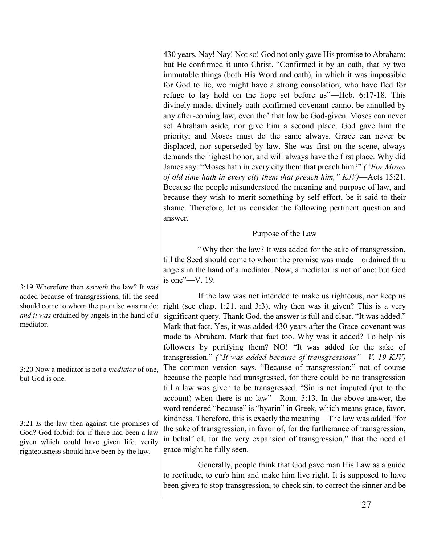430 years. Nay! Nay! Not so! God not only gave His promise to Abraham; but He confirmed it unto Christ. "Confirmed it by an oath, that by two immutable things (both His Word and oath), in which it was impossible for God to lie, we might have a strong consolation, who have fled for refuge to lay hold on the hope set before us"—Heb. 6:17-18. This divinely-made, divinely-oath-confirmed covenant cannot be annulled by any after-coming law, even tho' that law be God-given. Moses can never set Abraham aside, nor give him a second place. God gave him the priority; and Moses must do the same always. Grace can never be displaced, nor superseded by law. She was first on the scene, always demands the highest honor, and will always have the first place. Why did James say: "Moses hath in every city them that preach him?" *("For Moses of old time hath in every city them that preach him," KJV)*—Acts 15:21. Because the people misunderstood the meaning and purpose of law, and because they wish to merit something by self-effort, be it said to their shame. Therefore, let us consider the following pertinent question and answer.

# Purpose of the Law

"Why then the law? It was added for the sake of transgression, till the Seed should come to whom the promise was made—ordained thru angels in the hand of a mediator. Now, a mediator is not of one; but God is one"—V. 19.

If the law was not intended to make us righteous, nor keep us right (see chap. 1:21. and 3:3), why then was it given? This is a very significant query. Thank God, the answer is full and clear. "It was added." Mark that fact. Yes, it was added 430 years after the Grace-covenant was made to Abraham. Mark that fact too. Why was it added? To help his followers by purifying them? NO! "It was added for the sake of transgression." *("It was added because of transgressions"—V. 19 KJV)* The common version says, "Because of transgression;" not of course because the people had transgressed, for there could be no transgression till a law was given to be transgressed. "Sin is not imputed (put to the account) when there is no law"—Rom. 5:13. In the above answer, the word rendered "because" is "hyarin" in Greek, which means grace, favor, kindness. Therefore, this is exactly the meaning—The law was added "for the sake of transgression, in favor of, for the furtherance of transgression, in behalf of, for the very expansion of transgression," that the need of grace might be fully seen.

Generally, people think that God gave man His Law as a guide to rectitude, to curb him and make him live right. It is supposed to have been given to stop transgression, to check sin, to correct the sinner and be

3:19 Wherefore then *serveth* the law? It was added because of transgressions, till the seed should come to whom the promise was made; *and it was* ordained by angels in the hand of a mediator.

3:20 Now a mediator is not a *mediator* of one, but God is one.

3:21 *Is* the law then against the promises of God? God forbid: for if there had been a law given which could have given life, verily righteousness should have been by the law.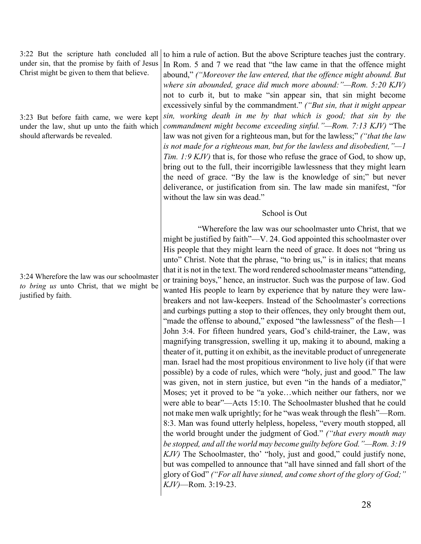3:22 But the scripture hath concluded all under sin, that the promise by faith of Jesus Christ might be given to them that believe.

3:23 But before faith came, we were kept under the law, shut up unto the faith which should afterwards be revealed.

3:24 Wherefore the law was our schoolmaster *to bring us* unto Christ, that we might be justified by faith.

to him a rule of action. But the above Scripture teaches just the contrary. In Rom. 5 and 7 we read that "the law came in that the offence might abound," *("Moreover the law entered, that the offence might abound. But where sin abounded, grace did much more abound:"—Rom. 5:20 KJV)* not to curb it, but to make "sin appear sin, that sin might become excessively sinful by the commandment." *("But sin, that it might appear sin, working death in me by that which is good; that sin by the commandment might become exceeding sinful."—Rom. 7:13 KJV)* "The law was not given for a righteous man, but for the lawless;" *("that the law is not made for a righteous man, but for the lawless and disobedient,"—1 Tim. 1:9 KJV)* that is, for those who refuse the grace of God, to show up, bring out to the full, their incorrigible lawlessness that they might learn the need of grace. "By the law is the knowledge of sin;" but never deliverance, or justification from sin. The law made sin manifest, "for without the law sin was dead."

## School is Out

"Wherefore the law was our schoolmaster unto Christ, that we might be justified by faith"—V. 24. God appointed this schoolmaster over His people that they might learn the need of grace. It does not "bring us unto" Christ. Note that the phrase, "to bring us," is in italics; that means that it is not in the text. The word rendered schoolmaster means "attending, or training boys," hence, an instructor. Such was the purpose of law. God wanted His people to learn by experience that by nature they were lawbreakers and not law-keepers. Instead of the Schoolmaster's corrections and curbings putting a stop to their offences, they only brought them out, "made the offense to abound," exposed "the lawlessness" of the flesh—1 John 3:4. For fifteen hundred years, God's child-trainer, the Law, was magnifying transgression, swelling it up, making it to abound, making a theater of it, putting it on exhibit, as the inevitable product of unregenerate man. Israel had the most propitious environment to live holy (if that were possible) by a code of rules, which were "holy, just and good." The law was given, not in stern justice, but even "in the hands of a mediator," Moses; yet it proved to be "a yoke…which neither our fathers, nor we were able to bear"—Acts 15:10. The Schoolmaster blushed that he could not make men walk uprightly; for he "was weak through the flesh"—Rom. 8:3. Man was found utterly helpless, hopeless, "every mouth stopped, all the world brought under the judgment of God." *("that every mouth may be stopped, and all the world may become guilty before God."—Rom. 3:19 KJV)* The Schoolmaster, tho' "holy, just and good," could justify none, but was compelled to announce that "all have sinned and fall short of the glory of God" *("For all have sinned, and come short of the glory of God;" KJV)*—Rom. 3:19-23.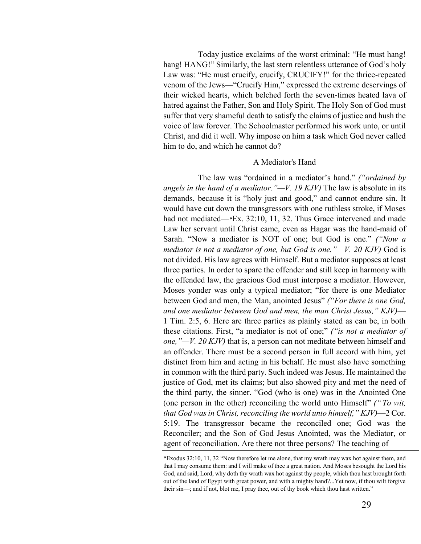Today justice exclaims of the worst criminal: "He must hang! hang! HANG!" Similarly, the last stern relentless utterance of God's holy Law was: "He must crucify, crucify, CRUCIFY!" for the thrice-repeated venom of the Jews—"Crucify Him," expressed the extreme deservings of their wicked hearts, which belched forth the seven-times heated lava of hatred against the Father, Son and Holy Spirit. The Holy Son of God must suffer that very shameful death to satisfy the claims of justice and hush the voice of law forever. The Schoolmaster performed his work unto, or until Christ, and did it well. Why impose on him a task which God never called him to do, and which he cannot do?

### A Mediator's Hand

The law was "ordained in a mediator's hand." *("ordained by angels in the hand of a mediator."—V. 19 KJV)* The law is absolute in its demands, because it is "holy just and good," and cannot endure sin. It would have cut down the transgressors with one ruthless stroke, if Moses had not mediated—\*Ex. 32:10, 11, 32. Thus Grace intervened and made Law her servant until Christ came, even as Hagar was the hand-maid of Sarah. "Now a mediator is NOT of one; but God is one." *("Now a mediator is not a mediator of one, but God is one."—V. 20 KJV)* God is not divided. His law agrees with Himself. But a mediator supposes at least three parties. In order to spare the offender and still keep in harmony with the offended law, the gracious God must interpose a mediator. However, Moses yonder was only a typical mediator; "for there is one Mediator between God and men, the Man, anointed Jesus" *("For there is one God, and one mediator between God and men, the man Christ Jesus," KJV)*— 1 Tim. 2:5, 6. Here are three parties as plainly stated as can be, in both these citations. First, "a mediator is not of one;" *("is not a mediator of one,"—V. 20 KJV)* that is, a person can not meditate between himself and an offender. There must be a second person in full accord with him, yet distinct from him and acting in his behalf. He must also have something in common with the third party. Such indeed was Jesus. He maintained the justice of God, met its claims; but also showed pity and met the need of the third party, the sinner. "God (who is one) was in the Anointed One (one person in the other) reconciling the world unto Himself" *(" To wit, that God was in Christ, reconciling the world unto himself," KJV)*—2 Cor. 5:19. The transgressor became the reconciled one; God was the Reconciler; and the Son of God Jesus Anointed, was the Mediator, or agent of reconciliation. Are there not three persons? The teaching of

<sup>\*</sup>Exodus 32:10, 11, 32 "Now therefore let me alone, that my wrath may wax hot against them, and that I may consume them: and I will make of thee a great nation. And Moses besought the Lord his God, and said, Lord, why doth thy wrath wax hot against thy people, which thou hast brought forth out of the land of Egypt with great power, and with a mighty hand?...Yet now, if thou wilt forgive their sin—; and if not, blot me, I pray thee, out of thy book which thou hast written."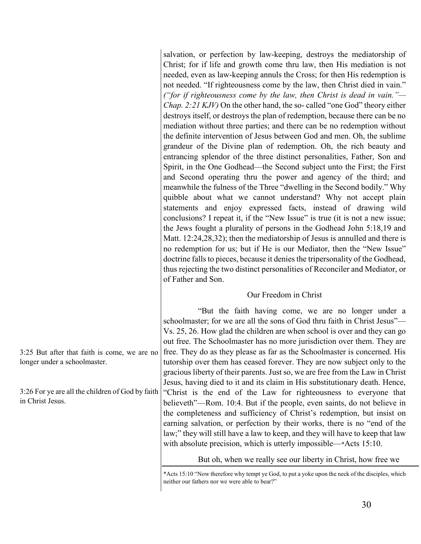salvation, or perfection by law-keeping, destroys the mediatorship of Christ; for if life and growth come thru law, then His mediation is not needed, even as law-keeping annuls the Cross; for then His redemption is not needed. "If righteousness come by the law, then Christ died in vain." *("for if righteousness come by the law, then Christ is dead in vain."— Chap. 2:21 KJV)* On the other hand, the so- called "one God" theory either destroys itself, or destroys the plan of redemption, because there can be no mediation without three parties; and there can be no redemption without the definite intervention of Jesus between God and men. Oh, the sublime grandeur of the Divine plan of redemption. Oh, the rich beauty and entrancing splendor of the three distinct personalities, Father, Son and Spirit, in the One Godhead—the Second subject unto the First; the First and Second operating thru the power and agency of the third; and meanwhile the fulness of the Three "dwelling in the Second bodily." Why quibble about what we cannot understand? Why not accept plain statements and enjoy expressed facts, instead of drawing wild conclusions? I repeat it, if the "New Issue" is true (it is not a new issue; the Jews fought a plurality of persons in the Godhead John 5:18,19 and Matt. 12:24,28,32); then the mediatorship of Jesus is annulled and there is no redemption for us; but if He is our Mediator, then the "New Issue" doctrine falls to pieces, because it denies the tripersonality of the Godhead, thus rejecting the two distinct personalities of Reconciler and Mediator, or of Father and Son.

#### Our Freedom in Christ

"But the faith having come, we are no longer under a schoolmaster; for we are all the sons of God thru faith in Christ Jesus"— Vs. 25, 26. How glad the children are when school is over and they can go out free. The Schoolmaster has no more jurisdiction over them. They are free. They do as they please as far as the Schoolmaster is concerned. His tutorship over them has ceased forever. They are now subject only to the gracious liberty of their parents. Just so, we are free from the Law in Christ Jesus, having died to it and its claim in His substitutionary death. Hence, "Christ is the end of the Law for righteousness to everyone that believeth"—Rom. 10:4. But if the people, even saints, do not believe in the completeness and sufficiency of Christ's redemption, but insist on earning salvation, or perfection by their works, there is no "end of the law;" they will still have a law to keep, and they will have to keep that law with absolute precision, which is utterly impossible—\*Acts 15:10.

But oh, when we really see our liberty in Christ, how free we

\*Acts 15:10 "Now therefore why tempt ye God, to put a yoke upon the neck of the disciples, which neither our fathers nor we were able to bear?"

3:25 But after that faith is come, we are no longer under a schoolmaster.

3:26 For ye are all the children of God by faith in Christ Jesus.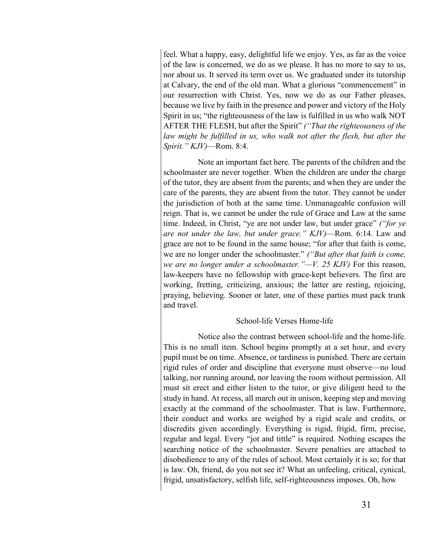feel. What a happy, easy, delightful life we enjoy. Yes, as far as the voice of the law is concerned, we do as we please. It has no more to say to us, nor about us. It served its term over us. We graduated under its tutorship at Calvary, the end of the old man. What a glorious "commencement" in our resurrection with Christ. Yes, now we do as our Father pleases, because we live by faith in the presence and power and victory of the Holy Spirit in us; "the righteousness of the law is fulfilled in us who walk NOT AFTER THE FLESH, but after the Spirit" *("That the righteousness of the law might be fulfilled in us, who walk not after the flesh, but after the Spirit." KJV)*—Rom. 8:4.

Note an important fact here. The parents of the children and the schoolmaster are never together. When the children are under the charge of the tutor, they are absent from the parents; and when they are under the care of the parents, they are absent from the tutor. They cannot be under the jurisdiction of both at the same time. Unmanageable confusion will reign. That is, we cannot be under the rule of Grace and Law at the same time. Indeed, in Christ, "ye are not under law, but under grace" *("for ye are not under the law, but under grace." KJV)*—Rom. 6:14. Law and grace are not to be found in the same house; "for after that faith is come, we are no longer under the schoolmaster." *("But after that faith is come, we are no longer under a schoolmaster."—V. 25 KJV)* For this reason, law-keepers have no fellowship with grace-kept believers. The first are working, fretting, criticizing, anxious; the latter are resting, rejoicing, praying, believing. Sooner or later, one of these parties must pack trunk and travel.

#### School-life Verses Home-life

Notice also the contrast between school-life and the home-life. This is no small item. School begins promptly at a set hour, and every pupil must be on time. Absence, or tardiness is punished. There are certain rigid rules of order and discipline that everyone must observe—no loud talking, nor running around, nor leaving the room without permission. All must sit erect and either listen to the tutor, or give diligent heed to the study in hand. At recess, all march out in unison, keeping step and moving exactly at the command of the schoolmaster. That is law. Furthermore, their conduct and works are weighed by a rigid scale and credits, or discredits given accordingly. Everything is rigid, frigid, firm, precise, regular and legal. Every "jot and tittle" is required. Nothing escapes the searching notice of the schoolmaster. Severe penalties are attached to disobedience to any of the rules of school. Most certainly it is so; for that is law. Oh, friend, do you not see it? What an unfeeling, critical, cynical, frigid, unsatisfactory, selfish life, self-righteousness imposes. Oh, how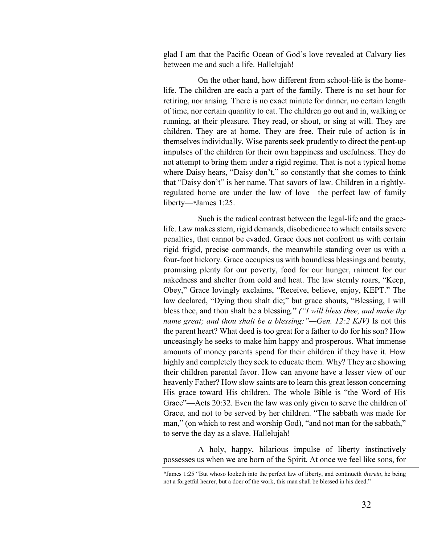glad I am that the Pacific Ocean of God's love revealed at Calvary lies between me and such a life. Hallelujah!

On the other hand, how different from school-life is the homelife. The children are each a part of the family. There is no set hour for retiring, nor arising. There is no exact minute for dinner, no certain length of time, nor certain quantity to eat. The children go out and in, walking or running, at their pleasure. They read, or shout, or sing at will. They are children. They are at home. They are free. Their rule of action is in themselves individually. Wise parents seek prudently to direct the pent-up impulses of the children for their own happiness and usefulness. They do not attempt to bring them under a rigid regime. That is not a typical home where Daisy hears, "Daisy don't," so constantly that she comes to think that "Daisy don't" is her name. That savors of law. Children in a rightlyregulated home are under the law of love—the perfect law of family liberty—\*James 1:25.

Such is the radical contrast between the legal-life and the gracelife. Law makes stern, rigid demands, disobedience to which entails severe penalties, that cannot be evaded. Grace does not confront us with certain rigid frigid, precise commands, the meanwhile standing over us with a four-foot hickory. Grace occupies us with boundless blessings and beauty, promising plenty for our poverty, food for our hunger, raiment for our nakedness and shelter from cold and heat. The law sternly roars, "Keep, Obey," Grace lovingly exclaims, "Receive, believe, enjoy, KEPT." The law declared, "Dying thou shalt die;" but grace shouts, "Blessing, I will bless thee, and thou shalt be a blessing." *("I will bless thee, and make thy name great; and thou shalt be a blessing:"—Gen. 12:2 KJV)* Is not this the parent heart? What deed is too great for a father to do for his son? How unceasingly he seeks to make him happy and prosperous. What immense amounts of money parents spend for their children if they have it. How highly and completely they seek to educate them. Why? They are showing their children parental favor. How can anyone have a lesser view of our heavenly Father? How slow saints are to learn this great lesson concerning His grace toward His children. The whole Bible is "the Word of His Grace"—Acts 20:32. Even the law was only given to serve the children of Grace, and not to be served by her children. "The sabbath was made for man," (on which to rest and worship God), "and not man for the sabbath," to serve the day as a slave. Hallelujah!

A holy, happy, hilarious impulse of liberty instinctively possesses us when we are born of the Spirit. At once we feel like sons, for

<sup>\*</sup>James 1:25 "But whoso looketh into the perfect law of liberty, and continueth *therein*, he being not a forgetful hearer, but a doer of the work, this man shall be blessed in his deed."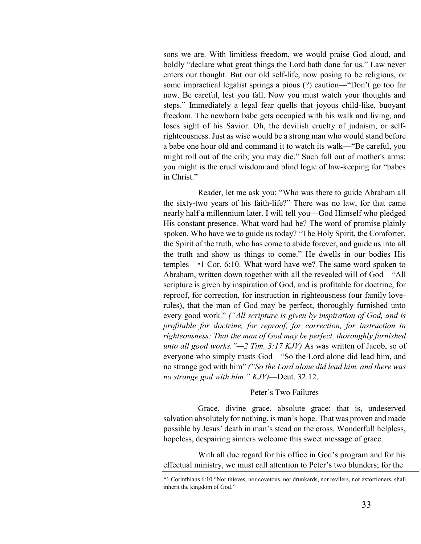sons we are. With limitless freedom, we would praise God aloud, and boldly "declare what great things the Lord hath done for us." Law never enters our thought. But our old self-life, now posing to be religious, or some impractical legalist springs a pious (?) caution—"Don't go too far now. Be careful, lest you fall. Now you must watch your thoughts and steps." Immediately a legal fear quells that joyous child-like, buoyant freedom. The newborn babe gets occupied with his walk and living, and loses sight of his Savior. Oh, the devilish cruelty of judaism, or selfrighteousness. Just as wise would be a strong man who would stand before a babe one hour old and command it to watch its walk—"Be careful, you might roll out of the crib; you may die." Such fall out of mother's arms; you might is the cruel wisdom and blind logic of law-keeping for "babes in Christ."

Reader, let me ask you: "Who was there to guide Abraham all the sixty-two years of his faith-life?" There was no law, for that came nearly half a millennium later. I will tell you—God Himself who pledged His constant presence. What word had he? The word of promise plainly spoken. Who have we to guide us today? "The Holy Spirit, the Comforter, the Spirit of the truth, who has come to abide forever, and guide us into all the truth and show us things to come." He dwells in our bodies His temples—\*1 Cor. 6:10. What word have we? The same word spoken to Abraham, written down together with all the revealed will of God—"All scripture is given by inspiration of God, and is profitable for doctrine, for reproof, for correction, for instruction in righteousness (our family loverules), that the man of God may be perfect, thoroughly furnished unto every good work." *("All scripture is given by inspiration of God, and is profitable for doctrine, for reproof, for correction, for instruction in righteousness: That the man of God may be perfect, thoroughly furnished unto all good works."—2 Tim. 3:17 KJV)* As was written of Jacob, so of everyone who simply trusts God—"So the Lord alone did lead him, and no strange god with him" *("So the Lord alone did lead him, and there was no strange god with him." KJV)*—Deut. 32:12.

#### Peter's Two Failures

Grace, divine grace, absolute grace; that is, undeserved salvation absolutely for nothing, is man's hope. That was proven and made possible by Jesus' death in man's stead on the cross. Wonderful! helpless, hopeless, despairing sinners welcome this sweet message of grace.

With all due regard for his office in God's program and for his effectual ministry, we must call attention to Peter's two blunders; for the

<sup>\*1</sup> Corinthians 6:10 "Nor thieves, nor covetous, nor drunkards, nor revilers, nor extortioners, shall inherit the kingdom of God."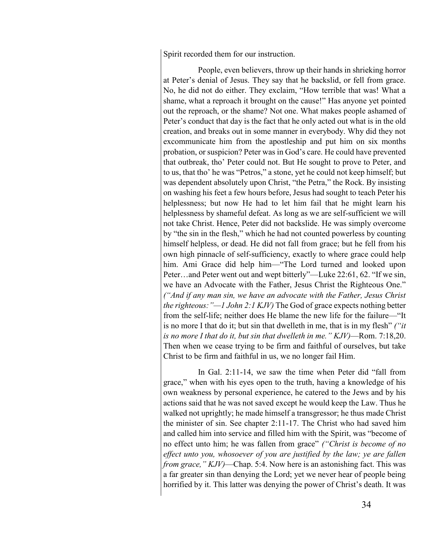Spirit recorded them for our instruction.

People, even believers, throw up their hands in shrieking horror at Peter's denial of Jesus. They say that he backslid, or fell from grace. No, he did not do either. They exclaim, "How terrible that was! What a shame, what a reproach it brought on the cause!" Has anyone yet pointed out the reproach, or the shame? Not one. What makes people ashamed of Peter's conduct that day is the fact that he only acted out what is in the old creation, and breaks out in some manner in everybody. Why did they not excommunicate him from the apostleship and put him on six months probation, or suspicion? Peter was in God's care. He could have prevented that outbreak, tho' Peter could not. But He sought to prove to Peter, and to us, that tho' he was "Petros," a stone, yet he could not keep himself; but was dependent absolutely upon Christ, "the Petra," the Rock. By insisting on washing his feet a few hours before, Jesus had sought to teach Peter his helplessness; but now He had to let him fail that he might learn his helplessness by shameful defeat. As long as we are self-sufficient we will not take Christ. Hence, Peter did not backslide. He was simply overcome by "the sin in the flesh," which he had not counted powerless by counting himself helpless, or dead. He did not fall from grace; but he fell from his own high pinnacle of self-sufficiency, exactly to where grace could help him. Ami Grace did help him—"The Lord turned and looked upon Peter…and Peter went out and wept bitterly"—Luke 22:61, 62. "If we sin, we have an Advocate with the Father, Jesus Christ the Righteous One." *("And if any man sin, we have an advocate with the Father, Jesus Christ the righteous:"—1 John 2:1 KJV)* The God of grace expects nothing better from the self-life; neither does He blame the new life for the failure—"It is no more I that do it; but sin that dwelleth in me, that is in my flesh" *("it is no more I that do it, but sin that dwelleth in me." KJV)*—Rom. 7:18,20. Then when we cease trying to be firm and faithful of ourselves, but take Christ to be firm and faithful in us, we no longer fail Him.

In Gal. 2:11-14, we saw the time when Peter did "fall from grace," when with his eyes open to the truth, having a knowledge of his own weakness by personal experience, he catered to the Jews and by his actions said that he was not saved except he would keep the Law. Thus he walked not uprightly; he made himself a transgressor; he thus made Christ the minister of sin. See chapter 2:11-17. The Christ who had saved him and called him into service and filled him with the Spirit, was "become of no effect unto him; he was fallen from grace" *("Christ is become of no effect unto you, whosoever of you are justified by the law; ye are fallen from grace," KJV)*—Chap. 5:4. Now here is an astonishing fact. This was a far greater sin than denying the Lord; yet we never hear of people being horrified by it. This latter was denying the power of Christ's death. It was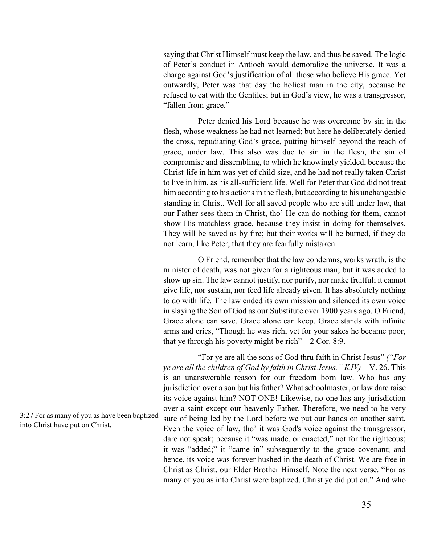saying that Christ Himself must keep the law, and thus be saved. The logic of Peter's conduct in Antioch would demoralize the universe. It was a charge against God's justification of all those who believe His grace. Yet outwardly, Peter was that day the holiest man in the city, because he refused to eat with the Gentiles; but in God's view, he was a transgressor, "fallen from grace."

Peter denied his Lord because he was overcome by sin in the flesh, whose weakness he had not learned; but here he deliberately denied the cross, repudiating God's grace, putting himself beyond the reach of grace, under law. This also was due to sin in the flesh, the sin of compromise and dissembling, to which he knowingly yielded, because the Christ-life in him was yet of child size, and he had not really taken Christ to live in him, as his all-sufficient life. Well for Peter that God did not treat him according to his actions in the flesh, but according to his unchangeable standing in Christ. Well for all saved people who are still under law, that our Father sees them in Christ, tho' He can do nothing for them, cannot show His matchless grace, because they insist in doing for themselves. They will be saved as by fire; but their works will be burned, if they do not learn, like Peter, that they are fearfully mistaken.

O Friend, remember that the law condemns, works wrath, is the minister of death, was not given for a righteous man; but it was added to show up sin. The law cannot justify, nor purify, nor make fruitful; it cannot give life, nor sustain, nor feed life already given. It has absolutely nothing to do with life. The law ended its own mission and silenced its own voice in slaying the Son of God as our Substitute over 1900 years ago. O Friend, Grace alone can save. Grace alone can keep. Grace stands with infinite arms and cries, "Though he was rich, yet for your sakes he became poor, that ye through his poverty might be rich"—2 Cor. 8:9.

"For ye are all the sons of God thru faith in Christ Jesus" *("For ye are all the children of God by faith in Christ Jesus." KJV)*—V. 26. This is an unanswerable reason for our freedom born law. Who has any jurisdiction over a son but his father? What schoolmaster, or law dare raise its voice against him? NOT ONE! Likewise, no one has any jurisdiction over a saint except our heavenly Father. Therefore, we need to be very sure of being led by the Lord before we put our hands on another saint. Even the voice of law, tho' it was God's voice against the transgressor, dare not speak; because it "was made, or enacted," not for the righteous; it was "added;" it "came in" subsequently to the grace covenant; and hence, its voice was forever hushed in the death of Christ. We are free in Christ as Christ, our Elder Brother Himself. Note the next verse. "For as many of you as into Christ were baptized, Christ ye did put on." And who

3:27 For as many of you as have been baptized into Christ have put on Christ.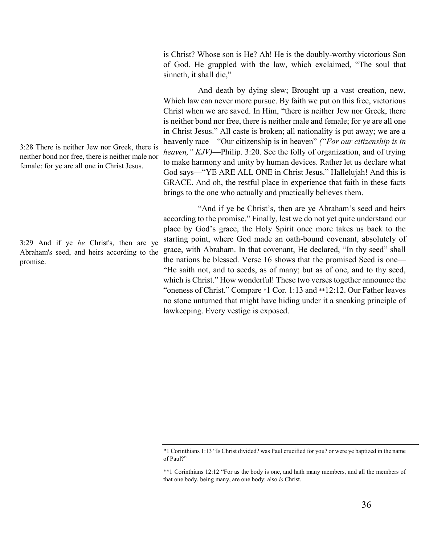3:28 There is neither Jew nor Greek, there is neither bond nor free, there is neither male nor female: for ye are all one in Christ Jesus.

3:29 And if ye *be* Christ's, then are ye Abraham's seed, and heirs according to the promise.

is Christ? Whose son is He? Ah! He is the doubly-worthy victorious Son of God. He grappled with the law, which exclaimed, "The soul that sinneth, it shall die,"

And death by dying slew; Brought up a vast creation, new, Which law can never more pursue. By faith we put on this free, victorious Christ when we are saved. In Him, "there is neither Jew nor Greek, there is neither bond nor free, there is neither male and female; for ye are all one in Christ Jesus." All caste is broken; all nationality is put away; we are a heavenly race—"Our citizenship is in heaven" *("For our citizenship is in heaven," KJV)*—Philip. 3:20. See the folly of organization, and of trying to make harmony and unity by human devices. Rather let us declare what God says—"YE ARE ALL ONE in Christ Jesus." Hallelujah! And this is GRACE. And oh, the restful place in experience that faith in these facts brings to the one who actually and practically believes them.

"And if ye be Christ's, then are ye Abraham's seed and heirs according to the promise." Finally, lest we do not yet quite understand our place by God's grace, the Holy Spirit once more takes us back to the starting point, where God made an oath-bound covenant, absolutely of grace, with Abraham. In that covenant, He declared, "In thy seed" shall the nations be blessed. Verse 16 shows that the promised Seed is one— "He saith not, and to seeds, as of many; but as of one, and to thy seed, which is Christ." How wonderful! These two verses together announce the "oneness of Christ." Compare \*1 Cor. 1:13 and \*\*12:12. Our Father leaves no stone unturned that might have hiding under it a sneaking principle of lawkeeping. Every vestige is exposed.

<sup>\*1</sup> Corinthians 1:13 "Is Christ divided? was Paul crucified for you? or were ye baptized in the name of Paul?"

<sup>\*\*1</sup> Corinthians 12:12 "For as the body is one, and hath many members, and all the members of that one body, being many, are one body: also *is* Christ.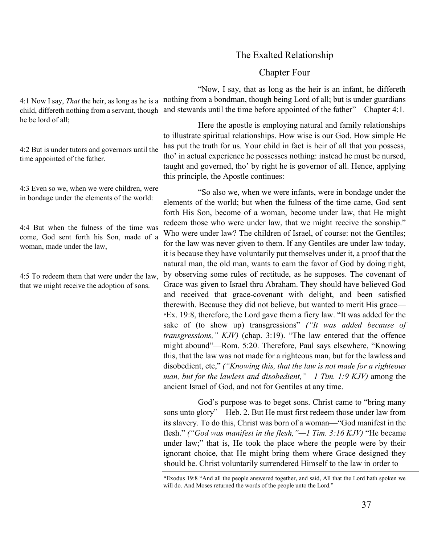|                                                                                                                   | The Exalted Relationship                                                                                                                                                                                                                                                                                                                                                                                                                                                                                                                                                                                                                                                                                                                                                                                                                                                                            |
|-------------------------------------------------------------------------------------------------------------------|-----------------------------------------------------------------------------------------------------------------------------------------------------------------------------------------------------------------------------------------------------------------------------------------------------------------------------------------------------------------------------------------------------------------------------------------------------------------------------------------------------------------------------------------------------------------------------------------------------------------------------------------------------------------------------------------------------------------------------------------------------------------------------------------------------------------------------------------------------------------------------------------------------|
|                                                                                                                   | <b>Chapter Four</b>                                                                                                                                                                                                                                                                                                                                                                                                                                                                                                                                                                                                                                                                                                                                                                                                                                                                                 |
| 4:1 Now I say, <i>That</i> the heir, as long as he is a<br>child, differeth nothing from a servant, though        | "Now, I say, that as long as the heir is an infant, he differeth<br>nothing from a bondman, though being Lord of all; but is under guardians<br>and stewards until the time before appointed of the father"—Chapter 4:1.<br>Here the apostle is employing natural and family relationships<br>to illustrate spiritual relationships. How wise is our God. How simple He<br>has put the truth for us. Your child in fact is heir of all that you possess,<br>tho' in actual experience he possesses nothing: instead he must be nursed,<br>taught and governed, tho' by right he is governor of all. Hence, applying<br>this principle, the Apostle continues:                                                                                                                                                                                                                                       |
| he be lord of all;<br>4:2 But is under tutors and governors until the<br>time appointed of the father.            |                                                                                                                                                                                                                                                                                                                                                                                                                                                                                                                                                                                                                                                                                                                                                                                                                                                                                                     |
| 4:3 Even so we, when we were children, were<br>in bondage under the elements of the world:                        | "So also we, when we were infants, were in bondage under the<br>elements of the world; but when the fulness of the time came, God sent<br>forth His Son, become of a woman, become under law, that He might<br>redeem those who were under law, that we might receive the sonship."<br>Who were under law? The children of Israel, of course: not the Gentiles;<br>for the law was never given to them. If any Gentiles are under law today,<br>it is because they have voluntarily put themselves under it, a proof that the<br>natural man, the old man, wants to earn the favor of God by doing right,                                                                                                                                                                                                                                                                                           |
| 4:4 But when the fulness of the time was<br>come, God sent forth his Son, made of a<br>woman, made under the law, |                                                                                                                                                                                                                                                                                                                                                                                                                                                                                                                                                                                                                                                                                                                                                                                                                                                                                                     |
| 4:5 To redeem them that were under the law,<br>that we might receive the adoption of sons.                        | by observing some rules of rectitude, as he supposes. The covenant of<br>Grace was given to Israel thru Abraham. They should have believed God<br>and received that grace-covenant with delight, and been satisfied<br>therewith. Because they did not believe, but wanted to merit His grace—<br>*Ex. 19:8, therefore, the Lord gave them a fiery law. "It was added for the<br>sake of (to show up) transgressions" ("It was added because of<br>transgressions," KJV) (chap. 3:19). "The law entered that the offence<br>might abound"—Rom. 5:20. Therefore, Paul says elsewhere, "Knowing<br>this, that the law was not made for a righteous man, but for the lawless and<br>disobedient, etc," ("Knowing this, that the law is not made for a righteous<br>man, but for the lawless and disobedient, $"-1$ Tim. 1:9 KJV) among the<br>ancient Israel of God, and not for Gentiles at any time. |
|                                                                                                                   | God's purpose was to beget sons. Christ came to "bring many"<br>sons unto glory"—Heb. 2. But He must first redeem those under law from<br>its slavery. To do this, Christ was born of a woman—"God manifest in the<br>flesh." ("God was manifest in the flesh, " $-1$ Tim. 3:16 KJV) "He became<br>under law;" that is, He took the place where the people were by their<br>ignorant choice, that He might bring them where Grace designed they                                                                                                                                                                                                                                                                                                                                                                                                                                                     |

<sup>\*</sup>Exodus 19:8 "And all the people answered together, and said, All that the Lord hath spoken we will do. And Moses returned the words of the people unto the Lord."

should be. Christ voluntarily surrendered Himself to the law in order to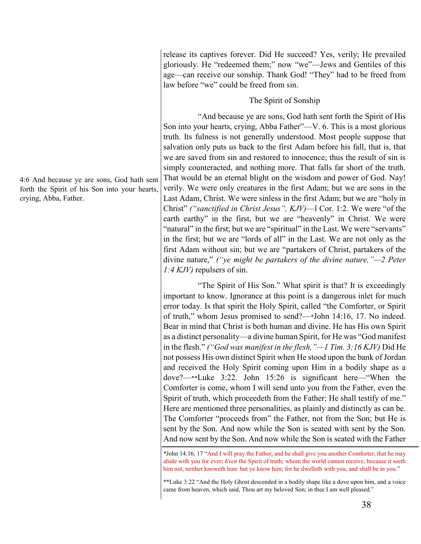release its captives forever. Did He succeed? Yes, verily; He prevailed gloriously. He "redeemed them;" now "we"—Jews and Gentiles of this age—can receive our sonship. Thank God! "They" had to be freed from law before "we" could be freed from sin.

## The Spirit of Sonship

"And because ye are sons, God hath sent forth the Spirit of His Son into your hearts, crying, Abba Father"—V. 6. This is a most glorious truth. Its fulness is not generally understood. Most people suppose that salvation only puts us back to the first Adam before his fall, that is, that we are saved from sin and restored to innocence; thus the result of sin is simply counteracted, and nothing more. That falls far short of the truth. That would be an eternal blight on the wisdom and power of God. Nay! verily. We were only creatures in the first Adam; but we are sons in the Last Adam, Christ. We were sinless in the first Adam; but we are "holy in Christ" *("sanctified in Christ Jesus", KJV)*—l Cor. 1:2. We were "of the earth earthy" in the first, but we are "heavenly" in Christ. We were "natural" in the first; but we are "spiritual" in the Last. We were "servants" in the first; but we are "lords of all" in the Last. We are not only as the first Adam without sin; but we are "partakers of Christ, partakers of the divine nature," *("ye might be partakers of the divine nature,"—2 Peter 1:4 KJV)* repulsers of sin.

"The Spirit of His Son." What spirit is that? It is exceedingly important to know. Ignorance at this point is a dangerous inlet for much error today. Is that spirit the Holy Spirit, called "the Comforter, or Spirit of truth," whom Jesus promised to send?—\*John 14:16, 17. No indeed. Bear in mind that Christ is both human and divine. He has His own Spirit as a distinct personality—a divine human Spirit, for He was "God manifest in the flesh." *("God was manifest in the flesh,"—1 Tim. 3:16 KJV)* Did He not possess His own distinct Spirit when He stood upon the bank of Jordan and received the Holy Spirit coming upon Him in a bodily shape as a dove?—\*\*Luke 3:22. John 15:26 is significant here—"When the Comforter is come, whom I will send unto you from the Father, even the Spirit of truth, which proceedeth from the Father; He shall testify of me." Here are mentioned three personalities, as plainly and distinctly as can be. The Comforter "proceeds from" the Father, not from the Son; but He is sent by the Son. And now while the Son is seated with sent by the Son. And now sent by the Son. And now while the Son is seated with the Father

\*John 14:16, 17 "And I will pray the Father, and he shall give you another Comforter, that he may abide with you for ever; *Even* the Spirit of truth; whom the world cannot receive, because it seeth him not, neither knoweth him: but ye know him; for he dwelleth with you, and shall be in you."

\*\*Luke 3:22 "And the Holy Ghost descended in a bodily shape like a dove upon him, and a voice came from heaven, which said, Thou art my beloved Son; in thee I am well pleased."

4:6 And because ye are sons, God hath sent forth the Spirit of his Son into your hearts, crying, Abba, Father.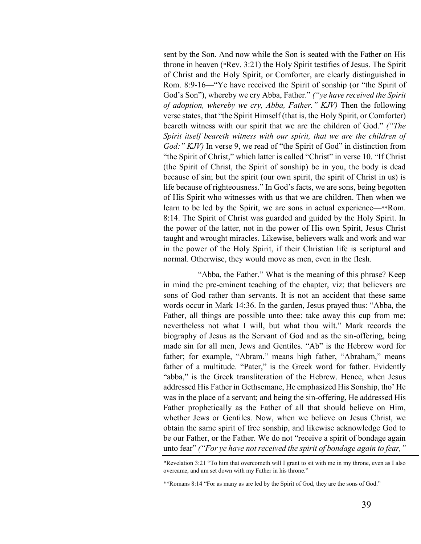sent by the Son. And now while the Son is seated with the Father on His throne in heaven (\*Rev. 3:21) the Holy Spirit testifies of Jesus. The Spirit of Christ and the Holy Spirit, or Comforter, are clearly distinguished in Rom. 8:9-16—"Ye have received the Spirit of sonship (or "the Spirit of God's Son"), whereby we cry Abba, Father." *("ye have received the Spirit of adoption, whereby we cry, Abba, Father." KJV)* Then the following verse states, that "the Spirit Himself (that is, the Holy Spirit, or Comforter) beareth witness with our spirit that we are the children of God." *("The Spirit itself beareth witness with our spirit, that we are the children of God:" KJV)* In verse 9, we read of "the Spirit of God" in distinction from "the Spirit of Christ," which latter is called "Christ" in verse 10. "If Christ (the Spirit of Christ, the Spirit of sonship) be in you, the body is dead because of sin; but the spirit (our own spirit, the spirit of Christ in us) is life because of righteousness." In God's facts, we are sons, being begotten of His Spirit who witnesses with us that we are children. Then when we learn to be led by the Spirit, we are sons in actual experience—\*\*Rom. 8:14. The Spirit of Christ was guarded and guided by the Holy Spirit. In the power of the latter, not in the power of His own Spirit, Jesus Christ taught and wrought miracles. Likewise, believers walk and work and war in the power of the Holy Spirit, if their Christian life is scriptural and normal. Otherwise, they would move as men, even in the flesh.

"Abba, the Father." What is the meaning of this phrase? Keep in mind the pre-eminent teaching of the chapter, viz; that believers are sons of God rather than servants. It is not an accident that these same words occur in Mark 14:36. In the garden, Jesus prayed thus: "Abba, the Father, all things are possible unto thee: take away this cup from me: nevertheless not what I will, but what thou wilt." Mark records the biography of Jesus as the Servant of God and as the sin-offering, being made sin for all men, Jews and Gentiles. "Ab" is the Hebrew word for father; for example, "Abram." means high father, "Abraham," means father of a multitude. "Pater," is the Greek word for father. Evidently "abba," is the Greek transliteration of the Hebrew. Hence, when Jesus addressed His Father in Gethsemane, He emphasized His Sonship, tho' He was in the place of a servant; and being the sin-offering, He addressed His Father prophetically as the Father of all that should believe on Him, whether Jews or Gentiles. Now, when we believe on Jesus Christ, we obtain the same spirit of free sonship, and likewise acknowledge God to be our Father, or the Father. We do not "receive a spirit of bondage again unto fear" *("For ye have not received the spirit of bondage again to fear,"* 

<sup>\*</sup>Revelation 3:21 "To him that overcometh will I grant to sit with me in my throne, even as I also overcame, and am set down with my Father in his throne."

<sup>\*\*</sup>Romans 8:14 "For as many as are led by the Spirit of God, they are the sons of God."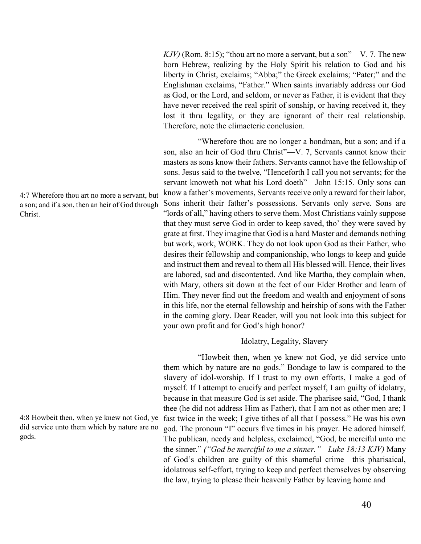*KJV)* (Rom. 8:15); "thou art no more a servant, but a son"—V. 7. The new born Hebrew, realizing by the Holy Spirit his relation to God and his liberty in Christ, exclaims; "Abba;" the Greek exclaims; "Pater;" and the Englishman exclaims, "Father." When saints invariably address our God as God, or the Lord, and seldom, or never as Father, it is evident that they have never received the real spirit of sonship, or having received it, they lost it thru legality, or they are ignorant of their real relationship. Therefore, note the climacteric conclusion.

"Wherefore thou are no longer a bondman, but a son; and if a son, also an heir of God thru Christ"—V. 7, Servants cannot know their masters as sons know their fathers. Servants cannot have the fellowship of sons. Jesus said to the twelve, "Henceforth I call you not servants; for the servant knoweth not what his Lord doeth"—John 15:15*.* Only sons can know a father's movements, Servants receive only a reward for their labor, Sons inherit their father's possessions. Servants only serve. Sons are "lords of all," having others to serve them. Most Christians vainly suppose that they must serve God in order to keep saved, tho' they were saved by grate at first. They imagine that God is a hard Master and demands nothing but work, work, WORK. They do not look upon God as their Father, who desires their fellowship and companionship, who longs to keep and guide and instruct them and reveal to them all His blessed will. Hence, their lives are labored, sad and discontented. And like Martha, they complain when, with Mary, others sit down at the feet of our Elder Brother and learn of Him. They never find out the freedom and wealth and enjoyment of sons in this life, nor the eternal fellowship and heirship of sons with the Father in the coming glory. Dear Reader, will you not look into this subject for your own profit and for God's high honor?

# Idolatry, Legality, Slavery

"Howbeit then, when ye knew not God, ye did service unto them which by nature are no gods." Bondage to law is compared to the slavery of idol-worship. If I trust to my own efforts, I make a god of myself. If I attempt to crucify and perfect myself, I am guilty of idolatry, because in that measure God is set aside. The pharisee said, "God, I thank thee (he did not address Him as Father), that I am not as other men are; I fast twice in the week; I give tithes of all that I possess." He was his own god. The pronoun "I" occurs five times in his prayer. He adored himself. The publican, needy and helpless, exclaimed, "God, be merciful unto me the sinner." *("God be merciful to me a sinner."—Luke 18:13 KJV)* Many of God's children are guilty of this shameful crime—this pharisaical, idolatrous self-effort, trying to keep and perfect themselves by observing the law, trying to please their heavenly Father by leaving home and

4:7 Wherefore thou art no more a servant, but a son; and if a son, then an heir of God through Christ.

4:8 Howbeit then, when ye knew not God, ye did service unto them which by nature are no gods.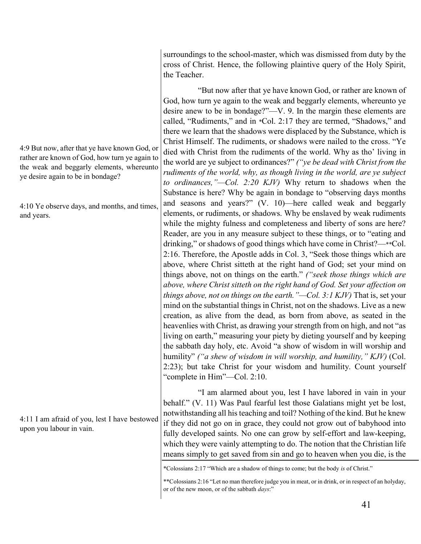surroundings to the school-master, which was dismissed from duty by the cross of Christ. Hence, the following plaintive query of the Holy Spirit, the Teacher.

"But now after that ye have known God, or rather are known of God, how turn ye again to the weak and beggarly elements, whereunto ye desire anew to be in bondage?"—V. 9. In the margin these elements are called, "Rudiments," and in \*Col. 2:17 they are termed, "Shadows," and there we learn that the shadows were displaced by the Substance, which is Christ Himself. The rudiments, or shadows were nailed to the cross. "Ye died with Christ from the rudiments of the world. Why as tho' living in the world are ye subject to ordinances?" *("ye be dead with Christ from the rudiments of the world, why, as though living in the world, are ye subject to ordinances,"—Col. 2:20 KJV)* Why return to shadows when the Substance is here? Why be again in bondage to "observing days months and seasons and years?" (V. 10)—here called weak and beggarly elements, or rudiments, or shadows. Why be enslaved by weak rudiments while the mighty fulness and completeness and liberty of sons are here? Reader, are you in any measure subject to these things, or to "eating and drinking," or shadows of good things which have come in Christ?—\*\*Col. 2:16. Therefore, the Apostle adds in Col. 3, "Seek those things which are above, where Christ sitteth at the right hand of God; set your mind on things above, not on things on the earth." *("seek those things which are above, where Christ sitteth on the right hand of God. Set your affection on things above, not on things on the earth."—Col. 3:1 KJV)* That is, set your mind on the substantial things in Christ, not on the shadows. Live as a new creation, as alive from the dead, as born from above, as seated in the heavenlies with Christ, as drawing your strength from on high, and not "as living on earth," measuring your piety by dieting yourself and by keeping the sabbath day holy, etc. Avoid "a show of wisdom in will worship and humility" *("a shew of wisdom in will worship, and humility," KJV)* (Col. 2:23); but take Christ for your wisdom and humility. Count yourself "complete in Him"—Col. 2:10.

"I am alarmed about you, lest I have labored in vain in your behalf." (V. 11) Was Paul fearful lest those Galatians might yet be lost, notwithstanding all his teaching and toil? Nothing of the kind. But he knew if they did not go on in grace, they could not grow out of babyhood into fully developed saints. No one can grow by self-effort and law-keeping, which they were vainly attempting to do. The notion that the Christian life means simply to get saved from sin and go to heaven when you die, is the

4:9 But now, after that ye have known God, or rather are known of God, how turn ye again to the weak and beggarly elements, whereunto ye desire again to be in bondage?

4:10 Ye observe days, and months, and times, and years.

4:11 I am afraid of you, lest I have bestowed upon you labour in vain.

<sup>\*</sup>Colossians 2:17 "Which are a shadow of things to come; but the body *is* of Christ."

<sup>\*\*</sup>Colossians 2:16 "Let no man therefore judge you in meat, or in drink, or in respect of an holyday, or of the new moon, or of the sabbath *days*:"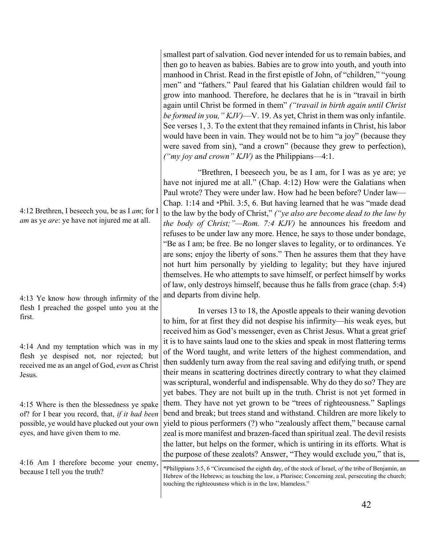smallest part of salvation. God never intended for us to remain babies, and then go to heaven as babies. Babies are to grow into youth, and youth into manhood in Christ. Read in the first epistle of John, of "children," "young men" and "fathers." Paul feared that his Galatian children would fail to grow into manhood. Therefore, he declares that he is in "travail in birth again until Christ be formed in them" *("travail in birth again until Christ be formed in you," KJV)*—V. 19. As yet, Christ in them was only infantile. See verses 1, 3. To the extent that they remained infants in Christ, his labor would have been in vain. They would not be to him "a joy" (because they were saved from sin), "and a crown" (because they grew to perfection), *("my joy and crown" KJV)* as the Philippians—4:1.

"Brethren, I beeseech you, be as I am, for I was as ye are; ye have not injured me at all." (Chap. 4:12) How were the Galatians when Paul wrote? They were under law. How had he been before? Under law— Chap. 1:14 and \*Phil. 3:5, 6. But having learned that he was "made dead to the law by the body of Christ," *("ye also are become dead to the law by the body of Christ;"—Rom. 7:4 KJV)* he announces his freedom and refuses to be under law any more. Hence, he says to those under bondage, "Be as I am; be free. Be no longer slaves to legality, or to ordinances. Ye are sons; enjoy the liberty of sons." Then he assures them that they have not hurt him personally by yielding to legality; but they have injured themselves. He who attempts to save himself, or perfect himself by works of law, only destroys himself, because thus he falls from grace (chap. 5:4) and departs from divine help.

In verses 13 to 18, the Apostle appeals to their waning devotion to him, for at first they did not despise his infirmity—his weak eyes, but received him as God's messenger, even as Christ Jesus. What a great grief it is to have saints laud one to the skies and speak in most flattering terms of the Word taught, and write letters of the highest commendation, and then suddenly turn away from the real saving and edifying truth, or spend their means in scattering doctrines directly contrary to what they claimed was scriptural, wonderful and indispensable. Why do they do so? They are yet babes. They are not built up in the truth. Christ is not yet formed in them. They have not yet grown to be "trees of righteousness." Saplings bend and break; but trees stand and withstand. Children are more likely to yield to pious performers (?) who "zealously affect them," because carnal zeal is more manifest and brazen-faced than spiritual zeal. The devil resists the latter, but helps on the former, which is untiring in its efforts. What is the purpose of these zealots? Answer, "They would exclude you," that is,

\*Philippians 3:5, 6 "Circumcised the eighth day, of the stock of Israel, *of* the tribe of Benjamin, an Hebrew of the Hebrews; as touching the law, a Pharisee; Concerning zeal, persecuting the church; touching the righteousness which is in the law, blameless."

4:12 Brethren, I beseech you, be as I *am*; for I *am* as ye *are*: ye have not injured me at all.

4:13 Ye know how through infirmity of the flesh I preached the gospel unto you at the first.

4:14 And my temptation which was in my flesh ye despised not, nor rejected; but received me as an angel of God, *even* as Christ Jesus.

4:15 Where is then the blessedness ye spake of? for I bear you record, that, *if it had been* possible, ye would have plucked out your own eyes, and have given them to me.

4:16 Am I therefore become your enemy, because I tell you the truth?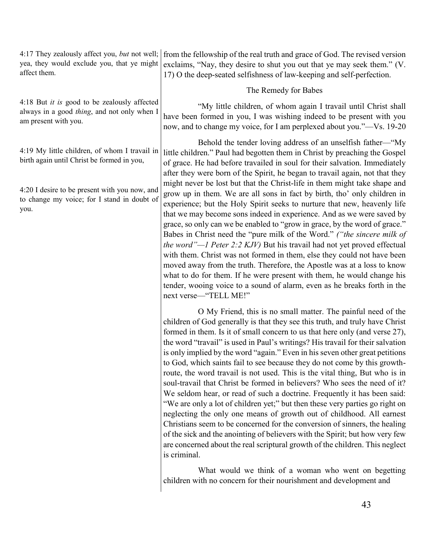| 4:17 They zealously affect you, <i>but</i> not well;<br>from the fellowship of the real truth and grace of God. The revised version<br>yea, they would exclude you, that ye might<br>exclaims, "Nay, they desire to shut you out that ye may seek them." (V.<br>17) O the deep-seated selfishness of law-keeping and self-perfection.                                                                                                                                                                                                                                                                                                                 |
|-------------------------------------------------------------------------------------------------------------------------------------------------------------------------------------------------------------------------------------------------------------------------------------------------------------------------------------------------------------------------------------------------------------------------------------------------------------------------------------------------------------------------------------------------------------------------------------------------------------------------------------------------------|
| The Remedy for Babes                                                                                                                                                                                                                                                                                                                                                                                                                                                                                                                                                                                                                                  |
| 4:18 But <i>it is</i> good to be zealously affected<br>"My little children, of whom again I travail until Christ shall<br>always in a good <i>thing</i> , and not only when I<br>have been formed in you, I was wishing indeed to be present with you<br>now, and to change my voice, for I am perplexed about you."—Vs. 19-20                                                                                                                                                                                                                                                                                                                        |
| Behold the tender loving address of an unselfish father—"My<br>little children." Paul had begotten them in Christ by preaching the Gospel<br>of grace. He had before travailed in soul for their salvation. Immediately<br>after they were born of the Spirit, he began to travail again, not that they                                                                                                                                                                                                                                                                                                                                               |
| might never be lost but that the Christ-life in them might take shape and<br>4:20 I desire to be present with you now, and<br>grow up in them. We are all sons in fact by birth, tho' only children in<br>to change my voice; for I stand in doubt of<br>experience; but the Holy Spirit seeks to nurture that new, heavenly life<br>that we may become sons indeed in experience. And as we were saved by<br>grace, so only can we be enabled to "grow in grace, by the word of grace."<br>Babes in Christ need the "pure milk of the Word." ("the sincere milk of<br><i>the word"—I Peter 2:2 KJV)</i> But his travail had not yet proved effectual |
|                                                                                                                                                                                                                                                                                                                                                                                                                                                                                                                                                                                                                                                       |

next verse—"TELL ME!"

O My Friend, this is no small matter. The painful need of the children of God generally is that they see this truth, and truly have Christ formed in them. Is it of small concern to us that here only (and verse 27), the word "travail" is used in Paul's writings? His travail for their salvation is only implied by the word "again." Even in his seven other great petitions to God, which saints fail to see because they do not come by this growthroute, the word travail is not used. This is the vital thing, But who is in soul-travail that Christ be formed in believers? Who sees the need of it? We seldom hear, or read of such a doctrine. Frequently it has been said: "We are only a lot of children yet;" but then these very parties go right on neglecting the only one means of growth out of childhood. All earnest Christians seem to be concerned for the conversion of sinners, the healing of the sick and the anointing of believers with the Spirit; but how very few are concerned about the real scriptural growth of the children. This neglect is criminal.

with them. Christ was not formed in them, else they could not have been moved away from the truth. Therefore, the Apostle was at a loss to know what to do for them. If he were present with them, he would change his tender, wooing voice to a sound of alarm, even as he breaks forth in the

What would we think of a woman who went on begetting children with no concern for their nourishment and development and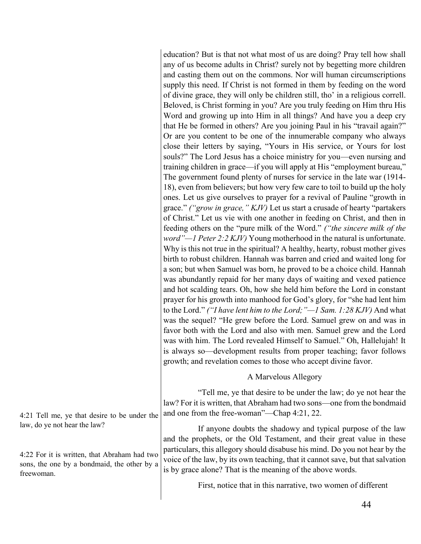education? But is that not what most of us are doing? Pray tell how shall any of us become adults in Christ? surely not by begetting more children and casting them out on the commons. Nor will human circumscriptions supply this need. If Christ is not formed in them by feeding on the word of divine grace, they will only be children still, tho' in a religious correll. Beloved, is Christ forming in you? Are you truly feeding on Him thru His Word and growing up into Him in all things? And have you a deep cry that He be formed in others? Are you joining Paul in his "travail again?" Or are you content to be one of the innumerable company who always close their letters by saying, "Yours in His service, or Yours for lost souls?" The Lord Jesus has a choice ministry for you—even nursing and training children in grace—if you will apply at His "employment bureau," The government found plenty of nurses for service in the late war (1914- 18), even from believers; but how very few care to toil to build up the holy ones. Let us give ourselves to prayer for a revival of Pauline "growth in grace." *("grow in grace," KJV)* Let us start a crusade of hearty "partakers of Christ." Let us vie with one another in feeding on Christ, and then in feeding others on the "pure milk of the Word." *("the sincere milk of the word"—1 Peter 2:2 KJV)* Young motherhood in the natural is unfortunate. Why is this not true in the spiritual? A healthy, hearty, robust mother gives birth to robust children. Hannah was barren and cried and waited long for a son; but when Samuel was born, he proved to be a choice child. Hannah was abundantly repaid for her many days of waiting and vexed patience and hot scalding tears. Oh, how she held him before the Lord in constant prayer for his growth into manhood for God's glory, for "she had lent him to the Lord." *("I have lent him to the Lord;"—1 Sam. 1:28 KJV)* And what was the sequel? "He grew before the Lord. Samuel grew on and was in favor both with the Lord and also with men. Samuel grew and the Lord was with him. The Lord revealed Himself to Samuel." Oh, Hallelujah! It is always so—development results from proper teaching; favor follows growth; and revelation comes to those who accept divine favor.

#### A Marvelous Allegory

"Tell me, ye that desire to be under the law; do ye not hear the law? For it is written, that Abraham had two sons—one from the bondmaid and one from the free-woman"—Chap 4:21, 22.

If anyone doubts the shadowy and typical purpose of the law and the prophets, or the Old Testament, and their great value in these particulars, this allegory should disabuse his mind. Do you not hear by the voice of the law, by its own teaching, that it cannot save, but that salvation is by grace alone? That is the meaning of the above words.

First, notice that in this narrative, two women of different

4:21 Tell me, ye that desire to be under the law, do ye not hear the law?

4:22 For it is written, that Abraham had two sons, the one by a bondmaid, the other by a freewoman.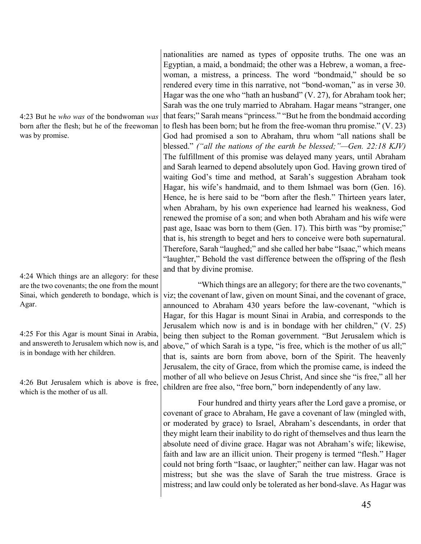4:23 But he *who was* of the bondwoman *was* born after the flesh; but he of the freewoman was by promise.

4:24 Which things are an allegory: for these are the two covenants; the one from the mount Sinai, which gendereth to bondage, which is Agar.

4:25 For this Agar is mount Sinai in Arabia, and answereth to Jerusalem which now is, and is in bondage with her children.

4:26 But Jerusalem which is above is free, which is the mother of us all.

nationalities are named as types of opposite truths. The one was an Egyptian, a maid, a bondmaid; the other was a Hebrew, a woman, a freewoman, a mistress, a princess. The word "bondmaid," should be so rendered every time in this narrative, not "bond-woman," as in verse 30. Hagar was the one who "hath an husband" (V. 27), for Abraham took her; Sarah was the one truly married to Abraham. Hagar means "stranger, one that fears;" Sarah means "princess." "But he from the bondmaid according to flesh has been born; but he from the free-woman thru promise." (V. 23) God had promised a son to Abraham, thru whom "all nations shall be blessed." *("all the nations of the earth be blessed;"—Gen. 22:18 KJV)* The fulfillment of this promise was delayed many years, until Abraham and Sarah learned to depend absolutely upon God. Having grown tired of waiting God's time and method, at Sarah's suggestion Abraham took Hagar, his wife's handmaid, and to them Ishmael was born (Gen. 16). Hence, he is here said to be "born after the flesh." Thirteen years later, when Abraham, by his own experience had learned his weakness, God renewed the promise of a son; and when both Abraham and his wife were past age, Isaac was born to them (Gen. 17). This birth was "by promise;" that is, his strength to beget and hers to conceive were both supernatural. Therefore, Sarah "laughed;" and she called her babe "Isaac," which means "laughter," Behold the vast difference between the offspring of the flesh and that by divine promise.

"Which things are an allegory; for there are the two covenants," viz; the covenant of law, given on mount Sinai, and the covenant of grace, announced to Abraham 430 years before the law-covenant, "which is Hagar, for this Hagar is mount Sinai in Arabia, and corresponds to the Jerusalem which now is and is in bondage with her children," (V. 25) being then subject to the Roman government. "But Jerusalem which is above," of which Sarah is a type, "is free, which is the mother of us all;" that is, saints are born from above, born of the Spirit. The heavenly Jerusalem, the city of Grace, from which the promise came, is indeed the mother of all who believe on Jesus Christ, And since she "is free," all her children are free also, "free born," born independently of any law.

Four hundred and thirty years after the Lord gave a promise, or covenant of grace to Abraham, He gave a covenant of law (mingled with, or moderated by grace) to Israel, Abraham's descendants, in order that they might learn their inability to do right of themselves and thus learn the absolute need of divine grace. Hagar was not Abraham's wife; likewise, faith and law are an illicit union. Their progeny is termed "flesh." Hager could not bring forth "Isaac, or laughter;" neither can law. Hagar was not mistress; but she was the slave of Sarah the true mistress. Grace is mistress; and law could only be tolerated as her bond-slave. As Hagar was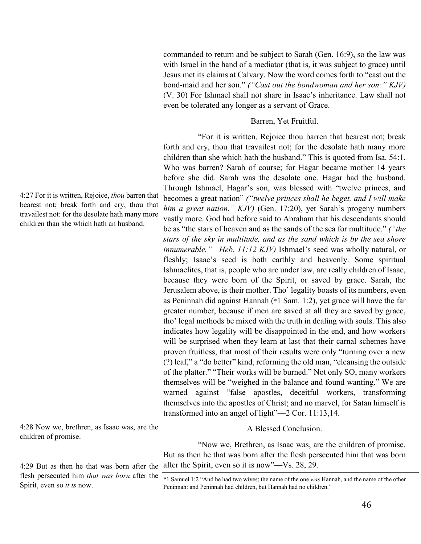4:27 For it is written, Rejoice, *thou* barren that bearest not; break forth and cry, thou that travailest not: for the desolate hath many more children than she which hath an husband. 4:28 Now we, brethren, as Isaac was, are the children of promise. 4:29 But as then he that was born after the flesh persecuted him *that was born* after the Spirit, even so *it is* now. forth and cry, thou that travailest not; for the desolate hath many more children than she which hath the husband." This is quoted from Isa. 54:1. Who was barren? Sarah of course; for Hagar became mother 14 years before she did. Sarah was the desolate one. Hagar had the husband. Through Ishmael, Hagar's son, was blessed with "twelve princes, and becomes a great nation" *("twelve princes shall he beget, and I will make him a great nation." KJV)* (Gen. 17:20), yet Sarah's progeny numbers vastly more. God had before said to Abraham that his descendants should be as "the stars of heaven and as the sands of the sea for multitude." *("the stars of the sky in multitude, and as the sand which is by the sea shore innumerable."—Heb. 11:12 KJV)* Ishmael's seed was wholly natural, or fleshly; Isaac's seed is both earthly and heavenly. Some spiritual Ishmaelites, that is, people who are under law, are really children of Isaac, because they were born of the Spirit, or saved by grace. Sarah, the Jerusalem above, is their mother. Tho' legality boasts of its numbers, even as Peninnah did against Hannah (\*1 Sam. 1:2), yet grace will have the far greater number, because if men are saved at all they are saved by grace, tho' legal methods be mixed with the truth in dealing with souls. This also indicates how legality will be disappointed in the end, and how workers will be surprised when they learn at last that their carnal schemes have proven fruitless, that most of their results were only "turning over a new (?) leaf," a "do better" kind, reforming the old man, "cleansing the outside of the platter." "Their works will be burned." Not only SO, many workers themselves will be "weighed in the balance and found wanting." We are warned against "false apostles, deceitful workers, transforming themselves into the apostles of Christ; and no marvel, for Satan himself is transformed into an angel of light"—2 Cor. 11:13,14. A Blessed Conclusion. "Now we, Brethren, as Isaac was, are the children of promise. But as then he that was born after the flesh persecuted him that was born after the Spirit, even so it is now"—Vs. 28, 29. \*1 Samuel 1:2 "And he had two wives; the name of the one *was* Hannah, and the name of the other Peninnah: and Peninnah had children, but Hannah had no children."

commanded to return and be subject to Sarah (Gen. 16:9), so the law was with Israel in the hand of a mediator (that is, it was subject to grace) until Jesus met its claims at Calvary. Now the word comes forth to "cast out the bond-maid and her son." *("Cast out the bondwoman and her son:" KJV)* (V. 30) For Ishmael shall not share in Isaac's inheritance. Law shall not

Barren, Yet Fruitful.

"For it is written, Rejoice thou barren that bearest not; break

even be tolerated any longer as a servant of Grace.

# 46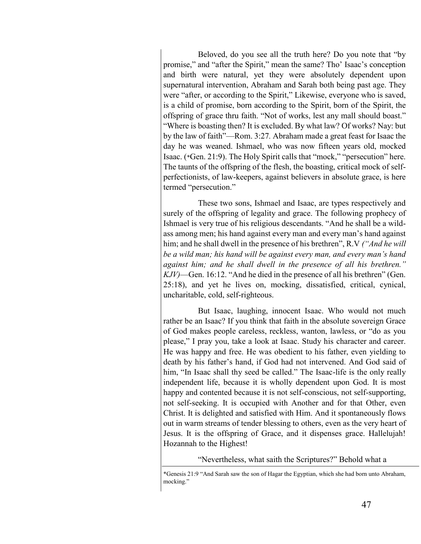Beloved, do you see all the truth here? Do you note that "by promise," and "after the Spirit," mean the same? Tho' Isaac's conception and birth were natural, yet they were absolutely dependent upon supernatural intervention, Abraham and Sarah both being past age. They were "after, or according to the Spirit," Likewise, everyone who is saved, is a child of promise, born according to the Spirit, born of the Spirit, the offspring of grace thru faith. "Not of works, lest any mall should boast." "Where is boasting then? It is excluded. By what law? Of works? Nay: but by the law of faith"—Rom. 3:27*.* Abraham made a great feast for Isaac the day he was weaned. Ishmael, who was now fifteen years old, mocked Isaac. (\*Gen. 21:9). The Holy Spirit calls that "mock," "persecution" here. The taunts of the offspring of the flesh, the boasting, critical mock of selfperfectionists, of law-keepers, against believers in absolute grace, is here termed "persecution."

These two sons, Ishmael and Isaac, are types respectively and surely of the offspring of legality and grace. The following prophecy of Ishmael is very true of his religious descendants. "And he shall be a wildass among men; his hand against every man and every man's hand against him; and he shall dwell in the presence of his brethren", R.V *("And he will be a wild man; his hand will be against every man, and every man's hand against him; and he shall dwell in the presence of all his brethren." KJV)*—Gen. 16:12. "And he died in the presence of all his brethren" (Gen. 25:18), and yet he lives on, mocking, dissatisfied, critical, cynical, uncharitable, cold, self-righteous.

But Isaac, laughing, innocent Isaac. Who would not much rather be an Isaac? If you think that faith in the absolute sovereign Grace of God makes people careless, reckless, wanton, lawless, or "do as you please," I pray you, take a look at Isaac. Study his character and career. He was happy and free. He was obedient to his father, even yielding to death by his father's hand, if God had not intervened. And God said of him, "In Isaac shall thy seed be called." The Isaac-life is the only really independent life, because it is wholly dependent upon God. It is most happy and contented because it is not self-conscious, not self-supporting, not self-seeking. It is occupied with Another and for that Other, even Christ. It is delighted and satisfied with Him. And it spontaneously flows out in warm streams of tender blessing to others, even as the very heart of Jesus. It is the offspring of Grace, and it dispenses grace. Hallelujah! Hozannah to the Highest!

"Nevertheless, what saith the Scriptures?" Behold what a

<sup>\*</sup>Genesis 21:9 "And Sarah saw the son of Hagar the Egyptian, which she had born unto Abraham, mocking."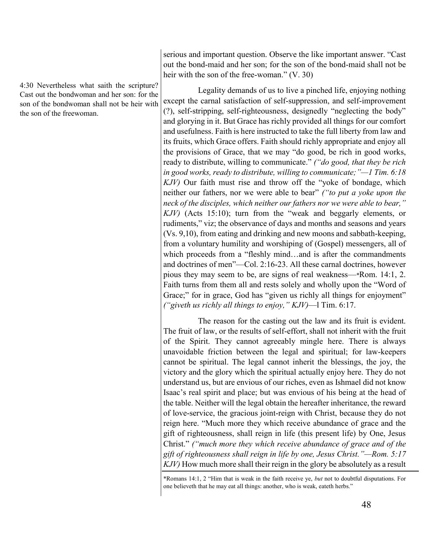4:30 Nevertheless what saith the scripture? Cast out the bondwoman and her son: for the son of the bondwoman shall not be heir with the son of the freewoman.

serious and important question. Observe the like important answer. "Cast out the bond-maid and her son; for the son of the bond-maid shall not be heir with the son of the free-woman." (V. 30)

Legality demands of us to live a pinched life, enjoying nothing except the carnal satisfaction of self-suppression, and self-improvement (?), self-stripping, self-righteousness, designedly "neglecting the body" and glorying in it. But Grace has richly provided all things for our comfort and usefulness. Faith is here instructed to take the full liberty from law and its fruits, which Grace offers. Faith should richly appropriate and enjoy all the provisions of Grace, that we may "do good, be rich in good works, ready to distribute, willing to communicate." *("do good, that they be rich in good works, ready to distribute, willing to communicate;"—1 Tim. 6:18 KJV)* Our faith must rise and throw off the "yoke of bondage, which neither our fathers, nor we were able to bear" *("to put a yoke upon the neck of the disciples, which neither our fathers nor we were able to bear," KJV)* (Acts 15:10); turn from the "weak and beggarly elements, or rudiments," viz; the observance of days and months and seasons and years (Vs. 9,10), from eating and drinking and new moons and sabbath-keeping, from a voluntary humility and worshiping of (Gospel) messengers, all of which proceeds from a "fleshly mind...and is after the commandments and doctrines of men"—Col. 2:16-23. All these carnal doctrines, however pious they may seem to be, are signs of real weakness—\*Rom. 14:1, 2. Faith turns from them all and rests solely and wholly upon the "Word of Grace;" for in grace, God has "given us richly all things for enjoyment" *("giveth us richly all things to enjoy," KJV)*—l Tim. 6:17.

The reason for the casting out the law and its fruit is evident. The fruit of law, or the results of self-effort, shall not inherit with the fruit of the Spirit. They cannot agreeably mingle here. There is always unavoidable friction between the legal and spiritual; for law-keepers cannot be spiritual. The legal cannot inherit the blessings, the joy, the victory and the glory which the spiritual actually enjoy here. They do not understand us, but are envious of our riches, even as Ishmael did not know Isaac's real spirit and place; but was envious of his being at the head of the table. Neither will the legal obtain the hereafter inheritance, the reward of love-service, the gracious joint-reign with Christ, because they do not reign here. "Much more they which receive abundance of grace and the gift of righteousness, shall reign in life (this present life) by One, Jesus Christ." *("much more they which receive abundance of grace and of the gift of righteousness shall reign in life by one, Jesus Christ."—Rom. 5:17 KJV)* How much more shall their reign in the glory be absolutely as a result

<sup>\*</sup>Romans 14:1, 2 "Him that is weak in the faith receive ye, *but* not to doubtful disputations. For one believeth that he may eat all things: another, who is weak, eateth herbs."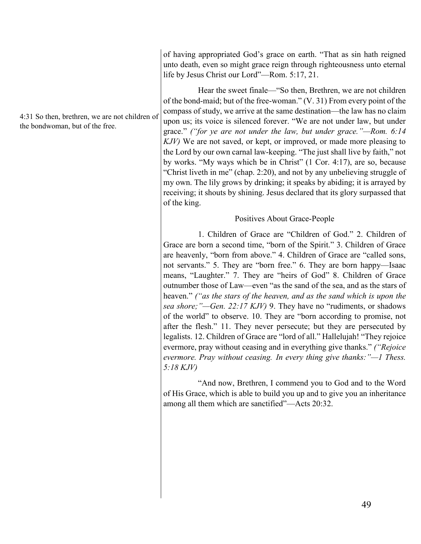of having appropriated God's grace on earth. "That as sin hath reigned unto death, even so might grace reign through righteousness unto eternal life by Jesus Christ our Lord"—Rom. 5:17, 21.

Hear the sweet finale—"So then, Brethren, we are not children of the bond-maid; but of the free-woman." (V. 31) From every point of the compass of study, we arrive at the same destination—the law has no claim upon us; its voice is silenced forever. "We are not under law, but under grace." *("for ye are not under the law, but under grace."—Rom. 6:14 KJV)* We are not saved, or kept, or improved, or made more pleasing to the Lord by our own carnal law-keeping. "The just shall live by faith," not by works. "My ways which be in Christ" (1 Cor. 4:17), are so, because "Christ liveth in me" (chap. 2:20), and not by any unbelieving struggle of my own. The lily grows by drinking; it speaks by abiding; it is arrayed by receiving; it shouts by shining. Jesus declared that its glory surpassed that of the king.

## Positives About Grace-People

1. Children of Grace are "Children of God." 2. Children of Grace are born a second time, "born of the Spirit." 3. Children of Grace are heavenly, "born from above." 4. Children of Grace are "called sons, not servants." 5. They are "born free." 6. They are born happy—Isaac means, "Laughter." 7. They are "heirs of God" 8. Children of Grace outnumber those of Law—even "as the sand of the sea, and as the stars of heaven." *("as the stars of the heaven, and as the sand which is upon the sea shore;"—Gen. 22:17 KJV)* 9. They have no "rudiments, or shadows of the world" to observe. 10. They are "born according to promise, not after the flesh." 11. They never persecute; but they are persecuted by legalists. 12. Children of Grace are "lord of all." Hallelujah! "They rejoice evermore, pray without ceasing and in everything give thanks." *("Rejoice evermore. Pray without ceasing. In every thing give thanks:"—1 Thess. 5:18 KJV)*

"And now, Brethren, I commend you to God and to the Word of His Grace, which is able to build you up and to give you an inheritance among all them which are sanctified"—Acts 20:32.

4:31 So then, brethren, we are not children of the bondwoman, but of the free.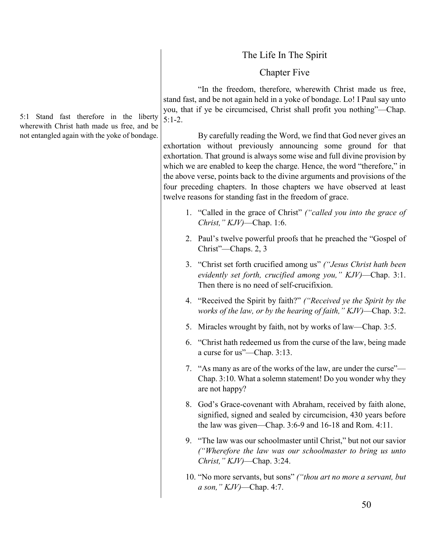# The Life In The Spirit

# Chapter Five

"In the freedom, therefore, wherewith Christ made us free, stand fast, and be not again held in a yoke of bondage. Lo! I Paul say unto you, that if ye be circumcised, Christ shall profit you nothing"—Chap. 5:1-2.

By carefully reading the Word, we find that God never gives an exhortation without previously announcing some ground for that exhortation. That ground is always some wise and full divine provision by which we are enabled to keep the charge. Hence, the word "therefore," in the above verse, points back to the divine arguments and provisions of the four preceding chapters. In those chapters we have observed at least twelve reasons for standing fast in the freedom of grace.

- 1. "Called in the grace of Christ" *("called you into the grace of Christ," KJV)*—Chap. 1:6.
- 2. Paul's twelve powerful proofs that he preached the "Gospel of Christ"—Chaps. 2, 3
- 3. "Christ set forth crucified among us" *("Jesus Christ hath been evidently set forth, crucified among you," KJV)*—Chap. 3:1. Then there is no need of self-crucifixion.
- 4. "Received the Spirit by faith?" *("Received ye the Spirit by the works of the law, or by the hearing of faith," KJV)*—Chap. 3:2.
- 5. Miracles wrought by faith, not by works of law—Chap. 3:5.
- 6. "Christ hath redeemed us from the curse of the law, being made a curse for us"—Chap. 3:13.
- 7. "As many as are of the works of the law, are under the curse"— Chap. 3:10. What a solemn statement! Do you wonder why they are not happy?
- 8. God's Grace-covenant with Abraham, received by faith alone, signified, signed and sealed by circumcision, 430 years before the law was given—Chap. 3:6-9 and 16-18 and Rom. 4:11.
- 9. "The law was our schoolmaster until Christ," but not our savior *("Wherefore the law was our schoolmaster to bring us unto Christ," KJV)*—Chap. 3:24.
- 10. "No more servants, but sons" *("thou art no more a servant, but a son," KJV)*—Chap. 4:7.

5:1 Stand fast therefore in the liberty wherewith Christ hath made us free, and be not entangled again with the yoke of bondage.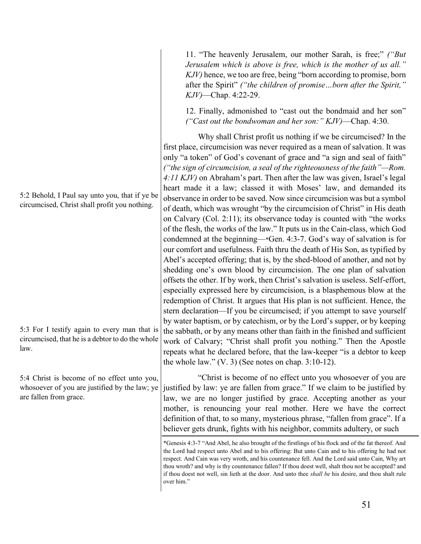5:2 Behold, I Paul say unto you, that if ye be circumcised, Christ shall profit you nothing.

5:3 For I testify again to every man that is circumcised, that he is a debtor to do the whole law.

5:4 Christ is become of no effect unto you, whosoever of you are justified by the law; ye are fallen from grace.

11. "The heavenly Jerusalem, our mother Sarah, is free;" *("But Jerusalem which is above is free, which is the mother of us all." KJV)* hence, we too are free, being "born according to promise, born after the Spirit" *("the children of promise…born after the Spirit," KJV)*—Chap. 4:22-29.

12. Finally, admonished to "cast out the bondmaid and her son" *("Cast out the bondwoman and her son:" KJV)*—Chap. 4:30.

Why shall Christ profit us nothing if we be circumcised? In the first place, circumcision was never required as a mean of salvation. It was only "a token" of God's covenant of grace and "a sign and seal of faith" *("the sign of circumcision, a seal of the righteousness of the faith"—Rom. 4:11 KJV)* on Abraham's part. Then after the law was given, Israel's legal heart made it a law; classed it with Moses' law, and demanded its observance in order to be saved. Now since circumcision was but a symbol of death, which was wrought "by the circumcision of Christ" in His death on Calvary (Col. 2:11); its observance today is counted with "the works of the flesh, the works of the law." It puts us in the Cain-class, which God condemned at the beginning—\*Gen. 4:3-7. God's way of salvation is for our comfort and usefulness. Faith thru the death of His Son, as typified by Abel's accepted offering; that is, by the shed-blood of another, and not by shedding one's own blood by circumcision. The one plan of salvation offsets the other. If by work, then Christ's salvation is useless. Self-effort, especially expressed here by circumcision, is a blasphemous blow at the redemption of Christ. It argues that His plan is not sufficient. Hence, the stern declaration—If you be circumcised; if you attempt to save yourself by water baptism, or by catechism, or by the Lord's supper, or by keeping the sabbath, or by any means other than faith in the finished and sufficient work of Calvary; "Christ shall profit you nothing." Then the Apostle repeats what he declared before, that the law-keeper "is a debtor to keep the whole law."  $(V, 3)$  (See notes on chap. 3:10-12).

"Christ is become of no effect unto you whosoever of you are justified by law: ye are fallen from grace." If we claim to be justified by law, we are no longer justified by grace. Accepting another as your mother, is renouncing your real mother. Here we have the correct definition of that, to so many, mysterious phrase, "fallen from grace". If a believer gets drunk, fights with his neighbor, commits adultery, or such

\*Genesis 4:3-7 "And Abel, he also brought of the firstlings of his flock and of the fat thereof. And the Lord had respect unto Abel and to his offering: But unto Cain and to his offering he had not respect. And Cain was very wroth, and his countenance fell. And the Lord said unto Cain, Why art thou wroth? and why is thy countenance fallen? If thou doest well, shalt thou not be accepted? and if thou doest not well, sin lieth at the door. And unto thee *shall be* his desire, and thou shalt rule over him."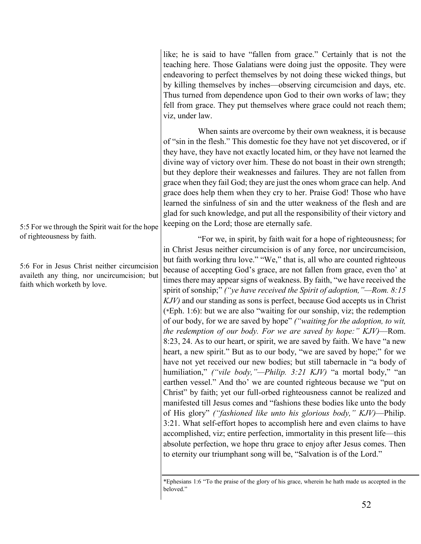like; he is said to have "fallen from grace." Certainly that is not the teaching here. Those Galatians were doing just the opposite. They were endeavoring to perfect themselves by not doing these wicked things, but by killing themselves by inches—observing circumcision and days, etc. Thus turned from dependence upon God to their own works of law; they fell from grace. They put themselves where grace could not reach them; viz, under law.

When saints are overcome by their own weakness, it is because of "sin in the flesh." This domestic foe they have not yet discovered, or if they have, they have not exactly located him, or they have not learned the divine way of victory over him. These do not boast in their own strength; but they deplore their weaknesses and failures. They are not fallen from grace when they fail God; they are just the ones whom grace can help. And grace does help them when they cry to her. Praise God! Those who have learned the sinfulness of sin and the utter weakness of the flesh and are glad for such knowledge, and put all the responsibility of their victory and keeping on the Lord; those are eternally safe.

"For we, in spirit, by faith wait for a hope of righteousness; for in Christ Jesus neither circumcision is of any force, nor uncircumcision, but faith working thru love." "We," that is, all who are counted righteous because of accepting God's grace, are not fallen from grace, even tho' at times there may appear signs of weakness. By faith, "we have received the spirit of sonship;" *("ye have received the Spirit of adoption,"—Rom. 8:15 KJV)* and our standing as sons is perfect, because God accepts us in Christ (\*Eph. 1:6): but we are also "waiting for our sonship, viz; the redemption of our body, for we are saved by hope" *("waiting for the adoption, to wit, the redemption of our body. For we are saved by hope:" KJV)*—Rom. 8:23, 24. As to our heart, or spirit, we are saved by faith. We have "a new heart, a new spirit." But as to our body, "we are saved by hope;" for we have not yet received our new bodies; but still tabernacle in "a body of humiliation," *("vile body,"—Philip. 3:21 KJV)* "a mortal body," "an earthen vessel." And tho' we are counted righteous because we "put on Christ" by faith; yet our full-orbed righteousness cannot be realized and manifested till Jesus comes and "fashions these bodies like unto the body of His glory" *("fashioned like unto his glorious body," KJV)*—Philip. 3:21. What self-effort hopes to accomplish here and even claims to have accomplished, viz; entire perfection, immortality in this present life—this absolute perfection, we hope thru grace to enjoy after Jesus comes. Then to eternity our triumphant song will be, "Salvation is of the Lord."

5:5 For we through the Spirit wait for the hope of righteousness by faith.

5:6 For in Jesus Christ neither circumcision availeth any thing, nor uncircumcision; but faith which worketh by love.

<sup>\*</sup>Ephesians 1:6 "To the praise of the glory of his grace, wherein he hath made us accepted in the beloved."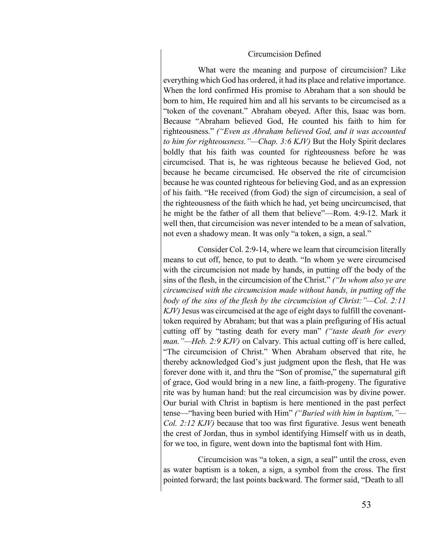#### Circumcision Defined

What were the meaning and purpose of circumcision? Like everything which God has ordered, it had its place and relative importance. When the lord confirmed His promise to Abraham that a son should be born to him, He required him and all his servants to be circumcised as a "token of the covenant." Abraham obeyed. After this, Isaac was born. Because "Abraham believed God, He counted his faith to him for righteousness." *("Even as Abraham believed God, and it was accounted to him for righteousness."—Chap. 3:6 KJV)* But the Holy Spirit declares boldly that his faith was counted for righteousness before he was circumcised. That is, he was righteous because he believed God, not because he became circumcised. He observed the rite of circumcision because he was counted righteous for believing God, and as an expression of his faith. "He received (from God) the sign of circumcision, a seal of the righteousness of the faith which he had, yet being uncircumcised, that he might be the father of all them that believe"—Rom. 4:9-12. Mark it well then, that circumcision was never intended to be a mean of salvation, not even a shadowy mean. It was only "a token, a sign, a seal."

Consider Col. 2:9-14, where we learn that circumcision literally means to cut off, hence, to put to death. "In whom ye were circumcised with the circumcision not made by hands, in putting off the body of the sins of the flesh, in the circumcision of the Christ." *("In whom also ye are circumcised with the circumcision made without hands, in putting off the body of the sins of the flesh by the circumcision of Christ:"—Col. 2:11 KJV)* Jesus was circumcised at the age of eight days to fulfill the covenanttoken required by Abraham; but that was a plain prefiguring of His actual cutting off by "tasting death for every man" *("taste death for every man."—Heb. 2:9 KJV)* on Calvary. This actual cutting off is here called, "The circumcision of Christ." When Abraham observed that rite, he thereby acknowledged God's just judgment upon the flesh, that He was forever done with it, and thru the "Son of promise," the supernatural gift of grace, God would bring in a new line, a faith-progeny. The figurative rite was by human hand: but the real circumcision was by divine power. Our burial with Christ in baptism is here mentioned in the past perfect tense—"having been buried with Him" *("Buried with him in baptism,"— Col. 2:12 KJV)* because that too was first figurative. Jesus went beneath the crest of Jordan, thus in symbol identifying Himself with us in death, for we too, in figure, went down into the baptismal font with Him.

Circumcision was "a token, a sign, a seal" until the cross, even as water baptism is a token, a sign, a symbol from the cross. The first pointed forward; the last points backward. The former said, "Death to all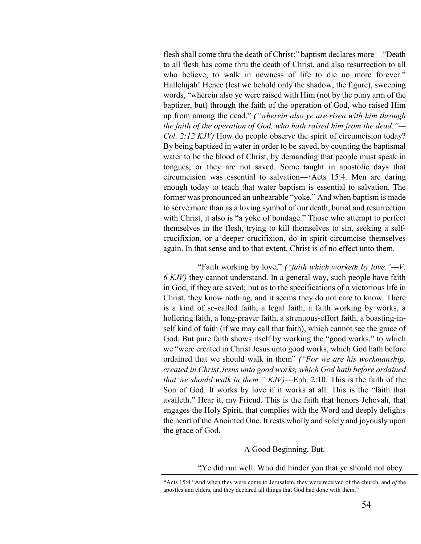flesh shall come thru the death of Christ:" baptism declares more—"Death to all flesh has come thru the death of Christ, and also resurrection to all who believe, to walk in newness of life to die no more forever." Hallelujah! Hence (lest we behold only the shadow, the figure), sweeping words, "wherein also ye were raised with Him (not by the puny arm of the baptizer, but) through the faith of the operation of God, who raised Him up from among the dead." *("wherein also ye are risen with him through the faith of the operation of God, who hath raised him from the dead."— Col. 2:12 KJV)* How do people observe the spirit of circumcision today? By being baptized in water in order to be saved, by counting the baptismal water to be the blood of Christ, by demanding that people must speak in tongues, or they are not saved. Some taught in apostolic days that circumcision was essential to salvation—\*Acts 15:4. Men are daring enough today to teach that water baptism is essential to salvation. The former was pronounced an unbearable "yoke." And when baptism is made to serve more than as a loving symbol of our death, burial and resurrection with Christ, it also is "a yoke of bondage." Those who attempt to perfect themselves in the flesh, trying to kill themselves to sin, seeking a selfcrucifixion, or a deeper crucifixion, do in spirit circumcise themselves again. In that sense and to that extent, Christ is of no effect unto them.

"Faith working by love," *("faith which worketh by love."—V. 6 KJV)* they cannot understand. In a general way, such people have faith in God, if they are saved; but as to the specifications of a victorious life in Christ, they know nothing, and it seems they do not care to know. There is a kind of so-called faith, a legal faith, a faith working by works, a hollering faith, a long-prayer faith, a strenuous-effort faith, a boasting-inself kind of faith (if we may call that faith), which cannot see the grace of God. But pure faith shows itself by working the "good works," to which we "were created in Christ Jesus unto good works, which God hath before ordained that we should walk in them" *("For we are his workmanship, created in Christ Jesus unto good works, which God hath before ordained that we should walk in them." KJV)*—Eph. 2:10. This is the faith of the Son of God. It works by love if it works at all. This is the "faith that availeth." Hear it, my Friend. This is the faith that honors Jehovah, that engages the Holy Spirit, that complies with the Word and deeply delights the heart of the Anointed One. It rests wholly and solely and joyously upon the grace of God.

#### A Good Beginning, But.

"Ye did run well. Who did hinder you that ye should not obey

\*Acts 15:4 "And when they were come to Jerusalem, they were received of the church, and *of* the apostles and elders, and they declared all things that God had done with them."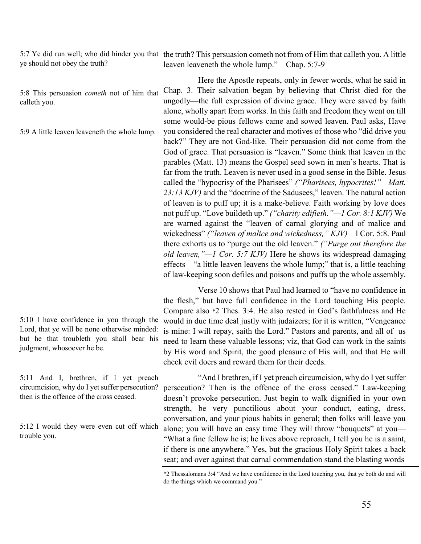5:7 Ye did run well; who did hinder you that the truth? This persuasion cometh not from of Him that calleth you. A little ye should not obey the truth? leaven leaveneth the whole lump."—Chap. 5:7-9

> Here the Apostle repeats, only in fewer words, what he said in Chap. 3. Their salvation began by believing that Christ died for the ungodly—the full expression of divine grace. They were saved by faith alone, wholly apart from works. In this faith and freedom they went on till some would-be pious fellows came and sowed leaven. Paul asks, Have you considered the real character and motives of those who "did drive you back?" They are not God-like. Their persuasion did not come from the God of grace. That persuasion is "leaven." Some think that leaven in the parables (Matt. 13) means the Gospel seed sown in men's hearts. That is far from the truth. Leaven is never used in a good sense in the Bible. Jesus called the "hypocrisy of the Pharisees" *("Pharisees, hypocrites!"—Matt. 23:13 KJV)* and the "doctrine of the Sadusees," leaven. The natural action of leaven is to puff up; it is a make-believe. Faith working by love does not puff up. "Love buildeth up." *("charity edifieth."—1 Cor. 8:1 KJV)* We are warned against the "leaven of carnal glorying and of malice and wickedness" *("leaven of malice and wickedness," KJV)*—l Cor. 5:8. Paul there exhorts us to "purge out the old leaven." *("Purge out therefore the old leaven,"—1 Cor. 5:7 KJV)* Here he shows its widespread damaging effects—"a little leaven leavens the whole lump;" that is, a little teaching of law-keeping soon defiles and poisons and puffs up the whole assembly.

> Verse 10 shows that Paul had learned to "have no confidence in the flesh," but have full confidence in the Lord touching His people. Compare also \*2 Thes. 3:4. He also rested in God's faithfulness and He would in due time deal justly with judaizers; for it is written, "Vengeance is mine: I will repay, saith the Lord." Pastors and parents, and all of us need to learn these valuable lessons; viz, that God can work in the saints by His word and Spirit, the good pleasure of His will, and that He will check evil doers and reward them for their deeds.

> "And I brethren, if I yet preach circumcision, why do I yet suffer persecution? Then is the offence of the cross ceased." Law-keeping doesn't provoke persecution. Just begin to walk dignified in your own strength, be very punctilious about your conduct, eating, dress, conversation, and your pious habits in general; then folks will leave you alone; you will have an easy time They will throw "bouquets" at you— "What a fine fellow he is; he lives above reproach, I tell you he is a saint, if there is one anywhere." Yes, but the gracious Holy Spirit takes a back seat; and over against that carnal commendation stand the blasting words

5:10 I have confidence in you through the Lord, that ye will be none otherwise minded: but he that troubleth you shall bear his judgment, whosoever he be.

5:8 This persuasion *cometh* not of him that

5:9 A little leaven leaveneth the whole lump.

calleth you.

5:11 And I, brethren, if I yet preach circumcision, why do I yet suffer persecution? then is the offence of the cross ceased.

5:12 I would they were even cut off which trouble you.

<sup>\*2</sup> Thessalonians 3:4 "And we have confidence in the Lord touching you, that ye both do and will do the things which we command you."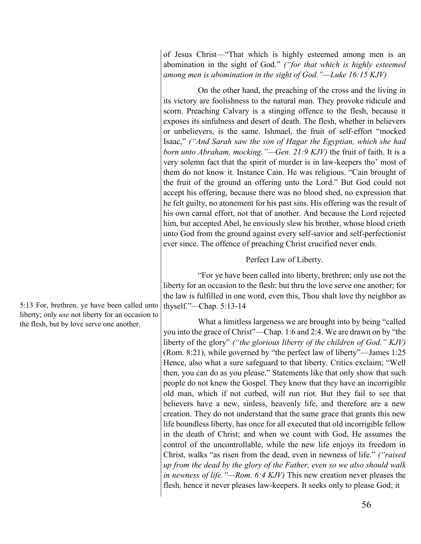of Jesus Christ—"That which is highly esteemed among men is an abomination in the sight of God." *("for that which is highly esteemed among men is abomination in the sight of God."—Luke 16:15 KJV)*

On the other hand, the preaching of the cross and the living in its victory are foolishness to the natural man. They provoke ridicule and scorn. Preaching Calvary is a stinging offence to the flesh, because it exposes its sinfulness and desert of death. The flesh, whether in believers or unbelievers, is the same. Ishmael, the fruit of self-effort "mocked Isaac," *("And Sarah saw the son of Hagar the Egyptian, which she had born unto Abraham, mocking."—Gen. 21:9 KJV)* the fruit of faith. It is a very solemn fact that the spirit of murder is in law-keepers tho' most of them do not know it. Instance Cain. He was religious. "Cain brought of the fruit of the ground an offering unto the Lord." But God could not accept his offering, because there was no blood shed, no expression that he felt guilty, no atonement for his past sins. His offering was the result of his own carnal effort, not that of another. And because the Lord rejected him, but accepted Abel, he enviously slew his brother, whose blood crieth unto God from the ground against every self-savior and self-perfectionist ever since. The offence of preaching Christ crucified never ends.

Perfect Law of Liberty.

"For ye have been called into liberty, brethren; only use not the liberty for an occasion to the flesh: but thru the love serve one another; for the law is fulfilled in one word, even this, Thou shalt love thy neighbor as thyself."*—*Chap. 5:13-14

What a limitless largeness we are brought into by being "called you into the grace of Christ"—Chap. 1:6 and 2:4. We are drawn on by "the liberty of the glory" *("the glorious liberty of the children of God." KJV)* (Rom. 8:21), while governed by "the perfect law of liberty"—James 1:25 Hence, also what a sure safeguard to that liberty. Critics exclaim; "Well then, you can do as you please." Statements like that only show that such people do not knew the Gospel. They know that they have an incorrigible old man, which if not curbed, will run riot. But they fail to see that believers have a new, sinless, heavenly life, and therefore are a new creation. They do not understand that the same grace that grants this new life boundless liberty, has once for all executed that old incorrigible fellow in the death of Christ; and when we count with God, He assumes the control of the uncontrollable, while the new life enjoys its freedom in Christ, walks "as risen from the dead, even in newness of life." *("raised up from the dead by the glory of the Father, even so we also should walk in newness of life."—Rom. 6:4 KJV)* This new creation never pleases the flesh, hence it never pleases law-keepers. It seeks only to please God; it

5:13 For, brethren, ye have been called unto liberty; only *use* not liberty for an occasion to the flesh, but by love serve one another.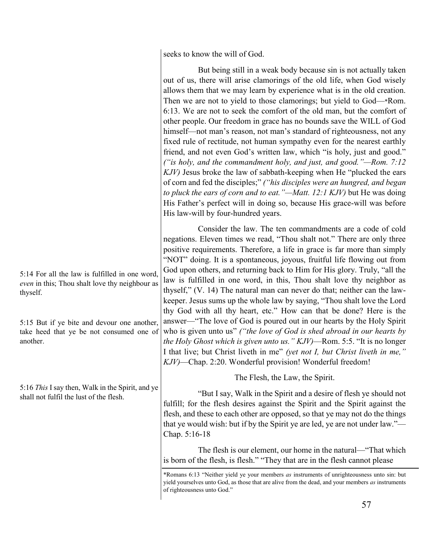seeks to know the will of God.

But being still in a weak body because sin is not actually taken out of us, there will arise clamorings of the old life, when God wisely allows them that we may learn by experience what is in the old creation. Then we are not to yield to those clamorings; but yield to God—\*Rom. 6:13. We are not to seek the comfort of the old man, but the comfort of other people. Our freedom in grace has no bounds save the WILL of God himself—not man's reason, not man's standard of righteousness, not any fixed rule of rectitude, not human sympathy even for the nearest earthly friend, and not even God's written law, which "is holy, just and good." *("is holy, and the commandment holy, and just, and good."—Rom. 7:12 KJV)* Jesus broke the law of sabbath-keeping when He "plucked the ears of corn and fed the disciples;" *("his disciples were an hungred, and began to pluck the ears of corn and to eat."—Matt. 12:1 KJV)* but He was doing His Father's perfect will in doing so, because His grace-will was before His law-will by four-hundred years.

Consider the law. The ten commandments are a code of cold negations. Eleven times we read, "Thou shalt not." There are only three positive requirements. Therefore, a life in grace is far more than simply "NOT" doing. It is a spontaneous, joyous, fruitful life flowing out from God upon others, and returning back to Him for His glory. Truly, "all the law is fulfilled in one word, in this, Thou shalt love thy neighbor as thyself," (V. 14) The natural man can never do that; neither can the lawkeeper. Jesus sums up the whole law by saying, "Thou shalt love the Lord thy God with all thy heart, etc." How can that be done? Here is the answer—"The love of God is poured out in our hearts by the Holy Spirit who is given unto us" *("the love of God is shed abroad in our hearts by the Holy Ghost which is given unto us." KJV)*—Rom. 5:5. "It is no longer I that live; but Christ liveth in me" *(yet not I, but Christ liveth in me," KJV)*—Chap. 2:20. Wonderful provision! Wonderful freedom!

The Flesh, the Law, the Spirit.

"But I say, Walk in the Spirit and a desire of flesh ye should not fulfill; for the flesh desires against the Spirit and the Spirit against the flesh, and these to each other are opposed, so that ye may not do the things that ye would wish: but if by the Spirit ye are led, ye are not under law."— Chap. 5:16-18

The flesh is our element, our home in the natural—"That which is born of the flesh, is flesh." "They that are in the flesh cannot please

5:14 For all the law is fulfilled in one word, *even* in this; Thou shalt love thy neighbour as thyself.

5:15 But if ye bite and devour one another, take heed that ye be not consumed one of another.

5:16 *This* I say then, Walk in the Spirit, and ye shall not fulfil the lust of the flesh.

<sup>\*</sup>Romans 6:13 "Neither yield ye your members *as* instruments of unrighteousness unto sin: but yield yourselves unto God, as those that are alive from the dead, and your members *as* instruments of righteousness unto God."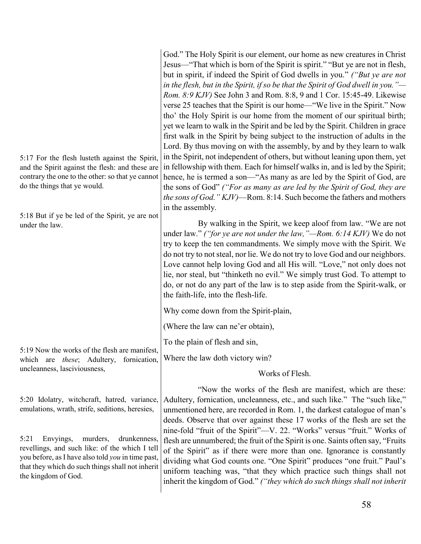| 5:17 For the flesh lusteth against the Spirit,<br>and the Spirit against the flesh: and these are<br>contrary the one to the other: so that ye cannot<br>do the things that ye would.<br>5:18 But if ye be led of the Spirit, ye are not<br>under the law. | God." The Holy Spirit is our element, our home as new creatures in Christ<br>Jesus—"That which is born of the Spirit is spirit." "But ye are not in flesh,<br>but in spirit, if indeed the Spirit of God dwells in you." ("But ye are not<br>in the flesh, but in the Spirit, if so be that the Spirit of God dwell in you."—<br>Rom. 8:9 KJV) See John 3 and Rom. 8:8, 9 and 1 Cor. 15:45-49. Likewise<br>verse 25 teaches that the Spirit is our home—"We live in the Spirit." Now<br>tho' the Holy Spirit is our home from the moment of our spiritual birth;<br>yet we learn to walk in the Spirit and be led by the Spirit. Children in grace<br>first walk in the Spirit by being subject to the instruction of adults in the<br>Lord. By thus moving on with the assembly, by and by they learn to walk<br>in the Spirit, not independent of others, but without leaning upon them, yet<br>in fellowship with them. Each for himself walks in, and is led by the Spirit;<br>hence, he is termed a son—"As many as are led by the Spirit of God, are<br>the sons of God" ("For as many as are led by the Spirit of God, they are<br><i>the sons of God." KJV</i> )—Rom. 8:14. Such become the fathers and mothers<br>in the assembly.<br>By walking in the Spirit, we keep aloof from law. "We are not<br>under law." ("for ye are not under the law, "-Rom. 6:14 KJV) We do not<br>try to keep the ten commandments. We simply move with the Spirit. We<br>do not try to not steal, nor lie. We do not try to love God and our neighbors.<br>Love cannot help loving God and all His will. "Love," not only does not<br>lie, nor steal, but "thinketh no evil." We simply trust God. To attempt to<br>do, or not do any part of the law is to step aside from the Spirit-walk, or<br>the faith-life, into the flesh-life. |
|------------------------------------------------------------------------------------------------------------------------------------------------------------------------------------------------------------------------------------------------------------|----------------------------------------------------------------------------------------------------------------------------------------------------------------------------------------------------------------------------------------------------------------------------------------------------------------------------------------------------------------------------------------------------------------------------------------------------------------------------------------------------------------------------------------------------------------------------------------------------------------------------------------------------------------------------------------------------------------------------------------------------------------------------------------------------------------------------------------------------------------------------------------------------------------------------------------------------------------------------------------------------------------------------------------------------------------------------------------------------------------------------------------------------------------------------------------------------------------------------------------------------------------------------------------------------------------------------------------------------------------------------------------------------------------------------------------------------------------------------------------------------------------------------------------------------------------------------------------------------------------------------------------------------------------------------------------------------------------------------------------------------------------------------------------------------------------------------------|
|                                                                                                                                                                                                                                                            | Why come down from the Spirit-plain,                                                                                                                                                                                                                                                                                                                                                                                                                                                                                                                                                                                                                                                                                                                                                                                                                                                                                                                                                                                                                                                                                                                                                                                                                                                                                                                                                                                                                                                                                                                                                                                                                                                                                                                                                                                             |
| 5:19 Now the works of the flesh are manifest,<br>which are <i>these</i> ; Adultery, fornication,<br>uncleanness, lasciviousness,                                                                                                                           | (Where the law can ne'er obtain),                                                                                                                                                                                                                                                                                                                                                                                                                                                                                                                                                                                                                                                                                                                                                                                                                                                                                                                                                                                                                                                                                                                                                                                                                                                                                                                                                                                                                                                                                                                                                                                                                                                                                                                                                                                                |
|                                                                                                                                                                                                                                                            | To the plain of flesh and sin,                                                                                                                                                                                                                                                                                                                                                                                                                                                                                                                                                                                                                                                                                                                                                                                                                                                                                                                                                                                                                                                                                                                                                                                                                                                                                                                                                                                                                                                                                                                                                                                                                                                                                                                                                                                                   |
|                                                                                                                                                                                                                                                            | Where the law doth victory win?                                                                                                                                                                                                                                                                                                                                                                                                                                                                                                                                                                                                                                                                                                                                                                                                                                                                                                                                                                                                                                                                                                                                                                                                                                                                                                                                                                                                                                                                                                                                                                                                                                                                                                                                                                                                  |
|                                                                                                                                                                                                                                                            | Works of Flesh.                                                                                                                                                                                                                                                                                                                                                                                                                                                                                                                                                                                                                                                                                                                                                                                                                                                                                                                                                                                                                                                                                                                                                                                                                                                                                                                                                                                                                                                                                                                                                                                                                                                                                                                                                                                                                  |
| 5:20 Idolatry, witchcraft, hatred, variance,<br>emulations, wrath, strife, seditions, heresies,                                                                                                                                                            | "Now the works of the flesh are manifest, which are these:<br>Adultery, fornication, uncleanness, etc., and such like." The "such like,"<br>unmentioned here, are recorded in Rom. 1, the darkest catalogue of man's<br>deeds. Observe that over against these 17 works of the flesh are set the<br>nine-fold "fruit of the Spirit"—V. 22. "Works" versus "fruit." Works of                                                                                                                                                                                                                                                                                                                                                                                                                                                                                                                                                                                                                                                                                                                                                                                                                                                                                                                                                                                                                                                                                                                                                                                                                                                                                                                                                                                                                                                      |
| Envyings,<br>murders,<br>drunkenness,<br>5:21<br>revellings, and such like: of the which I tell<br>you before, as I have also told you in time past,<br>that they which do such things shall not inherit<br>the kingdom of God.                            | flesh are unnumbered; the fruit of the Spirit is one. Saints often say, "Fruits"<br>of the Spirit" as if there were more than one. Ignorance is constantly<br>dividing what God counts one. "One Spirit" produces "one fruit." Paul's<br>uniform teaching was, "that they which practice such things shall not<br>inherit the kingdom of God." ("they which do such things shall not inherit                                                                                                                                                                                                                                                                                                                                                                                                                                                                                                                                                                                                                                                                                                                                                                                                                                                                                                                                                                                                                                                                                                                                                                                                                                                                                                                                                                                                                                     |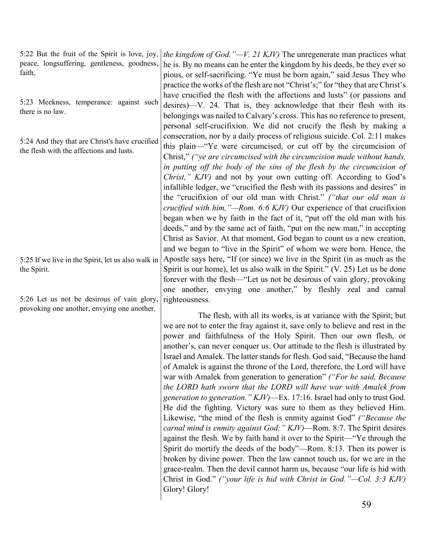5:22 But the fruit of the Spirit is love, joy, peace, longsuffering, gentleness, goodness, faith,

5:23 Meekness, temperance: against such there is no law.

5:24 And they that are Christ's have crucified the flesh with the affections and lusts.

5:25 If we live in the Spirit, let us also walk in the Spirit.

5:26 Let us not be desirous of vain glory, provoking one another, envying one another.

*the kingdom of God."—V. 21 KJV)* The unregenerate man practices what he is. By no means can he enter the kingdom by his deeds, be they ever so pious, or self-sacrificing. "Ye must be born again," said Jesus They who practice the works of the flesh are not "Christ's;" for "they that are Christ's have crucified the flesh with the affections and lusts" (or passions and desires)—V. 24. That is, they acknowledge that their flesh with its belongings was nailed to Calvary's cross. This has no reference to present, personal self-crucifixion. We did not crucify the flesh by making a consecration, nor by a daily process of religious suicide. Col. 2:11 makes this plain—"Ye were circumcised, or cut off by the circumcision of Christ," *("ye are circumcised with the circumcision made without hands, in putting off the body of the sins of the flesh by the circumcision of Christ," KJV)* and not by your own cutting off. According to God's infallible ledger, we "crucified the flesh with its passions and desires" in the "crucifixion of our old man with Christ." *("that our old man is crucified with him,"—Rom. 6:6 KJV)* Our experience of that crucifixion began when we by faith in the fact of it, "put off the old man with his deeds," and by the same act of faith, "put on the new man," in accepting Christ as Savior. At that moment, God began to count us a new creation, and we began to "live in the Spirit" of whom we were born. Hence, the Apostle says here, "If (or since) we live in the Spirit (in as much as the Spirit is our home), let us also walk in the Spirit." (V. 25) Let us be done forever with the flesh—"Let us not be desirous of vain glory, provoking one another, envying one another," by fleshly zeal and carnal righteousness.

The flesh, with all its works, is at variance with the Spirit; but we are not to enter the fray against it, save only to believe and rest in the power and faithfulness of the Holy Spirit. Then our own flesh, or another's, can never conquer us. Our attitude to the flesh is illustrated by Israel and Amalek. The latter stands for flesh. God said, "Because the hand of Amalek is against the throne of the Lord, therefore, the Lord will have war with Amalek from generation to generation" *("For he said, Because the LORD hath sworn that the LORD will have war with Amalek from generation to generation." KJV)*—Ex. 17:16. Israel had only to trust God. He did the fighting. Victory was sure to them as they believed Him. Likewise, "the mind of the flesh is enmity against God" *("Because the carnal mind is enmity against God:" KJV)*—Rom. 8:7. The Spirit desires against the flesh. We by faith hand it over to the Spirit—"Ye through the Spirit do mortify the deeds of the body"—Rom. 8:13. Then its power is broken by divine power. Then the law cannot touch us, for we are in the grace-realm. Then the devil cannot harm us, because "our life is hid with Christ in God." *("your life is hid with Christ in God."—Col. 3:3 KJV)* Glory! Glory!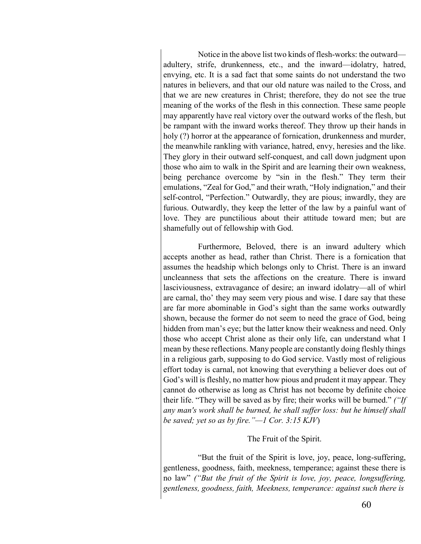Notice in the above list two kinds of flesh-works: the outward adultery, strife, drunkenness, etc., and the inward—idolatry, hatred, envying, etc. It is a sad fact that some saints do not understand the two natures in believers, and that our old nature was nailed to the Cross, and that we are new creatures in Christ; therefore, they do not see the true meaning of the works of the flesh in this connection. These same people may apparently have real victory over the outward works of the flesh, but be rampant with the inward works thereof. They throw up their hands in holy (?) horror at the appearance of fornication, drunkenness and murder, the meanwhile rankling with variance, hatred, envy, heresies and the like. They glory in their outward self-conquest, and call down judgment upon those who aim to walk in the Spirit and are learning their own weakness, being perchance overcome by "sin in the flesh." They term their emulations, "Zeal for God," and their wrath, "Holy indignation," and their self-control, "Perfection." Outwardly, they are pious; inwardly, they are furious. Outwardly, they keep the letter of the law by a painful want of love. They are punctilious about their attitude toward men; but are shamefully out of fellowship with God.

Furthermore, Beloved, there is an inward adultery which accepts another as head, rather than Christ. There is a fornication that assumes the headship which belongs only to Christ. There is an inward uncleanness that sets the affections on the creature. There is inward lasciviousness, extravagance of desire; an inward idolatry—all of whirl are carnal, tho' they may seem very pious and wise. I dare say that these are far more abominable in God's sight than the same works outwardly shown, because the former do not seem to need the grace of God, being hidden from man's eye; but the latter know their weakness and need. Only those who accept Christ alone as their only life, can understand what I mean by these reflections. Many people are constantly doing fleshly things in a religious garb, supposing to do God service. Vastly most of religious effort today is carnal, not knowing that everything a believer does out of God's will is fleshly, no matter how pious and prudent it may appear. They cannot do otherwise as long as Christ has not become by definite choice their life. "They will be saved as by fire; their works will be burned." *("If any man's work shall be burned, he shall suffer loss: but he himself shall be saved; yet so as by fire."—1 Cor. 3:15 KJV*)

#### The Fruit of the Spirit.

"But the fruit of the Spirit is love, joy, peace, long-suffering, gentleness, goodness, faith, meekness, temperance; against these there is no law" *("But the fruit of the Spirit is love, joy, peace, longsuffering, gentleness, goodness, faith, Meekness, temperance: against such there is*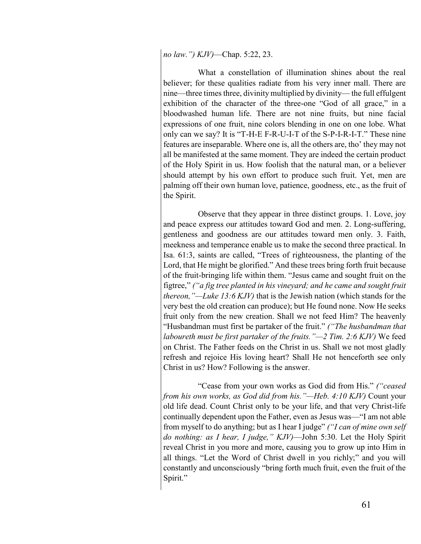*no law.") KJV)*—Chap. 5:22, 23.

What a constellation of illumination shines about the real believer; for these qualities radiate from his very inner mall. There are nine—three times three, divinity multiplied by divinity— the full effulgent exhibition of the character of the three-one "God of all grace," in a bloodwashed human life. There are not nine fruits, but nine facial expressions of one fruit, nine colors blending in one on one lobe. What only can we say? It is "T-H-E F-R-U-I-T of the S-P-I-R-I-T." These nine features are inseparable. Where one is, all the others are, tho' they may not all be manifested at the same moment. They are indeed the certain product of the Holy Spirit in us. How foolish that the natural man, or a believer should attempt by his own effort to produce such fruit. Yet, men are palming off their own human love, patience, goodness, etc., as the fruit of the Spirit.

Observe that they appear in three distinct groups. 1. Love, joy and peace express our attitudes toward God and men. 2. Long-suffering, gentleness and goodness are our attitudes toward men only. 3. Faith, meekness and temperance enable us to make the second three practical. In Isa. 61:3, saints are called, "Trees of righteousness, the planting of the Lord, that He might be glorified." And these trees bring forth fruit because of the fruit-bringing life within them. "Jesus came and sought fruit on the figtree," *("a fig tree planted in his vineyard; and he came and sought fruit thereon,"—Luke 13:6 KJV)* that is the Jewish nation (which stands for the very best the old creation can produce); but He found none. Now He seeks fruit only from the new creation. Shall we not feed Him? The heavenly "Husbandman must first be partaker of the fruit." *("The husbandman that laboureth must be first partaker of the fruits."—2 Tim. 2:6 KJV)* We feed on Christ. The Father feeds on the Christ in us. Shall we not most gladly refresh and rejoice His loving heart? Shall He not henceforth see only Christ in us? How? Following is the answer.

"Cease from your own works as God did from His." *("ceased from his own works, as God did from his."—Heb. 4:10 KJV)* Count your old life dead. Count Christ only to be your life, and that very Christ-life continually dependent upon the Father, even as Jesus was—"I am not able from myself to do anything; but as I hear I judge" *("I can of mine own self do nothing: as I hear, I judge," KJV)*—John 5:30. Let the Holy Spirit reveal Christ in you more and more, causing you to grow up into Him in all things. "Let the Word of Christ dwell in you richly;" and you will constantly and unconsciously "bring forth much fruit, even the fruit of the Spirit."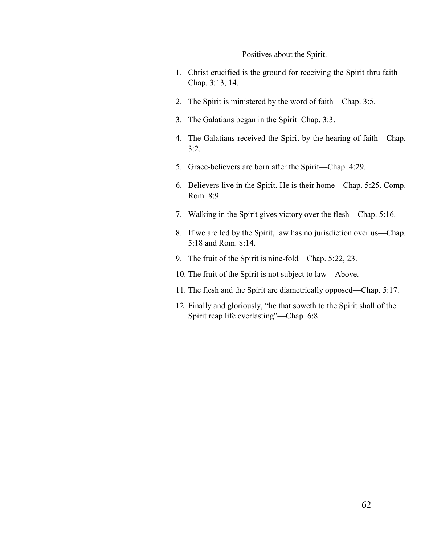Positives about the Spirit. 1. Christ crucified is the ground for receiving the Spirit thru faith— Chap. 3:13, 14. 2. The Spirit is ministered by the word of faith—Chap. 3:5. 3. The Galatians began in the Spirit–Chap. 3:3. 4. The Galatians received the Spirit by the hearing of faith—Chap.  $3:2.$ 5. Grace-believers are born after the Spirit—Chap. 4:29. 6. Believers live in the Spirit. He is their home—Chap. 5:25. Comp. Rom. 8:9. 7. Walking in the Spirit gives victory over the flesh—Chap. 5:16. 8. If we are led by the Spirit, law has no jurisdiction over us—Chap. 5:18 and Rom. 8:14. 9. The fruit of the Spirit is nine-fold—Chap. 5:22, 23. 10. The fruit of the Spirit is not subject to law—Above. 11. The flesh and the Spirit are diametrically opposed—Chap. 5:17. 12. Finally and gloriously, "he that soweth to the Spirit shall of the Spirit reap life everlasting"—Chap. 6:8.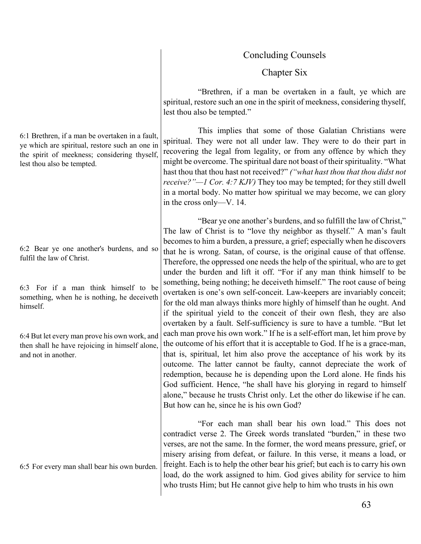# Concluding Counsels

# Chapter Six

"Brethren, if a man be overtaken in a fault, ye which are spiritual, restore such an one in the spirit of meekness, considering thyself, lest thou also be tempted."

This implies that some of those Galatian Christians were spiritual. They were not all under law. They were to do their part in recovering the legal from legality, or from any offence by which they might be overcome. The spiritual dare not boast of their spirituality. "What hast thou that thou hast not received?" *("what hast thou that thou didst not receive?"—1 Cor. 4:7 KJV)* They too may be tempted; for they still dwell in a mortal body. No matter how spiritual we may become, we can glory in the cross only—V. 14.

"Bear ye one another's burdens, and so fulfill the law of Christ," The law of Christ is to "love thy neighbor as thyself." A man's fault becomes to him a burden, a pressure, a grief; especially when he discovers that he is wrong. Satan, of course, is the original cause of that offense. Therefore, the oppressed one needs the help of the spiritual, who are to get under the burden and lift it off. "For if any man think himself to be something, being nothing; he deceiveth himself." The root cause of being overtaken is one's own self-conceit. Law-keepers are invariably conceit; for the old man always thinks more highly of himself than he ought. And if the spiritual yield to the conceit of their own flesh, they are also overtaken by a fault. Self-sufficiency is sure to have a tumble. "But let each man prove his own work." If he is a self-effort man, let him prove by the outcome of his effort that it is acceptable to God. If he is a grace-man, that is, spiritual, let him also prove the acceptance of his work by its outcome. The latter cannot be faulty, cannot depreciate the work of redemption, because he is depending upon the Lord alone. He finds his God sufficient. Hence, "he shall have his glorying in regard to himself alone," because he trusts Christ only. Let the other do likewise if he can. But how can he, since he is his own God?

"For each man shall bear his own load." This does not contradict verse 2. The Greek words translated "burden," in these two verses, are not the same. In the former, the word means pressure, grief, or misery arising from defeat, or failure. In this verse, it means a load, or freight. Each is to help the other bear his grief; but each is to carry his own load, do the work assigned to him. God gives ability for service to him who trusts Him; but He cannot give help to him who trusts in his own

6:1 Brethren, if a man be overtaken in a fault, ye which are spiritual, restore such an one in the spirit of meekness; considering thyself, lest thou also be tempted.

6:2 Bear ye one another's burdens, and so fulfil the law of Christ.

6:3 For if a man think himself to be something, when he is nothing, he deceiveth himself.

6:4 But let every man prove his own work, and then shall he have rejoicing in himself alone, and not in another.

6:5 For every man shall bear his own burden.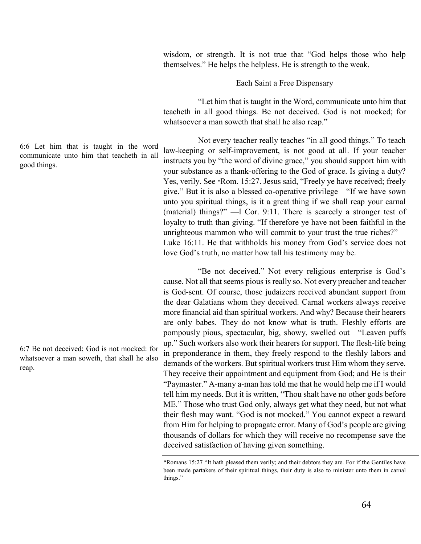6:6 Let him that is taught in the word communicate unto him that teacheth in all good things.

6:7 Be not deceived; God is not mocked: for whatsoever a man soweth, that shall he also reap.

wisdom, or strength. It is not true that "God helps those who help themselves." He helps the helpless. He is strength to the weak.

Each Saint a Free Dispensary

"Let him that is taught in the Word, communicate unto him that teacheth in all good things. Be not deceived. God is not mocked; for whatsoever a man soweth that shall he also reap."

Not every teacher really teaches "in all good things." To teach law-keeping or self-improvement, is not good at all. If your teacher instructs you by "the word of divine grace," you should support him with your substance as a thank-offering to the God of grace. Is giving a duty? Yes, verily. See \*Rom. 15:27. Jesus said, "Freely ye have received; freely give." But it is also a blessed co-operative privilege—"If we have sown unto you spiritual things, is it a great thing if we shall reap your carnal (material) things?" —l Cor. 9:11. There is scarcely a stronger test of loyalty to truth than giving. "If therefore ye have not been faithful in the unrighteous mammon who will commit to your trust the true riches?"— Luke 16:11. He that withholds his money from God's service does not love God's truth, no matter how tall his testimony may be.

"Be not deceived." Not every religious enterprise is God's cause. Not all that seems pious is really so. Not every preacher and teacher is God-sent. Of course, those judaizers received abundant support from the dear Galatians whom they deceived. Carnal workers always receive more financial aid than spiritual workers. And why? Because their hearers are only babes. They do not know what is truth. Fleshly efforts are pompously pious, spectacular, big, showy, swelled out—"Leaven puffs up." Such workers also work their hearers for support. The flesh-life being in preponderance in them, they freely respond to the fleshly labors and demands of the workers. But spiritual workers trust Him whom they serve. They receive their appointment and equipment from God; and He is their "Paymaster." A-many a-man has told me that he would help me if I would tell him my needs. But it is written, "Thou shalt have no other gods before ME." Those who trust God only, always get what they need, but not what their flesh may want. "God is not mocked." You cannot expect a reward from Him for helping to propagate error. Many of God's people are giving thousands of dollars for which they will receive no recompense save the deceived satisfaction of having given something.

\*Romans 15:27 "It hath pleased them verily; and their debtors they are. For if the Gentiles have been made partakers of their spiritual things, their duty is also to minister unto them in carnal things."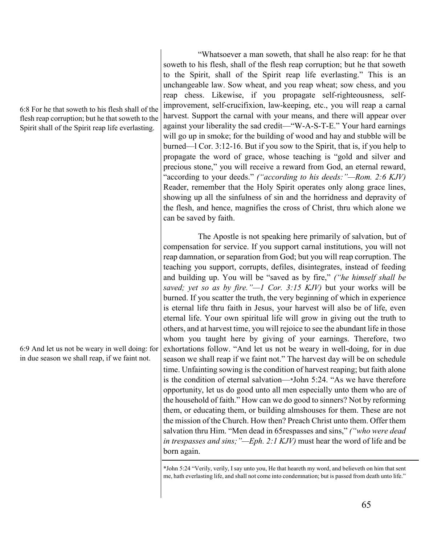## 6:8 For he that soweth to his flesh shall of the flesh reap corruption; but he that soweth to the Spirit shall of the Spirit reap life everlasting.

6:9 And let us not be weary in well doing: for in due season we shall reap, if we faint not.

"Whatsoever a man soweth, that shall he also reap: for he that soweth to his flesh, shall of the flesh reap corruption; but he that soweth to the Spirit, shall of the Spirit reap life everlasting." This is an unchangeable law. Sow wheat, and you reap wheat; sow chess, and you reap chess. Likewise, if you propagate self-righteousness, selfimprovement, self-crucifixion, law-keeping, etc., you will reap a carnal harvest. Support the carnal with your means, and there will appear over against your liberality the sad credit—"W-A-S-T-E." Your hard earnings will go up in smoke; for the building of wood and hay and stubble will be burned—l Cor. 3:12-16. But if you sow to the Spirit, that is, if you help to propagate the word of grace, whose teaching is "gold and silver and precious stone," you will receive a reward from God, an eternal reward, "according to your deeds." *("according to his deeds:"—Rom. 2:6 KJV)* Reader, remember that the Holy Spirit operates only along grace lines, showing up all the sinfulness of sin and the horridness and depravity of the flesh, and hence, magnifies the cross of Christ, thru which alone we can be saved by faith.

The Apostle is not speaking here primarily of salvation, but of compensation for service. If you support carnal institutions, you will not reap damnation, or separation from God; but you will reap corruption. The teaching you support, corrupts, defiles, disintegrates, instead of feeding and building up. You will be "saved as by fire," *("he himself shall be saved; yet so as by fire."—1 Cor. 3:15 KJV)* but your works will be burned. If you scatter the truth, the very beginning of which in experience is eternal life thru faith in Jesus, your harvest will also be of life, even eternal life. Your own spiritual life will grow in giving out the truth to others, and at harvest time, you will rejoice to see the abundant life in those whom you taught here by giving of your earnings. Therefore, two exhortations follow. "And let us not be weary in well-doing, for in due season we shall reap if we faint not." The harvest day will be on schedule time. Unfainting sowing is the condition of harvest reaping; but faith alone is the condition of eternal salvation—\*John 5:24. "As we have therefore opportunity, let us do good unto all men especially unto them who are of the household of faith." How can we do good to sinners? Not by reforming them, or educating them, or building almshouses for them. These are not the mission of the Church. How then? Preach Christ unto them. Offer them salvation thru Him. "Men dead in 65respasses and sins," *("who were dead in trespasses and sins;"—Eph. 2:1 KJV)* must hear the word of life and be born again.

\*John 5:24 "Verily, verily, I say unto you, He that heareth my word, and believeth on him that sent me, hath everlasting life, and shall not come into condemnation; but is passed from death unto life."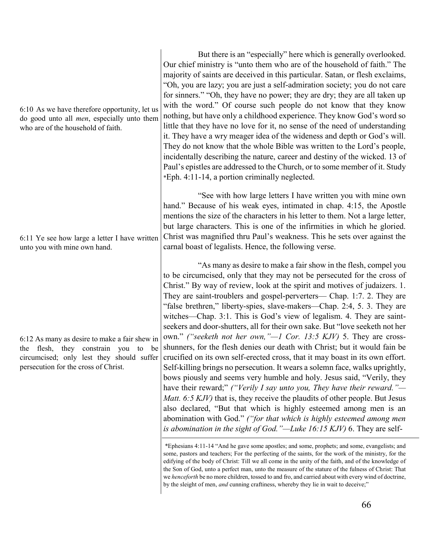6:10 As we have therefore opportunity, let us do good unto all *men*, especially unto them who are of the household of faith.

6:11 Ye see how large a letter I have written unto you with mine own hand.

6:12 As many as desire to make a fair shew in the flesh, they constrain you to be circumcised; only lest they should suffer persecution for the cross of Christ.

But there is an "especially" here which is generally overlooked. Our chief ministry is "unto them who are of the household of faith." The majority of saints are deceived in this particular. Satan, or flesh exclaims, "Oh, you are lazy; you are just a self-admiration society; you do not care for sinners." "Oh, they have no power; they are dry; they are all taken up with the word." Of course such people do not know that they know nothing, but have only a childhood experience. They know God's word so little that they have no love for it, no sense of the need of understanding it. They have a wry meager idea of the wideness and depth or God's will. They do not know that the whole Bible was written to the Lord's people, incidentally describing the nature, career and destiny of the wicked. 13 of Paul's epistles are addressed to the Church, or to some member of it. Study \*Eph. 4:11-14, a portion criminally neglected.

"See with how large letters I have written you with mine own hand." Because of his weak eyes, intimated in chap. 4:15, the Apostle mentions the size of the characters in his letter to them. Not a large letter, but large characters. This is one of the infirmities in which he gloried. Christ was magnified thru Paul's weakness. This he sets over against the carnal boast of legalists. Hence, the following verse.

"As many as desire to make a fair show in the flesh, compel you to be circumcised, only that they may not be persecuted for the cross of Christ." By way of review, look at the spirit and motives of judaizers. 1. They are saint-troublers and gospel-perverters— Chap. 1:7. 2. They are "false brethren," liberty-spies, slave-makers—Chap. 2:4, 5. 3. They are witches—Chap. 3:1. This is God's view of legalism. 4. They are saintseekers and door-shutters, all for their own sake. But "love seeketh not her own." *("seeketh not her own,"—1 Cor. 13:5 KJV)* 5. They are crossshunners, for the flesh denies our death with Christ; but it would fain be crucified on its own self-erected cross, that it may boast in its own effort. Self-killing brings no persecution. It wears a solemn face, walks uprightly, bows piously and seems very humble and holy. Jesus said, "Verily, they have their reward;" *("Verily I say unto you, They have their reward."— Matt. 6:5 KJV*) that is, they receive the plaudits of other people. But Jesus also declared, "But that which is highly esteemed among men is an abomination with God." *("for that which is highly esteemed among men is abomination in the sight of God."—Luke 16:15 KJV)* 6. They are self-

<sup>\*</sup>Ephesians 4:11-14 "And he gave some apostles; and some, prophets; and some, evangelists; and some, pastors and teachers; For the perfecting of the saints, for the work of the ministry, for the edifying of the body of Christ: Till we all come in the unity of the faith, and of the knowledge of the Son of God, unto a perfect man, unto the measure of the stature of the fulness of Christ: That we *henceforth* be no more children, tossed to and fro, and carried about with every wind of doctrine, by the sleight of men, *and* cunning craftiness, whereby they lie in wait to deceive;"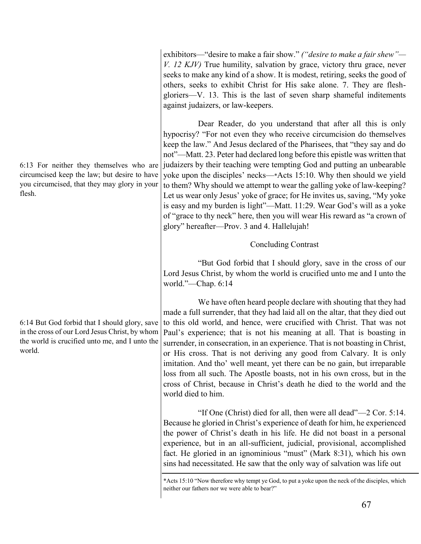exhibitors—"desire to make a fair show." *("desire to make a fair shew"— V. 12 KJV)* True humility, salvation by grace, victory thru grace, never seeks to make any kind of a show. It is modest, retiring, seeks the good of others, seeks to exhibit Christ for His sake alone. 7. They are fleshgloriers—V. 13. This is the last of seven sharp shameful inditements against judaizers, or law-keepers.

Dear Reader, do you understand that after all this is only hypocrisy? "For not even they who receive circumcision do themselves keep the law." And Jesus declared of the Pharisees, that "they say and do not"—Matt. 23. Peter had declared long before this epistle was written that judaizers by their teaching were tempting God and putting an unbearable yoke upon the disciples' necks—\*Acts 15:10. Why then should we yield to them? Why should we attempt to wear the galling yoke of law-keeping? Let us wear only Jesus' yoke of grace; for He invites us, saving, "My yoke is easy and my burden is light"—Matt. 11:29. Wear God's will as a yoke of "grace to thy neck" here, then you will wear His reward as "a crown of glory" hereafter—Prov. 3 and 4. Hallelujah!

#### Concluding Contrast

"But God forbid that I should glory, save in the cross of our Lord Jesus Christ, by whom the world is crucified unto me and I unto the world."—Chap. 6:14

We have often heard people declare with shouting that they had made a full surrender, that they had laid all on the altar, that they died out to this old world, and hence, were crucified with Christ. That was not Paul's experience; that is not his meaning at all. That is boasting in surrender, in consecration, in an experience. That is not boasting in Christ, or His cross. That is not deriving any good from Calvary. It is only imitation. And tho' well meant, yet there can be no gain, but irreparable loss from all such. The Apostle boasts, not in his own cross, but in the cross of Christ, because in Christ's death he died to the world and the world died to him.

"If One (Christ) died for all, then were all dead"—2 Cor. 5:14. Because he gloried in Christ's experience of death for him, he experienced the power of Christ's death in his life. He did not boast in a personal experience, but in an all-sufficient, judicial, provisional, accomplished fact. He gloried in an ignominious "must" (Mark 8:31), which his own sins had necessitated. He saw that the only way of salvation was life out

6:13 For neither they themselves who are circumcised keep the law; but desire to have you circumcised, that they may glory in your flesh.

6:14 But God forbid that I should glory, save in the cross of our Lord Jesus Christ, by whom the world is crucified unto me, and I unto the world.

<sup>\*</sup>Acts 15:10 "Now therefore why tempt ye God, to put a yoke upon the neck of the disciples, which neither our fathers nor we were able to bear?"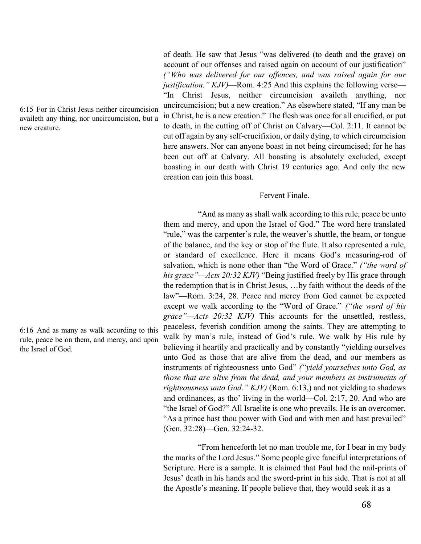6:15 For in Christ Jesus neither circumcision availeth any thing, nor uncircumcision, but a new creature.

6:16 And as many as walk according to this rule, peace be on them, and mercy, and upon the Israel of God.

of death. He saw that Jesus "was delivered (to death and the grave) on account of our offenses and raised again on account of our justification" *("Who was delivered for our offences, and was raised again for our justification." KJV)*—Rom. 4:25 And this explains the following verse— "In Christ Jesus, neither circumcision availeth anything, nor uncircumcision; but a new creation." As elsewhere stated, "If any man be in Christ, he is a new creation." The flesh was once for all crucified, or put to death, in the cutting off of Christ on Calvary—Col. 2:11. It cannot be cut off again by any self-crucifixion, or daily dying, to which circumcision here answers. Nor can anyone boast in not being circumcised; for he has been cut off at Calvary. All boasting is absolutely excluded, except boasting in our death with Christ 19 centuries ago. And only the new creation can join this boast.

#### Fervent Finale.

"And as many as shall walk according to this rule, peace be unto them and mercy, and upon the Israel of God." The word here translated "rule," was the carpenter's rule, the weaver's shuttle, the beam, or tongue of the balance, and the key or stop of the flute. It also represented a rule, or standard of excellence. Here it means God's measuring-rod of salvation, which is none other than "the Word of Grace." *("the word of his grace"—Acts 20:32 KJV)* "Being justified freely by His grace through the redemption that is in Christ Jesus, …by faith without the deeds of the law"—Rom. 3:24, 28. Peace and mercy from God cannot be expected except we walk according to the "Word of Grace." *("the word of his grace"—Acts 20:32 KJV)* This accounts for the unsettled, restless, peaceless, feverish condition among the saints. They are attempting to walk by man's rule, instead of God's rule. We walk by His rule by believing it heartily and practically and by constantly "yielding ourselves unto God as those that are alive from the dead, and our members as instruments of righteousness unto God" *("yield yourselves unto God, as those that are alive from the dead, and your members as instruments of righteousness unto God." KJV)* (Rom. 6:13,) and not yielding to shadows and ordinances, as tho' living in the world—Col. 2:17, 20. And who are "the Israel of God?" All Israelite is one who prevails. He is an overcomer. "As a prince hast thou power with God and with men and hast prevailed" (Gen. 32:28)—Gen. 32:24-32.

"From henceforth let no man trouble me, for I bear in my body the marks of the Lord Jesus." Some people give fanciful interpretations of Scripture. Here is a sample. It is claimed that Paul had the nail-prints of Jesus' death in his hands and the sword-print in his side. That is not at all the Apostle's meaning. If people believe that, they would seek it as a